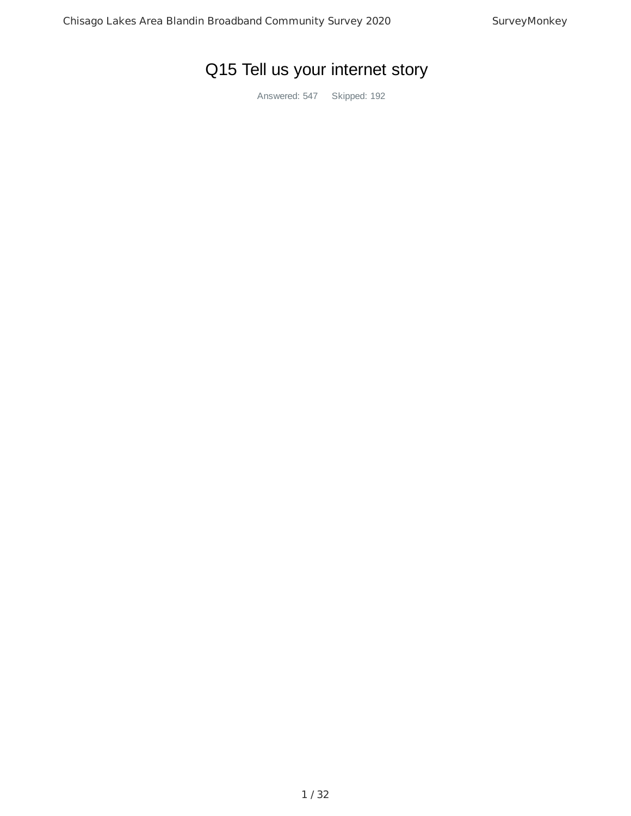# Q15 Tell us your internet story

Answered: 547 Skipped: 192

1 / 32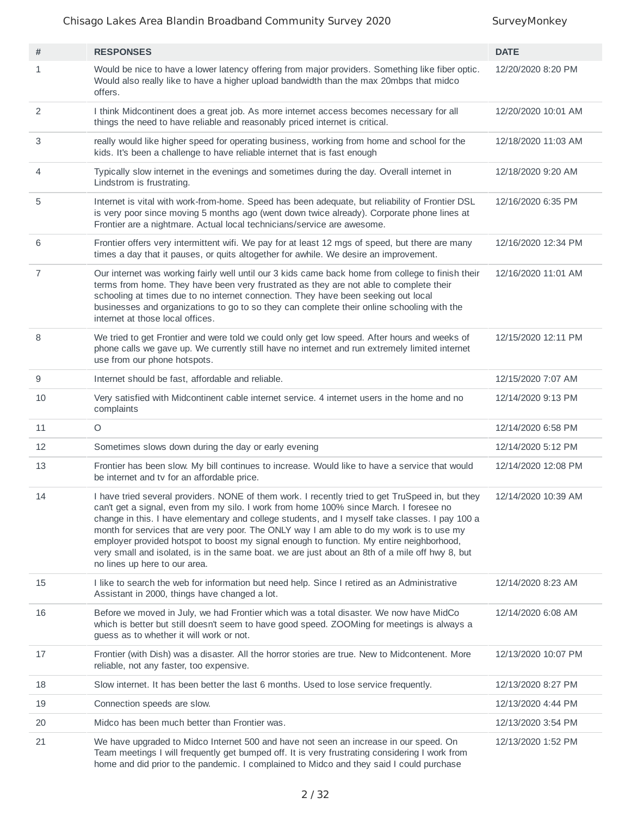| #              | <b>RESPONSES</b>                                                                                                                                                                                                                                                                                                                                                                                                                                                                                                                                                                                                         | <b>DATE</b>         |
|----------------|--------------------------------------------------------------------------------------------------------------------------------------------------------------------------------------------------------------------------------------------------------------------------------------------------------------------------------------------------------------------------------------------------------------------------------------------------------------------------------------------------------------------------------------------------------------------------------------------------------------------------|---------------------|
| $\mathbf{1}$   | Would be nice to have a lower latency offering from major providers. Something like fiber optic.<br>Would also really like to have a higher upload bandwidth than the max 20mbps that midco<br>offers.                                                                                                                                                                                                                                                                                                                                                                                                                   | 12/20/2020 8:20 PM  |
| 2              | I think Midcontinent does a great job. As more internet access becomes necessary for all<br>things the need to have reliable and reasonably priced internet is critical.                                                                                                                                                                                                                                                                                                                                                                                                                                                 | 12/20/2020 10:01 AM |
| 3              | really would like higher speed for operating business, working from home and school for the<br>kids. It's been a challenge to have reliable internet that is fast enough                                                                                                                                                                                                                                                                                                                                                                                                                                                 | 12/18/2020 11:03 AM |
| 4              | Typically slow internet in the evenings and sometimes during the day. Overall internet in<br>Lindstrom is frustrating.                                                                                                                                                                                                                                                                                                                                                                                                                                                                                                   | 12/18/2020 9:20 AM  |
| 5              | Internet is vital with work-from-home. Speed has been adequate, but reliability of Frontier DSL<br>is very poor since moving 5 months ago (went down twice already). Corporate phone lines at<br>Frontier are a nightmare. Actual local technicians/service are awesome.                                                                                                                                                                                                                                                                                                                                                 | 12/16/2020 6:35 PM  |
| 6              | Frontier offers very intermittent wifi. We pay for at least 12 mgs of speed, but there are many<br>times a day that it pauses, or quits altogether for awhile. We desire an improvement.                                                                                                                                                                                                                                                                                                                                                                                                                                 | 12/16/2020 12:34 PM |
| $\overline{7}$ | Our internet was working fairly well until our 3 kids came back home from college to finish their<br>terms from home. They have been very frustrated as they are not able to complete their<br>schooling at times due to no internet connection. They have been seeking out local<br>businesses and organizations to go to so they can complete their online schooling with the<br>internet at those local offices.                                                                                                                                                                                                      | 12/16/2020 11:01 AM |
| 8              | We tried to get Frontier and were told we could only get low speed. After hours and weeks of<br>phone calls we gave up. We currently still have no internet and run extremely limited internet<br>use from our phone hotspots.                                                                                                                                                                                                                                                                                                                                                                                           | 12/15/2020 12:11 PM |
| 9              | Internet should be fast, affordable and reliable.                                                                                                                                                                                                                                                                                                                                                                                                                                                                                                                                                                        | 12/15/2020 7:07 AM  |
| 10             | Very satisfied with Midcontinent cable internet service. 4 internet users in the home and no<br>complaints                                                                                                                                                                                                                                                                                                                                                                                                                                                                                                               | 12/14/2020 9:13 PM  |
| 11             | $\bigcirc$                                                                                                                                                                                                                                                                                                                                                                                                                                                                                                                                                                                                               | 12/14/2020 6:58 PM  |
| 12             | Sometimes slows down during the day or early evening                                                                                                                                                                                                                                                                                                                                                                                                                                                                                                                                                                     | 12/14/2020 5:12 PM  |
| 13             | Frontier has been slow. My bill continues to increase. Would like to have a service that would<br>be internet and tv for an affordable price.                                                                                                                                                                                                                                                                                                                                                                                                                                                                            | 12/14/2020 12:08 PM |
| 14             | I have tried several providers. NONE of them work. I recently tried to get TruSpeed in, but they<br>can't get a signal, even from my silo. I work from home 100% since March. I foresee no<br>change in this. I have elementary and college students, and I myself take classes. I pay 100 a<br>month for services that are very poor. The ONLY way I am able to do my work is to use my<br>employer provided hotspot to boost my signal enough to function. My entire neighborhood,<br>very small and isolated, is in the same boat. we are just about an 8th of a mile off hwy 8, but<br>no lines up here to our area. | 12/14/2020 10:39 AM |
| 15             | I like to search the web for information but need help. Since I retired as an Administrative<br>Assistant in 2000, things have changed a lot.                                                                                                                                                                                                                                                                                                                                                                                                                                                                            | 12/14/2020 8:23 AM  |
| 16             | Before we moved in July, we had Frontier which was a total disaster. We now have MidCo<br>which is better but still doesn't seem to have good speed. ZOOMing for meetings is always a<br>guess as to whether it will work or not.                                                                                                                                                                                                                                                                                                                                                                                        | 12/14/2020 6:08 AM  |
| 17             | Frontier (with Dish) was a disaster. All the horror stories are true. New to Midcontenent. More<br>reliable, not any faster, too expensive.                                                                                                                                                                                                                                                                                                                                                                                                                                                                              | 12/13/2020 10:07 PM |
| 18             | Slow internet. It has been better the last 6 months. Used to lose service frequently.                                                                                                                                                                                                                                                                                                                                                                                                                                                                                                                                    | 12/13/2020 8:27 PM  |
| 19             | Connection speeds are slow.                                                                                                                                                                                                                                                                                                                                                                                                                                                                                                                                                                                              | 12/13/2020 4:44 PM  |
| 20             | Midco has been much better than Frontier was.                                                                                                                                                                                                                                                                                                                                                                                                                                                                                                                                                                            | 12/13/2020 3:54 PM  |
| 21             | We have upgraded to Midco Internet 500 and have not seen an increase in our speed. On<br>Team meetings I will frequently get bumped off. It is very frustrating considering I work from<br>home and did prior to the pandemic. I complained to Midco and they said I could purchase                                                                                                                                                                                                                                                                                                                                      | 12/13/2020 1:52 PM  |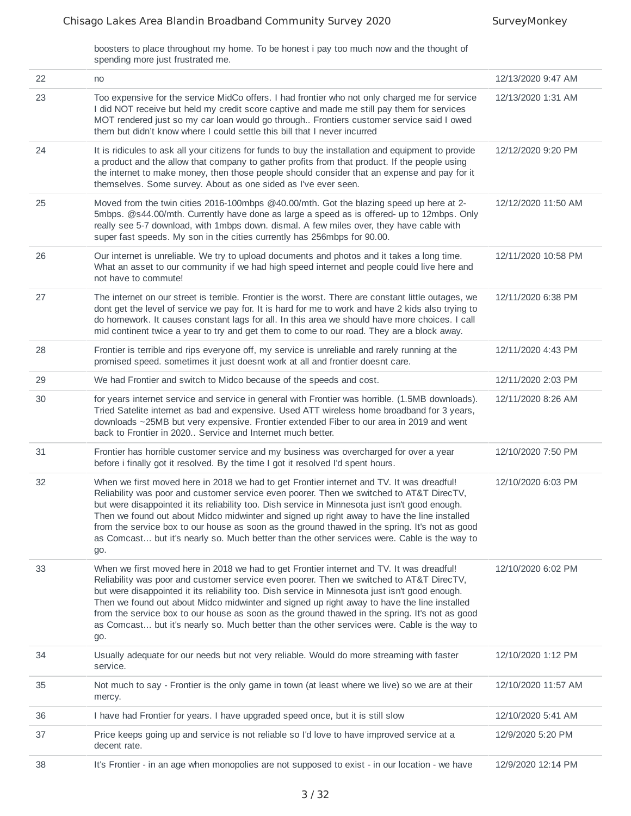boosters to place throughout my home. To be honest i pay too much now and the thought of spending more just frustrated me.

| 22 | no                                                                                                                                                                                                                                                                                                                                                                                                                                                                                                                                                                                               | 12/13/2020 9:47 AM  |
|----|--------------------------------------------------------------------------------------------------------------------------------------------------------------------------------------------------------------------------------------------------------------------------------------------------------------------------------------------------------------------------------------------------------------------------------------------------------------------------------------------------------------------------------------------------------------------------------------------------|---------------------|
| 23 | Too expensive for the service MidCo offers. I had frontier who not only charged me for service<br>I did NOT receive but held my credit score captive and made me still pay them for services<br>MOT rendered just so my car loan would go through Frontiers customer service said I owed<br>them but didn't know where I could settle this bill that I never incurred                                                                                                                                                                                                                            | 12/13/2020 1:31 AM  |
| 24 | It is ridicules to ask all your citizens for funds to buy the installation and equipment to provide<br>a product and the allow that company to gather profits from that product. If the people using<br>the internet to make money, then those people should consider that an expense and pay for it<br>themselves. Some survey. About as one sided as I've ever seen.                                                                                                                                                                                                                           | 12/12/2020 9:20 PM  |
| 25 | Moved from the twin cities 2016-100mbps @40.00/mth. Got the blazing speed up here at 2-<br>5mbps. @s44.00/mth. Currently have done as large a speed as is offered- up to 12mbps. Only<br>really see 5-7 download, with 1mbps down. dismal. A few miles over, they have cable with<br>super fast speeds. My son in the cities currently has 256mbps for 90.00.                                                                                                                                                                                                                                    | 12/12/2020 11:50 AM |
| 26 | Our internet is unreliable. We try to upload documents and photos and it takes a long time.<br>What an asset to our community if we had high speed internet and people could live here and<br>not have to commute!                                                                                                                                                                                                                                                                                                                                                                               | 12/11/2020 10:58 PM |
| 27 | The internet on our street is terrible. Frontier is the worst. There are constant little outages, we<br>dont get the level of service we pay for. It is hard for me to work and have 2 kids also trying to<br>do homework. It causes constant lags for all. In this area we should have more choices. I call<br>mid continent twice a year to try and get them to come to our road. They are a block away.                                                                                                                                                                                       | 12/11/2020 6:38 PM  |
| 28 | Frontier is terrible and rips everyone off, my service is unreliable and rarely running at the<br>promised speed. sometimes it just doesnt work at all and frontier doesnt care.                                                                                                                                                                                                                                                                                                                                                                                                                 | 12/11/2020 4:43 PM  |
| 29 | We had Frontier and switch to Midco because of the speeds and cost.                                                                                                                                                                                                                                                                                                                                                                                                                                                                                                                              | 12/11/2020 2:03 PM  |
| 30 | for years internet service and service in general with Frontier was horrible. (1.5MB downloads).<br>Tried Satelite internet as bad and expensive. Used ATT wireless home broadband for 3 years,<br>downloads ~25MB but very expensive. Frontier extended Fiber to our area in 2019 and went<br>back to Frontier in 2020 Service and Internet much better.                                                                                                                                                                                                                                        | 12/11/2020 8:26 AM  |
| 31 | Frontier has horrible customer service and my business was overcharged for over a year<br>before i finally got it resolved. By the time I got it resolved I'd spent hours.                                                                                                                                                                                                                                                                                                                                                                                                                       | 12/10/2020 7:50 PM  |
| 32 | When we first moved here in 2018 we had to get Frontier internet and TV. It was dreadful!<br>Reliability was poor and customer service even poorer. Then we switched to AT&T DirecTV,<br>but were disappointed it its reliability too. Dish service in Minnesota just isn't good enough.<br>Then we found out about Midco midwinter and signed up right away to have the line installed<br>from the service box to our house as soon as the ground thawed in the spring. It's not as good<br>as Comcast but it's nearly so. Much better than the other services were. Cable is the way to<br>go. | 12/10/2020 6:03 PM  |
| 33 | When we first moved here in 2018 we had to get Frontier internet and TV. It was dreadful!<br>Reliability was poor and customer service even poorer. Then we switched to AT&T DirecTV,<br>but were disappointed it its reliability too. Dish service in Minnesota just isn't good enough.<br>Then we found out about Midco midwinter and signed up right away to have the line installed<br>from the service box to our house as soon as the ground thawed in the spring. It's not as good<br>as Comcast but it's nearly so. Much better than the other services were. Cable is the way to<br>go. | 12/10/2020 6:02 PM  |
| 34 | Usually adequate for our needs but not very reliable. Would do more streaming with faster<br>service.                                                                                                                                                                                                                                                                                                                                                                                                                                                                                            | 12/10/2020 1:12 PM  |
| 35 | Not much to say - Frontier is the only game in town (at least where we live) so we are at their<br>mercy.                                                                                                                                                                                                                                                                                                                                                                                                                                                                                        | 12/10/2020 11:57 AM |
| 36 | I have had Frontier for years. I have upgraded speed once, but it is still slow                                                                                                                                                                                                                                                                                                                                                                                                                                                                                                                  | 12/10/2020 5:41 AM  |
| 37 | Price keeps going up and service is not reliable so I'd love to have improved service at a<br>decent rate.                                                                                                                                                                                                                                                                                                                                                                                                                                                                                       | 12/9/2020 5:20 PM   |
| 38 | It's Frontier - in an age when monopolies are not supposed to exist - in our location - we have                                                                                                                                                                                                                                                                                                                                                                                                                                                                                                  | 12/9/2020 12:14 PM  |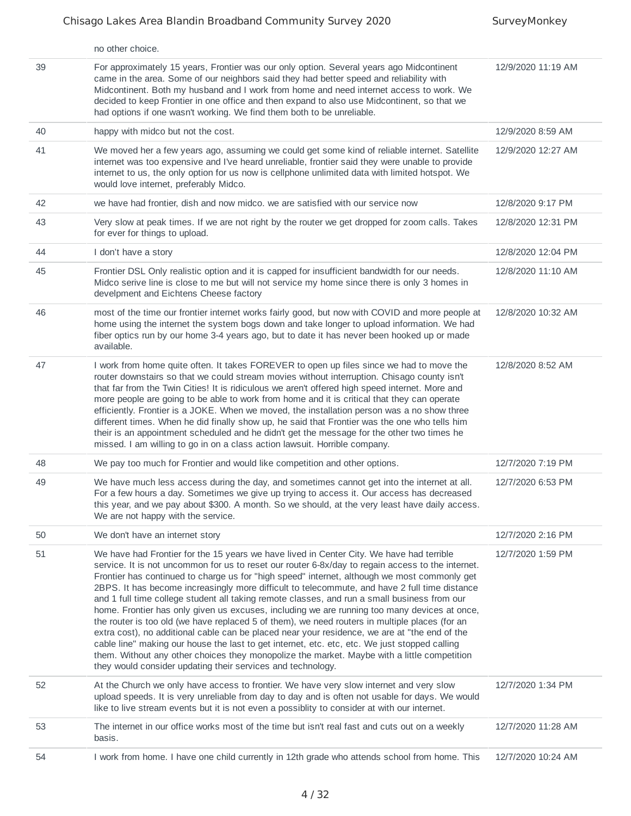|    | no other choice.                                                                                                                                                                                                                                                                                                                                                                                                                                                                                                                                                                                                                                                                                                                                                                                                                                                                                                                                                                                                                                                 |                    |
|----|------------------------------------------------------------------------------------------------------------------------------------------------------------------------------------------------------------------------------------------------------------------------------------------------------------------------------------------------------------------------------------------------------------------------------------------------------------------------------------------------------------------------------------------------------------------------------------------------------------------------------------------------------------------------------------------------------------------------------------------------------------------------------------------------------------------------------------------------------------------------------------------------------------------------------------------------------------------------------------------------------------------------------------------------------------------|--------------------|
| 39 | For approximately 15 years, Frontier was our only option. Several years ago Midcontinent<br>came in the area. Some of our neighbors said they had better speed and reliability with<br>Midcontinent. Both my husband and I work from home and need internet access to work. We<br>decided to keep Frontier in one office and then expand to also use Midcontinent, so that we<br>had options if one wasn't working. We find them both to be unreliable.                                                                                                                                                                                                                                                                                                                                                                                                                                                                                                                                                                                                          | 12/9/2020 11:19 AM |
| 40 | happy with midco but not the cost.                                                                                                                                                                                                                                                                                                                                                                                                                                                                                                                                                                                                                                                                                                                                                                                                                                                                                                                                                                                                                               | 12/9/2020 8:59 AM  |
| 41 | We moved her a few years ago, assuming we could get some kind of reliable internet. Satellite<br>internet was too expensive and I've heard unreliable, frontier said they were unable to provide<br>internet to us, the only option for us now is cellphone unlimited data with limited hotspot. We<br>would love internet, preferably Midco.                                                                                                                                                                                                                                                                                                                                                                                                                                                                                                                                                                                                                                                                                                                    | 12/9/2020 12:27 AM |
| 42 | we have had frontier, dish and now midco, we are satisfied with our service now                                                                                                                                                                                                                                                                                                                                                                                                                                                                                                                                                                                                                                                                                                                                                                                                                                                                                                                                                                                  | 12/8/2020 9:17 PM  |
| 43 | Very slow at peak times. If we are not right by the router we get dropped for zoom calls. Takes<br>for ever for things to upload.                                                                                                                                                                                                                                                                                                                                                                                                                                                                                                                                                                                                                                                                                                                                                                                                                                                                                                                                | 12/8/2020 12:31 PM |
| 44 | I don't have a story                                                                                                                                                                                                                                                                                                                                                                                                                                                                                                                                                                                                                                                                                                                                                                                                                                                                                                                                                                                                                                             | 12/8/2020 12:04 PM |
| 45 | Frontier DSL Only realistic option and it is capped for insufficient bandwidth for our needs.<br>Midco serive line is close to me but will not service my home since there is only 3 homes in<br>develpment and Eichtens Cheese factory                                                                                                                                                                                                                                                                                                                                                                                                                                                                                                                                                                                                                                                                                                                                                                                                                          | 12/8/2020 11:10 AM |
| 46 | most of the time our frontier internet works fairly good, but now with COVID and more people at<br>home using the internet the system bogs down and take longer to upload information. We had<br>fiber optics run by our home 3-4 years ago, but to date it has never been hooked up or made<br>available.                                                                                                                                                                                                                                                                                                                                                                                                                                                                                                                                                                                                                                                                                                                                                       | 12/8/2020 10:32 AM |
| 47 | I work from home quite often. It takes FOREVER to open up files since we had to move the<br>router downstairs so that we could stream movies without interruption. Chisago county isn't<br>that far from the Twin Cities! It is ridiculous we aren't offered high speed internet. More and<br>more people are going to be able to work from home and it is critical that they can operate<br>efficiently. Frontier is a JOKE. When we moved, the installation person was a no show three<br>different times. When he did finally show up, he said that Frontier was the one who tells him<br>their is an appointment scheduled and he didn't get the message for the other two times he<br>missed. I am willing to go in on a class action lawsuit. Horrible company.                                                                                                                                                                                                                                                                                            | 12/8/2020 8:52 AM  |
| 48 | We pay too much for Frontier and would like competition and other options.                                                                                                                                                                                                                                                                                                                                                                                                                                                                                                                                                                                                                                                                                                                                                                                                                                                                                                                                                                                       | 12/7/2020 7:19 PM  |
| 49 | We have much less access during the day, and sometimes cannot get into the internet at all.<br>For a few hours a day. Sometimes we give up trying to access it. Our access has decreased<br>this year, and we pay about \$300. A month. So we should, at the very least have daily access.<br>We are not happy with the service.                                                                                                                                                                                                                                                                                                                                                                                                                                                                                                                                                                                                                                                                                                                                 | 12/7/2020 6:53 PM  |
| 50 | We don't have an internet story                                                                                                                                                                                                                                                                                                                                                                                                                                                                                                                                                                                                                                                                                                                                                                                                                                                                                                                                                                                                                                  | 12/7/2020 2:16 PM  |
| 51 | We have had Frontier for the 15 years we have lived in Center City. We have had terrible<br>service. It is not uncommon for us to reset our router 6-8x/day to regain access to the internet.<br>Frontier has continued to charge us for "high speed" internet, although we most commonly get<br>2BPS. It has become increasingly more difficult to telecommute, and have 2 full time distance<br>and 1 full time college student all taking remote classes, and run a small business from our<br>home. Frontier has only given us excuses, including we are running too many devices at once,<br>the router is too old (we have replaced 5 of them), we need routers in multiple places (for an<br>extra cost), no additional cable can be placed near your residence, we are at "the end of the<br>cable line" making our house the last to get internet, etc. etc. etc. We just stopped calling<br>them. Without any other choices they monopolize the market. Maybe with a little competition<br>they would consider updating their services and technology. | 12/7/2020 1:59 PM  |
| 52 | At the Church we only have access to frontier. We have very slow internet and very slow<br>upload speeds. It is very unreliable from day to day and is often not usable for days. We would<br>like to live stream events but it is not even a possiblity to consider at with our internet.                                                                                                                                                                                                                                                                                                                                                                                                                                                                                                                                                                                                                                                                                                                                                                       | 12/7/2020 1:34 PM  |
| 53 | The internet in our office works most of the time but isn't real fast and cuts out on a weekly<br>basis.                                                                                                                                                                                                                                                                                                                                                                                                                                                                                                                                                                                                                                                                                                                                                                                                                                                                                                                                                         | 12/7/2020 11:28 AM |
| 54 | I work from home. I have one child currently in 12th grade who attends school from home. This                                                                                                                                                                                                                                                                                                                                                                                                                                                                                                                                                                                                                                                                                                                                                                                                                                                                                                                                                                    | 12/7/2020 10:24 AM |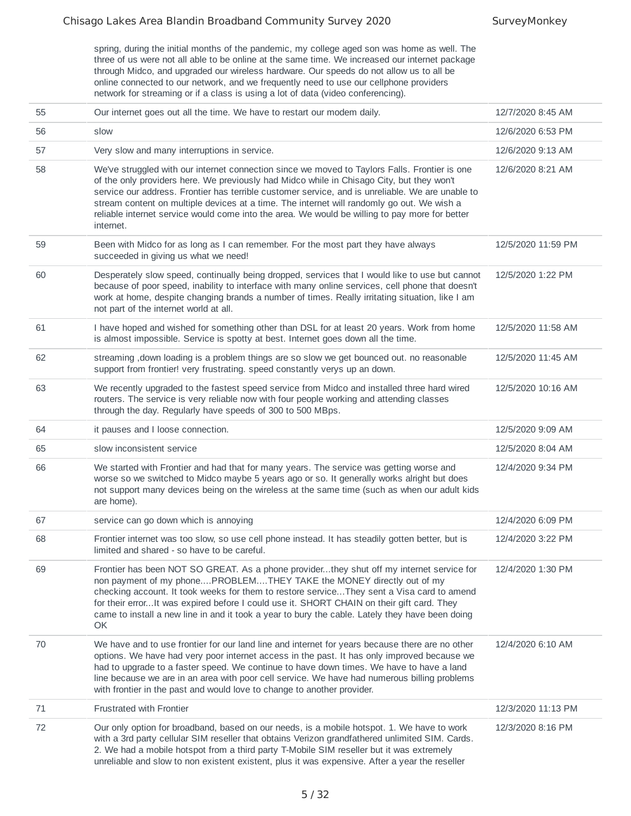spring, during the initial months of the pandemic, my college aged son was home as well. The three of us were not all able to be online at the same time. We increased our internet package through Midco, and upgraded our wireless hardware. Our speeds do not allow us to all be online connected to our network, and we frequently need to use our cellphone providers network for streaming or if a class is using a lot of data (video conferencing).

| 55 | Our internet goes out all the time. We have to restart our modem daily.                                                                                                                                                                                                                                                                                                                                                                                                                                     | 12/7/2020 8:45 AM  |
|----|-------------------------------------------------------------------------------------------------------------------------------------------------------------------------------------------------------------------------------------------------------------------------------------------------------------------------------------------------------------------------------------------------------------------------------------------------------------------------------------------------------------|--------------------|
| 56 | slow                                                                                                                                                                                                                                                                                                                                                                                                                                                                                                        | 12/6/2020 6:53 PM  |
| 57 | Very slow and many interruptions in service.                                                                                                                                                                                                                                                                                                                                                                                                                                                                | 12/6/2020 9:13 AM  |
| 58 | We've struggled with our internet connection since we moved to Taylors Falls. Frontier is one<br>of the only providers here. We previously had Midco while in Chisago City, but they won't<br>service our address. Frontier has terrible customer service, and is unreliable. We are unable to<br>stream content on multiple devices at a time. The internet will randomly go out. We wish a<br>reliable internet service would come into the area. We would be willing to pay more for better<br>internet. | 12/6/2020 8:21 AM  |
| 59 | Been with Midco for as long as I can remember. For the most part they have always<br>succeeded in giving us what we need!                                                                                                                                                                                                                                                                                                                                                                                   | 12/5/2020 11:59 PM |
| 60 | Desperately slow speed, continually being dropped, services that I would like to use but cannot<br>because of poor speed, inability to interface with many online services, cell phone that doesn't<br>work at home, despite changing brands a number of times. Really irritating situation, like I am<br>not part of the internet world at all.                                                                                                                                                            | 12/5/2020 1:22 PM  |
| 61 | I have hoped and wished for something other than DSL for at least 20 years. Work from home<br>is almost impossible. Service is spotty at best. Internet goes down all the time.                                                                                                                                                                                                                                                                                                                             | 12/5/2020 11:58 AM |
| 62 | streaming , down loading is a problem things are so slow we get bounced out. no reasonable<br>support from frontier! very frustrating. speed constantly verys up an down.                                                                                                                                                                                                                                                                                                                                   | 12/5/2020 11:45 AM |
| 63 | We recently upgraded to the fastest speed service from Midco and installed three hard wired<br>routers. The service is very reliable now with four people working and attending classes<br>through the day. Regularly have speeds of 300 to 500 MBps.                                                                                                                                                                                                                                                       | 12/5/2020 10:16 AM |
| 64 | it pauses and I loose connection.                                                                                                                                                                                                                                                                                                                                                                                                                                                                           | 12/5/2020 9:09 AM  |
| 65 | slow inconsistent service                                                                                                                                                                                                                                                                                                                                                                                                                                                                                   | 12/5/2020 8:04 AM  |
| 66 | We started with Frontier and had that for many years. The service was getting worse and<br>worse so we switched to Midco maybe 5 years ago or so. It generally works alright but does<br>not support many devices being on the wireless at the same time (such as when our adult kids<br>are home).                                                                                                                                                                                                         | 12/4/2020 9:34 PM  |
| 67 | service can go down which is annoying                                                                                                                                                                                                                                                                                                                                                                                                                                                                       | 12/4/2020 6:09 PM  |
| 68 | Frontier internet was too slow, so use cell phone instead. It has steadily gotten better, but is<br>limited and shared - so have to be careful.                                                                                                                                                                                                                                                                                                                                                             | 12/4/2020 3:22 PM  |
| 69 | Frontier has been NOT SO GREAT. As a phone providerthey shut off my internet service for<br>non payment of my phonePROBLEMTHEY TAKE the MONEY directly out of my<br>checking account. It took weeks for them to restore serviceThey sent a Visa card to amend<br>for their errorIt was expired before I could use it. SHORT CHAIN on their gift card. They<br>came to install a new line in and it took a year to bury the cable. Lately they have been doing<br>OK                                         | 12/4/2020 1:30 PM  |
| 70 | We have and to use frontier for our land line and internet for years because there are no other<br>options. We have had very poor internet access in the past. It has only improved because we<br>had to upgrade to a faster speed. We continue to have down times. We have to have a land<br>line because we are in an area with poor cell service. We have had numerous billing problems<br>with frontier in the past and would love to change to another provider.                                       | 12/4/2020 6:10 AM  |
| 71 | <b>Frustrated with Frontier</b>                                                                                                                                                                                                                                                                                                                                                                                                                                                                             | 12/3/2020 11:13 PM |
| 72 | Our only option for broadband, based on our needs, is a mobile hotspot. 1. We have to work<br>with a 3rd party cellular SIM reseller that obtains Verizon grandfathered unlimited SIM. Cards.<br>2. We had a mobile hotspot from a third party T-Mobile SIM reseller but it was extremely<br>unreliable and slow to non existent existent, plus it was expensive. After a year the reseller                                                                                                                 | 12/3/2020 8:16 PM  |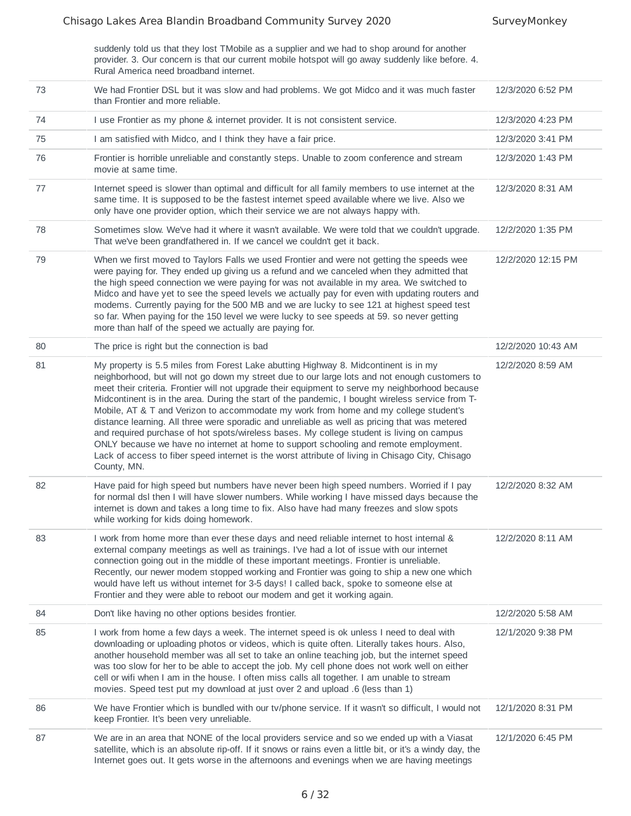suddenly told us that they lost TMobile as a supplier and we had to shop around for another provider. 3. Our concern is that our current mobile hotspot will go away suddenly like before. 4. Rural America need broadband internet.

| 73 | We had Frontier DSL but it was slow and had problems. We got Midco and it was much faster<br>than Frontier and more reliable.                                                                                                                                                                                                                                                                                                                                                                                                                                                                                                                                                                                                                                                                                                                                                                 | 12/3/2020 6:52 PM  |
|----|-----------------------------------------------------------------------------------------------------------------------------------------------------------------------------------------------------------------------------------------------------------------------------------------------------------------------------------------------------------------------------------------------------------------------------------------------------------------------------------------------------------------------------------------------------------------------------------------------------------------------------------------------------------------------------------------------------------------------------------------------------------------------------------------------------------------------------------------------------------------------------------------------|--------------------|
| 74 | I use Frontier as my phone & internet provider. It is not consistent service.                                                                                                                                                                                                                                                                                                                                                                                                                                                                                                                                                                                                                                                                                                                                                                                                                 | 12/3/2020 4:23 PM  |
| 75 | I am satisfied with Midco, and I think they have a fair price.                                                                                                                                                                                                                                                                                                                                                                                                                                                                                                                                                                                                                                                                                                                                                                                                                                | 12/3/2020 3:41 PM  |
| 76 | Frontier is horrible unreliable and constantly steps. Unable to zoom conference and stream<br>movie at same time.                                                                                                                                                                                                                                                                                                                                                                                                                                                                                                                                                                                                                                                                                                                                                                             | 12/3/2020 1:43 PM  |
| 77 | Internet speed is slower than optimal and difficult for all family members to use internet at the<br>same time. It is supposed to be the fastest internet speed available where we live. Also we<br>only have one provider option, which their service we are not always happy with.                                                                                                                                                                                                                                                                                                                                                                                                                                                                                                                                                                                                          | 12/3/2020 8:31 AM  |
| 78 | Sometimes slow. We've had it where it wasn't available. We were told that we couldn't upgrade.<br>That we've been grandfathered in. If we cancel we couldn't get it back.                                                                                                                                                                                                                                                                                                                                                                                                                                                                                                                                                                                                                                                                                                                     | 12/2/2020 1:35 PM  |
| 79 | When we first moved to Taylors Falls we used Frontier and were not getting the speeds wee<br>were paying for. They ended up giving us a refund and we canceled when they admitted that<br>the high speed connection we were paying for was not available in my area. We switched to<br>Midco and have yet to see the speed levels we actually pay for even with updating routers and<br>modems. Currently paying for the 500 MB and we are lucky to see 121 at highest speed test<br>so far. When paying for the 150 level we were lucky to see speeds at 59. so never getting<br>more than half of the speed we actually are paying for.                                                                                                                                                                                                                                                     | 12/2/2020 12:15 PM |
| 80 | The price is right but the connection is bad                                                                                                                                                                                                                                                                                                                                                                                                                                                                                                                                                                                                                                                                                                                                                                                                                                                  | 12/2/2020 10:43 AM |
| 81 | My property is 5.5 miles from Forest Lake abutting Highway 8. Midcontinent is in my<br>neighborhood, but will not go down my street due to our large lots and not enough customers to<br>meet their criteria. Frontier will not upgrade their equipment to serve my neighborhood because<br>Midcontinent is in the area. During the start of the pandemic, I bought wireless service from T-<br>Mobile, AT & T and Verizon to accommodate my work from home and my college student's<br>distance learning. All three were sporadic and unreliable as well as pricing that was metered<br>and required purchase of hot spots/wireless bases. My college student is living on campus<br>ONLY because we have no internet at home to support schooling and remote employment.<br>Lack of access to fiber speed internet is the worst attribute of living in Chisago City, Chisago<br>County, MN. | 12/2/2020 8:59 AM  |
| 82 | Have paid for high speed but numbers have never been high speed numbers. Worried if I pay<br>for normal dsl then I will have slower numbers. While working I have missed days because the<br>internet is down and takes a long time to fix. Also have had many freezes and slow spots<br>while working for kids doing homework.                                                                                                                                                                                                                                                                                                                                                                                                                                                                                                                                                               | 12/2/2020 8:32 AM  |
| 83 | I work from home more than ever these days and need reliable internet to host internal &<br>external company meetings as well as trainings. I've had a lot of issue with our internet<br>connection going out in the middle of these important meetings. Frontier is unreliable.<br>Recently, our newer modem stopped working and Frontier was going to ship a new one which<br>would have left us without internet for 3-5 days! I called back, spoke to someone else at<br>Frontier and they were able to reboot our modem and get it working again.                                                                                                                                                                                                                                                                                                                                        | 12/2/2020 8:11 AM  |
| 84 | Don't like having no other options besides frontier.                                                                                                                                                                                                                                                                                                                                                                                                                                                                                                                                                                                                                                                                                                                                                                                                                                          | 12/2/2020 5:58 AM  |
| 85 | I work from home a few days a week. The internet speed is ok unless I need to deal with<br>downloading or uploading photos or videos, which is quite often. Literally takes hours. Also,<br>another household member was all set to take an online teaching job, but the internet speed<br>was too slow for her to be able to accept the job. My cell phone does not work well on either<br>cell or wifi when I am in the house. I often miss calls all together. I am unable to stream<br>movies. Speed test put my download at just over 2 and upload .6 (less than 1)                                                                                                                                                                                                                                                                                                                      | 12/1/2020 9:38 PM  |
| 86 | We have Frontier which is bundled with our tv/phone service. If it wasn't so difficult, I would not<br>keep Frontier. It's been very unreliable.                                                                                                                                                                                                                                                                                                                                                                                                                                                                                                                                                                                                                                                                                                                                              | 12/1/2020 8:31 PM  |
| 87 | We are in an area that NONE of the local providers service and so we ended up with a Viasat<br>satellite, which is an absolute rip-off. If it snows or rains even a little bit, or it's a windy day, the<br>Internet goes out. It gets worse in the afternoons and evenings when we are having meetings                                                                                                                                                                                                                                                                                                                                                                                                                                                                                                                                                                                       | 12/1/2020 6:45 PM  |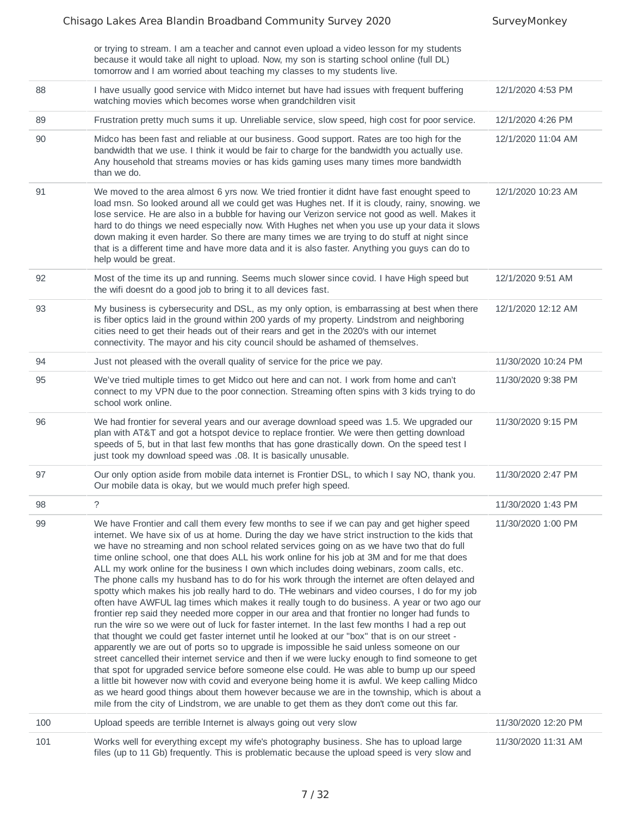|     | or trying to stream. I am a teacher and cannot even upload a video lesson for my students<br>because it would take all night to upload. Now, my son is starting school online (full DL)<br>tomorrow and I am worried about teaching my classes to my students live.                                                                                                                                                                                                                                                                                                                                                                                                                                                                                                                                                                                                                                                                                                                                                                                                                                                                                                                                                                                                                                                                                                                                                                                                                                                                                                                                                                                                                         |                     |
|-----|---------------------------------------------------------------------------------------------------------------------------------------------------------------------------------------------------------------------------------------------------------------------------------------------------------------------------------------------------------------------------------------------------------------------------------------------------------------------------------------------------------------------------------------------------------------------------------------------------------------------------------------------------------------------------------------------------------------------------------------------------------------------------------------------------------------------------------------------------------------------------------------------------------------------------------------------------------------------------------------------------------------------------------------------------------------------------------------------------------------------------------------------------------------------------------------------------------------------------------------------------------------------------------------------------------------------------------------------------------------------------------------------------------------------------------------------------------------------------------------------------------------------------------------------------------------------------------------------------------------------------------------------------------------------------------------------|---------------------|
| 88  | I have usually good service with Midco internet but have had issues with frequent buffering<br>watching movies which becomes worse when grandchildren visit                                                                                                                                                                                                                                                                                                                                                                                                                                                                                                                                                                                                                                                                                                                                                                                                                                                                                                                                                                                                                                                                                                                                                                                                                                                                                                                                                                                                                                                                                                                                 | 12/1/2020 4:53 PM   |
| 89  | Frustration pretty much sums it up. Unreliable service, slow speed, high cost for poor service.                                                                                                                                                                                                                                                                                                                                                                                                                                                                                                                                                                                                                                                                                                                                                                                                                                                                                                                                                                                                                                                                                                                                                                                                                                                                                                                                                                                                                                                                                                                                                                                             | 12/1/2020 4:26 PM   |
| 90  | Midco has been fast and reliable at our business. Good support. Rates are too high for the<br>bandwidth that we use. I think it would be fair to charge for the bandwidth you actually use.<br>Any household that streams movies or has kids gaming uses many times more bandwidth<br>than we do.                                                                                                                                                                                                                                                                                                                                                                                                                                                                                                                                                                                                                                                                                                                                                                                                                                                                                                                                                                                                                                                                                                                                                                                                                                                                                                                                                                                           | 12/1/2020 11:04 AM  |
| 91  | We moved to the area almost 6 yrs now. We tried frontier it didnt have fast enought speed to<br>load msn. So looked around all we could get was Hughes net. If it is cloudy, rainy, snowing. we<br>lose service. He are also in a bubble for having our Verizon service not good as well. Makes it<br>hard to do things we need especially now. With Hughes net when you use up your data it slows<br>down making it even harder. So there are many times we are trying to do stuff at night since<br>that is a different time and have more data and it is also faster. Anything you guys can do to<br>help would be great.                                                                                                                                                                                                                                                                                                                                                                                                                                                                                                                                                                                                                                                                                                                                                                                                                                                                                                                                                                                                                                                                | 12/1/2020 10:23 AM  |
| 92  | Most of the time its up and running. Seems much slower since covid. I have High speed but<br>the wifi doesnt do a good job to bring it to all devices fast.                                                                                                                                                                                                                                                                                                                                                                                                                                                                                                                                                                                                                                                                                                                                                                                                                                                                                                                                                                                                                                                                                                                                                                                                                                                                                                                                                                                                                                                                                                                                 | 12/1/2020 9:51 AM   |
| 93  | My business is cybersecurity and DSL, as my only option, is embarrassing at best when there<br>is fiber optics laid in the ground within 200 yards of my property. Lindstrom and neighboring<br>cities need to get their heads out of their rears and get in the 2020's with our internet<br>connectivity. The mayor and his city council should be ashamed of themselves.                                                                                                                                                                                                                                                                                                                                                                                                                                                                                                                                                                                                                                                                                                                                                                                                                                                                                                                                                                                                                                                                                                                                                                                                                                                                                                                  | 12/1/2020 12:12 AM  |
| 94  | Just not pleased with the overall quality of service for the price we pay.                                                                                                                                                                                                                                                                                                                                                                                                                                                                                                                                                                                                                                                                                                                                                                                                                                                                                                                                                                                                                                                                                                                                                                                                                                                                                                                                                                                                                                                                                                                                                                                                                  | 11/30/2020 10:24 PM |
| 95  | We've tried multiple times to get Midco out here and can not. I work from home and can't<br>connect to my VPN due to the poor connection. Streaming often spins with 3 kids trying to do<br>school work online.                                                                                                                                                                                                                                                                                                                                                                                                                                                                                                                                                                                                                                                                                                                                                                                                                                                                                                                                                                                                                                                                                                                                                                                                                                                                                                                                                                                                                                                                             | 11/30/2020 9:38 PM  |
| 96  | We had frontier for several years and our average download speed was 1.5. We upgraded our<br>plan with AT&T and got a hotspot device to replace frontier. We were then getting download<br>speeds of 5, but in that last few months that has gone drastically down. On the speed test I<br>just took my download speed was .08. It is basically unusable.                                                                                                                                                                                                                                                                                                                                                                                                                                                                                                                                                                                                                                                                                                                                                                                                                                                                                                                                                                                                                                                                                                                                                                                                                                                                                                                                   | 11/30/2020 9:15 PM  |
| 97  | Our only option aside from mobile data internet is Frontier DSL, to which I say NO, thank you.<br>Our mobile data is okay, but we would much prefer high speed.                                                                                                                                                                                                                                                                                                                                                                                                                                                                                                                                                                                                                                                                                                                                                                                                                                                                                                                                                                                                                                                                                                                                                                                                                                                                                                                                                                                                                                                                                                                             | 11/30/2020 2:47 PM  |
| 98  | ?                                                                                                                                                                                                                                                                                                                                                                                                                                                                                                                                                                                                                                                                                                                                                                                                                                                                                                                                                                                                                                                                                                                                                                                                                                                                                                                                                                                                                                                                                                                                                                                                                                                                                           | 11/30/2020 1:43 PM  |
| 99  | We have Frontier and call them every few months to see if we can pay and get higher speed<br>internet. We have six of us at home. During the day we have strict instruction to the kids that<br>we have no streaming and non school related services going on as we have two that do full<br>time online school, one that does ALL his work online for his job at 3M and for me that does<br>ALL my work online for the business I own which includes doing webinars, zoom calls, etc.<br>The phone calls my husband has to do for his work through the internet are often delayed and<br>spotty which makes his job really hard to do. THe webinars and video courses, I do for my job<br>often have AWFUL lag times which makes it really tough to do business. A year or two ago our<br>frontier rep said they needed more copper in our area and that frontier no longer had funds to<br>run the wire so we were out of luck for faster internet. In the last few months I had a rep out<br>that thought we could get faster internet until he looked at our "box" that is on our street -<br>apparently we are out of ports so to upgrade is impossible he said unless someone on our<br>street cancelled their internet service and then if we were lucky enough to find someone to get<br>that spot for upgraded service before someone else could. He was able to bump up our speed<br>a little bit however now with covid and everyone being home it is awful. We keep calling Midco<br>as we heard good things about them however because we are in the township, which is about a<br>mile from the city of Lindstrom, we are unable to get them as they don't come out this far. | 11/30/2020 1:00 PM  |
| 100 | Upload speeds are terrible Internet is always going out very slow                                                                                                                                                                                                                                                                                                                                                                                                                                                                                                                                                                                                                                                                                                                                                                                                                                                                                                                                                                                                                                                                                                                                                                                                                                                                                                                                                                                                                                                                                                                                                                                                                           | 11/30/2020 12:20 PM |
| 101 | Works well for everything except my wife's photography business. She has to upload large<br>files (up to 11 Gb) frequently. This is problematic because the upload speed is very slow and                                                                                                                                                                                                                                                                                                                                                                                                                                                                                                                                                                                                                                                                                                                                                                                                                                                                                                                                                                                                                                                                                                                                                                                                                                                                                                                                                                                                                                                                                                   | 11/30/2020 11:31 AM |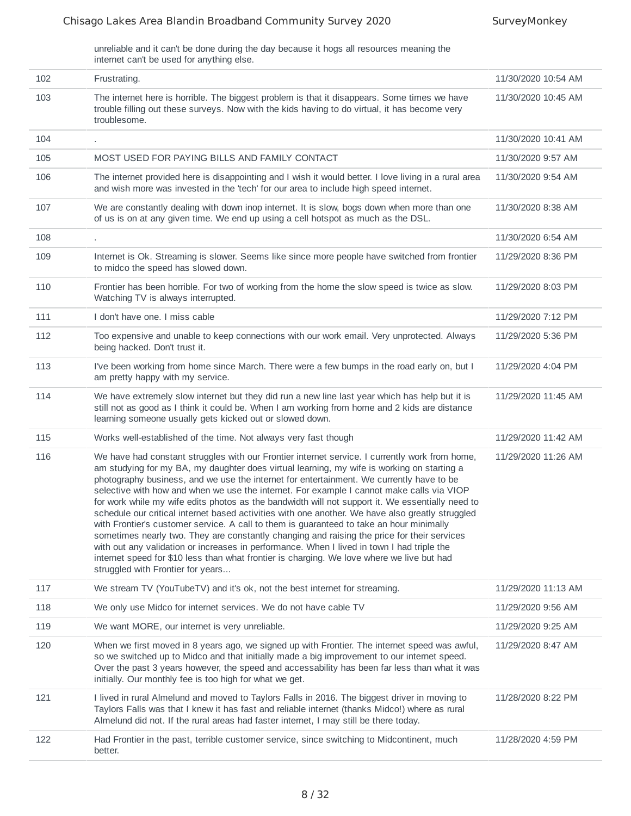unreliable and it can't be done during the day because it hogs all resources meaning the internet can't be used for anything else.

| 102 | Frustrating.                                                                                                                                                                                                                                                                                                                                                                                                                                                                                                                                                                                                                                                                                                                                                                                                                                                                                                                                                                                                              | 11/30/2020 10:54 AM |
|-----|---------------------------------------------------------------------------------------------------------------------------------------------------------------------------------------------------------------------------------------------------------------------------------------------------------------------------------------------------------------------------------------------------------------------------------------------------------------------------------------------------------------------------------------------------------------------------------------------------------------------------------------------------------------------------------------------------------------------------------------------------------------------------------------------------------------------------------------------------------------------------------------------------------------------------------------------------------------------------------------------------------------------------|---------------------|
| 103 | The internet here is horrible. The biggest problem is that it disappears. Some times we have<br>trouble filling out these surveys. Now with the kids having to do virtual, it has become very<br>troublesome.                                                                                                                                                                                                                                                                                                                                                                                                                                                                                                                                                                                                                                                                                                                                                                                                             | 11/30/2020 10:45 AM |
| 104 |                                                                                                                                                                                                                                                                                                                                                                                                                                                                                                                                                                                                                                                                                                                                                                                                                                                                                                                                                                                                                           | 11/30/2020 10:41 AM |
| 105 | MOST USED FOR PAYING BILLS AND FAMILY CONTACT                                                                                                                                                                                                                                                                                                                                                                                                                                                                                                                                                                                                                                                                                                                                                                                                                                                                                                                                                                             | 11/30/2020 9:57 AM  |
| 106 | The internet provided here is disappointing and I wish it would better. I love living in a rural area<br>and wish more was invested in the 'tech' for our area to include high speed internet.                                                                                                                                                                                                                                                                                                                                                                                                                                                                                                                                                                                                                                                                                                                                                                                                                            | 11/30/2020 9:54 AM  |
| 107 | We are constantly dealing with down inop internet. It is slow, bogs down when more than one<br>of us is on at any given time. We end up using a cell hotspot as much as the DSL.                                                                                                                                                                                                                                                                                                                                                                                                                                                                                                                                                                                                                                                                                                                                                                                                                                          | 11/30/2020 8:38 AM  |
| 108 |                                                                                                                                                                                                                                                                                                                                                                                                                                                                                                                                                                                                                                                                                                                                                                                                                                                                                                                                                                                                                           | 11/30/2020 6:54 AM  |
| 109 | Internet is Ok. Streaming is slower. Seems like since more people have switched from frontier<br>to midco the speed has slowed down.                                                                                                                                                                                                                                                                                                                                                                                                                                                                                                                                                                                                                                                                                                                                                                                                                                                                                      | 11/29/2020 8:36 PM  |
| 110 | Frontier has been horrible. For two of working from the home the slow speed is twice as slow.<br>Watching TV is always interrupted.                                                                                                                                                                                                                                                                                                                                                                                                                                                                                                                                                                                                                                                                                                                                                                                                                                                                                       | 11/29/2020 8:03 PM  |
| 111 | I don't have one. I miss cable                                                                                                                                                                                                                                                                                                                                                                                                                                                                                                                                                                                                                                                                                                                                                                                                                                                                                                                                                                                            | 11/29/2020 7:12 PM  |
| 112 | Too expensive and unable to keep connections with our work email. Very unprotected. Always<br>being hacked. Don't trust it.                                                                                                                                                                                                                                                                                                                                                                                                                                                                                                                                                                                                                                                                                                                                                                                                                                                                                               | 11/29/2020 5:36 PM  |
| 113 | I've been working from home since March. There were a few bumps in the road early on, but I<br>am pretty happy with my service.                                                                                                                                                                                                                                                                                                                                                                                                                                                                                                                                                                                                                                                                                                                                                                                                                                                                                           | 11/29/2020 4:04 PM  |
| 114 | We have extremely slow internet but they did run a new line last year which has help but it is<br>still not as good as I think it could be. When I am working from home and 2 kids are distance<br>learning someone usually gets kicked out or slowed down.                                                                                                                                                                                                                                                                                                                                                                                                                                                                                                                                                                                                                                                                                                                                                               | 11/29/2020 11:45 AM |
| 115 | Works well-established of the time. Not always very fast though                                                                                                                                                                                                                                                                                                                                                                                                                                                                                                                                                                                                                                                                                                                                                                                                                                                                                                                                                           | 11/29/2020 11:42 AM |
| 116 | We have had constant struggles with our Frontier internet service. I currently work from home,<br>am studying for my BA, my daughter does virtual learning, my wife is working on starting a<br>photography business, and we use the internet for entertainment. We currently have to be<br>selective with how and when we use the internet. For example I cannot make calls via VIOP<br>for work while my wife edits photos as the bandwidth will not support it. We essentially need to<br>schedule our critical internet based activities with one another. We have also greatly struggled<br>with Frontier's customer service. A call to them is guaranteed to take an hour minimally<br>sometimes nearly two. They are constantly changing and raising the price for their services<br>with out any validation or increases in performance. When I lived in town I had triple the<br>internet speed for \$10 less than what frontier is charging. We love where we live but had<br>struggled with Frontier for years | 11/29/2020 11:26 AM |
| 117 | We stream TV (YouTubeTV) and it's ok, not the best internet for streaming.                                                                                                                                                                                                                                                                                                                                                                                                                                                                                                                                                                                                                                                                                                                                                                                                                                                                                                                                                | 11/29/2020 11:13 AM |
| 118 | We only use Midco for internet services. We do not have cable TV                                                                                                                                                                                                                                                                                                                                                                                                                                                                                                                                                                                                                                                                                                                                                                                                                                                                                                                                                          | 11/29/2020 9:56 AM  |
| 119 | We want MORE, our internet is very unreliable.                                                                                                                                                                                                                                                                                                                                                                                                                                                                                                                                                                                                                                                                                                                                                                                                                                                                                                                                                                            | 11/29/2020 9:25 AM  |
| 120 | When we first moved in 8 years ago, we signed up with Frontier. The internet speed was awful,<br>so we switched up to Midco and that initially made a big improvement to our internet speed.<br>Over the past 3 years however, the speed and accessability has been far less than what it was<br>initially. Our monthly fee is too high for what we get.                                                                                                                                                                                                                                                                                                                                                                                                                                                                                                                                                                                                                                                                  | 11/29/2020 8:47 AM  |
| 121 | I lived in rural Almelund and moved to Taylors Falls in 2016. The biggest driver in moving to<br>Taylors Falls was that I knew it has fast and reliable internet (thanks Midco!) where as rural<br>Almelund did not. If the rural areas had faster internet, I may still be there today.                                                                                                                                                                                                                                                                                                                                                                                                                                                                                                                                                                                                                                                                                                                                  | 11/28/2020 8:22 PM  |
| 122 | Had Frontier in the past, terrible customer service, since switching to Midcontinent, much<br>better.                                                                                                                                                                                                                                                                                                                                                                                                                                                                                                                                                                                                                                                                                                                                                                                                                                                                                                                     | 11/28/2020 4:59 PM  |
|     |                                                                                                                                                                                                                                                                                                                                                                                                                                                                                                                                                                                                                                                                                                                                                                                                                                                                                                                                                                                                                           |                     |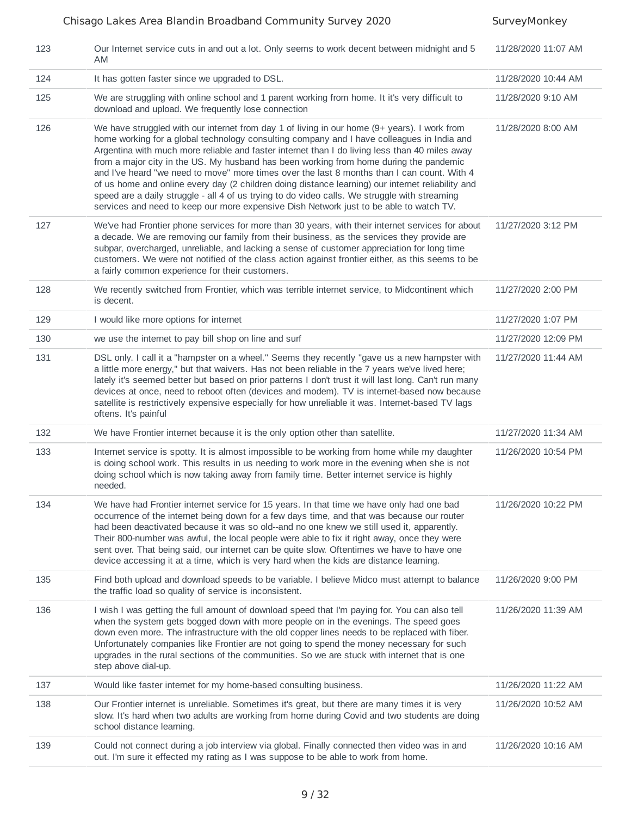| 123 | Our Internet service cuts in and out a lot. Only seems to work decent between midnight and 5<br>AM                                                                                                                                                                                                                                                                                                                                                                                                                                                                                                                                                                                                                                                                                    | 11/28/2020 11:07 AM |
|-----|---------------------------------------------------------------------------------------------------------------------------------------------------------------------------------------------------------------------------------------------------------------------------------------------------------------------------------------------------------------------------------------------------------------------------------------------------------------------------------------------------------------------------------------------------------------------------------------------------------------------------------------------------------------------------------------------------------------------------------------------------------------------------------------|---------------------|
| 124 | It has gotten faster since we upgraded to DSL.                                                                                                                                                                                                                                                                                                                                                                                                                                                                                                                                                                                                                                                                                                                                        | 11/28/2020 10:44 AM |
| 125 | We are struggling with online school and 1 parent working from home. It it's very difficult to<br>download and upload. We frequently lose connection                                                                                                                                                                                                                                                                                                                                                                                                                                                                                                                                                                                                                                  | 11/28/2020 9:10 AM  |
| 126 | We have struggled with our internet from day 1 of living in our home (9+ years). I work from<br>home working for a global technology consulting company and I have colleagues in India and<br>Argentina with much more reliable and faster internet than I do living less than 40 miles away<br>from a major city in the US. My husband has been working from home during the pandemic<br>and I've heard "we need to move" more times over the last 8 months than I can count. With 4<br>of us home and online every day (2 children doing distance learning) our internet reliability and<br>speed are a daily struggle - all 4 of us trying to do video calls. We struggle with streaming<br>services and need to keep our more expensive Dish Network just to be able to watch TV. | 11/28/2020 8:00 AM  |
| 127 | We've had Frontier phone services for more than 30 years, with their internet services for about<br>a decade. We are removing our family from their business, as the services they provide are<br>subpar, overcharged, unreliable, and lacking a sense of customer appreciation for long time<br>customers. We were not notified of the class action against frontier either, as this seems to be<br>a fairly common experience for their customers.                                                                                                                                                                                                                                                                                                                                  | 11/27/2020 3:12 PM  |
| 128 | We recently switched from Frontier, which was terrible internet service, to Midcontinent which<br>is decent.                                                                                                                                                                                                                                                                                                                                                                                                                                                                                                                                                                                                                                                                          | 11/27/2020 2:00 PM  |
| 129 | I would like more options for internet                                                                                                                                                                                                                                                                                                                                                                                                                                                                                                                                                                                                                                                                                                                                                | 11/27/2020 1:07 PM  |
| 130 | we use the internet to pay bill shop on line and surf                                                                                                                                                                                                                                                                                                                                                                                                                                                                                                                                                                                                                                                                                                                                 | 11/27/2020 12:09 PM |
| 131 | DSL only. I call it a "hampster on a wheel." Seems they recently "gave us a new hampster with<br>a little more energy," but that waivers. Has not been reliable in the 7 years we've lived here;<br>lately it's seemed better but based on prior patterns I don't trust it will last long. Can't run many<br>devices at once, need to reboot often (devices and modem). TV is internet-based now because<br>satellite is restrictively expensive especially for how unreliable it was. Internet-based TV lags<br>oftens. It's painful                                                                                                                                                                                                                                                 | 11/27/2020 11:44 AM |
| 132 | We have Frontier internet because it is the only option other than satellite.                                                                                                                                                                                                                                                                                                                                                                                                                                                                                                                                                                                                                                                                                                         | 11/27/2020 11:34 AM |
| 133 | Internet service is spotty. It is almost impossible to be working from home while my daughter<br>is doing school work. This results in us needing to work more in the evening when she is not<br>doing school which is now taking away from family time. Better internet service is highly<br>needed.                                                                                                                                                                                                                                                                                                                                                                                                                                                                                 | 11/26/2020 10:54 PM |
| 134 | We have had Frontier internet service for 15 years. In that time we have only had one bad<br>occurrence of the internet being down for a few days time, and that was because our router<br>had been deactivated because it was so old--and no one knew we still used it, apparently.<br>Their 800-number was awful, the local people were able to fix it right away, once they were<br>sent over. That being said, our internet can be quite slow. Oftentimes we have to have one<br>device accessing it at a time, which is very hard when the kids are distance learning.                                                                                                                                                                                                           | 11/26/2020 10:22 PM |
| 135 | Find both upload and download speeds to be variable. I believe Midco must attempt to balance<br>the traffic load so quality of service is inconsistent.                                                                                                                                                                                                                                                                                                                                                                                                                                                                                                                                                                                                                               | 11/26/2020 9:00 PM  |
| 136 | I wish I was getting the full amount of download speed that I'm paying for. You can also tell<br>when the system gets bogged down with more people on in the evenings. The speed goes<br>down even more. The infrastructure with the old copper lines needs to be replaced with fiber.<br>Unfortunately companies like Frontier are not going to spend the money necessary for such<br>upgrades in the rural sections of the communities. So we are stuck with internet that is one<br>step above dial-up.                                                                                                                                                                                                                                                                            | 11/26/2020 11:39 AM |
| 137 | Would like faster internet for my home-based consulting business.                                                                                                                                                                                                                                                                                                                                                                                                                                                                                                                                                                                                                                                                                                                     | 11/26/2020 11:22 AM |
| 138 | Our Frontier internet is unreliable. Sometimes it's great, but there are many times it is very<br>slow. It's hard when two adults are working from home during Covid and two students are doing<br>school distance learning.                                                                                                                                                                                                                                                                                                                                                                                                                                                                                                                                                          | 11/26/2020 10:52 AM |
| 139 | Could not connect during a job interview via global. Finally connected then video was in and<br>out. I'm sure it effected my rating as I was suppose to be able to work from home.                                                                                                                                                                                                                                                                                                                                                                                                                                                                                                                                                                                                    | 11/26/2020 10:16 AM |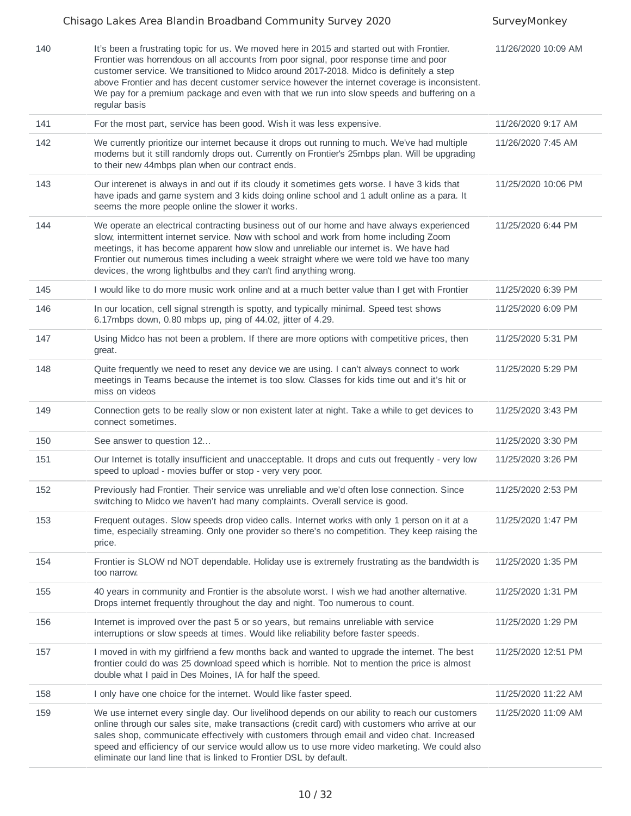|     | Chisago Lakes Area Blandin Broadband Community Survey 2020                                                                                                                                                                                                                                                                                                                                                                                                                                     | SurveyMonkey        |
|-----|------------------------------------------------------------------------------------------------------------------------------------------------------------------------------------------------------------------------------------------------------------------------------------------------------------------------------------------------------------------------------------------------------------------------------------------------------------------------------------------------|---------------------|
| 140 | It's been a frustrating topic for us. We moved here in 2015 and started out with Frontier.<br>Frontier was horrendous on all accounts from poor signal, poor response time and poor<br>customer service. We transitioned to Midco around 2017-2018. Midco is definitely a step<br>above Frontier and has decent customer service however the internet coverage is inconsistent.<br>We pay for a premium package and even with that we run into slow speeds and buffering on a<br>regular basis | 11/26/2020 10:09 AM |
| 141 | For the most part, service has been good. Wish it was less expensive.                                                                                                                                                                                                                                                                                                                                                                                                                          | 11/26/2020 9:17 AM  |
| 142 | We currently prioritize our internet because it drops out running to much. We've had multiple<br>modems but it still randomly drops out. Currently on Frontier's 25mbps plan. Will be upgrading<br>to their new 44mbps plan when our contract ends.                                                                                                                                                                                                                                            | 11/26/2020 7:45 AM  |
| 143 | Our interenet is always in and out if its cloudy it sometimes gets worse. I have 3 kids that<br>have ipads and game system and 3 kids doing online school and 1 adult online as a para. It<br>seems the more people online the slower it works.                                                                                                                                                                                                                                                | 11/25/2020 10:06 PM |
| 144 | We operate an electrical contracting business out of our home and have always experienced<br>slow, intermittent internet service. Now with school and work from home including Zoom<br>meetings, it has become apparent how slow and unreliable our internet is. We have had<br>Frontier out numerous times including a week straight where we were told we have too many<br>devices, the wrong lightbulbs and they can't find anything wrong.                                                 | 11/25/2020 6:44 PM  |
| 145 | I would like to do more music work online and at a much better value than I get with Frontier                                                                                                                                                                                                                                                                                                                                                                                                  | 11/25/2020 6:39 PM  |
| 146 | In our location, cell signal strength is spotty, and typically minimal. Speed test shows<br>6.17mbps down, 0.80 mbps up, ping of 44.02, jitter of 4.29.                                                                                                                                                                                                                                                                                                                                        | 11/25/2020 6:09 PM  |
| 147 | Using Midco has not been a problem. If there are more options with competitive prices, then<br>great.                                                                                                                                                                                                                                                                                                                                                                                          | 11/25/2020 5:31 PM  |
| 148 | Quite frequently we need to reset any device we are using. I can't always connect to work<br>meetings in Teams because the internet is too slow. Classes for kids time out and it's hit or<br>miss on videos                                                                                                                                                                                                                                                                                   | 11/25/2020 5:29 PM  |
| 149 | Connection gets to be really slow or non existent later at night. Take a while to get devices to<br>connect sometimes.                                                                                                                                                                                                                                                                                                                                                                         | 11/25/2020 3:43 PM  |
| 150 | See answer to question 12                                                                                                                                                                                                                                                                                                                                                                                                                                                                      | 11/25/2020 3:30 PM  |
| 151 | Our Internet is totally insufficient and unacceptable. It drops and cuts out frequently - very low<br>speed to upload - movies buffer or stop - very very poor.                                                                                                                                                                                                                                                                                                                                | 11/25/2020 3:26 PM  |
| 152 | Previously had Frontier. Their service was unreliable and we'd often lose connection. Since<br>switching to Midco we haven't had many complaints. Overall service is good.                                                                                                                                                                                                                                                                                                                     | 11/25/2020 2:53 PM  |
| 153 | Frequent outages. Slow speeds drop video calls. Internet works with only 1 person on it at a<br>time, especially streaming. Only one provider so there's no competition. They keep raising the<br>price.                                                                                                                                                                                                                                                                                       | 11/25/2020 1:47 PM  |
| 154 | Frontier is SLOW nd NOT dependable. Holiday use is extremely frustrating as the bandwidth is<br>too narrow.                                                                                                                                                                                                                                                                                                                                                                                    | 11/25/2020 1:35 PM  |
| 155 | 40 years in community and Frontier is the absolute worst. I wish we had another alternative.<br>Drops internet frequently throughout the day and night. Too numerous to count.                                                                                                                                                                                                                                                                                                                 | 11/25/2020 1:31 PM  |
| 156 | Internet is improved over the past 5 or so years, but remains unreliable with service<br>interruptions or slow speeds at times. Would like reliability before faster speeds.                                                                                                                                                                                                                                                                                                                   | 11/25/2020 1:29 PM  |
| 157 | I moved in with my girlfriend a few months back and wanted to upgrade the internet. The best<br>frontier could do was 25 download speed which is horrible. Not to mention the price is almost<br>double what I paid in Des Moines, IA for half the speed.                                                                                                                                                                                                                                      | 11/25/2020 12:51 PM |
| 158 | I only have one choice for the internet. Would like faster speed.                                                                                                                                                                                                                                                                                                                                                                                                                              | 11/25/2020 11:22 AM |
| 159 | We use internet every single day. Our livelihood depends on our ability to reach our customers<br>online through our sales site, make transactions (credit card) with customers who arrive at our<br>sales shop, communicate effectively with customers through email and video chat. Increased<br>speed and efficiency of our service would allow us to use more video marketing. We could also<br>eliminate our land line that is linked to Frontier DSL by default.                         | 11/25/2020 11:09 AM |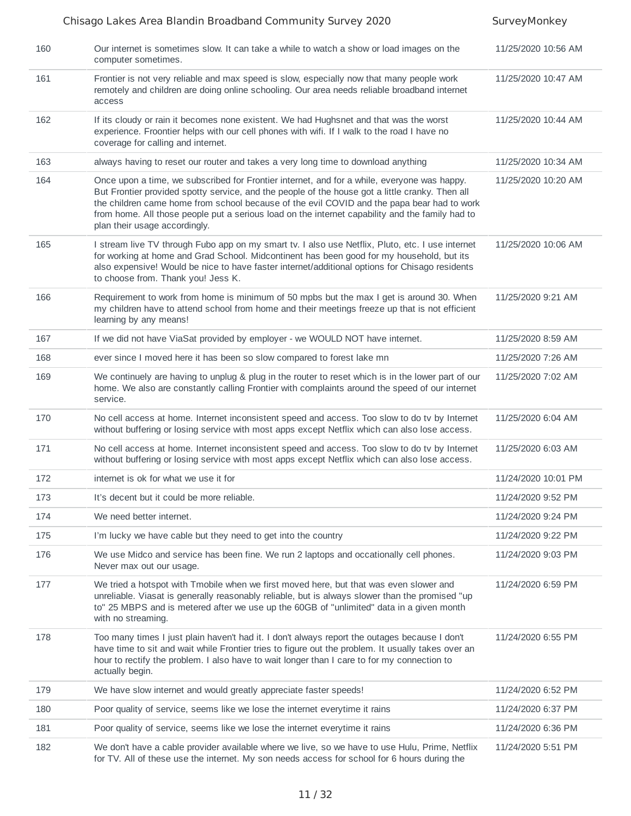|     | Chisago Lakes Area Blandin Broadband Community Survey 2020                                                                                                                                                                                                                                                                                                                                                                       | SurveyMonkey        |
|-----|----------------------------------------------------------------------------------------------------------------------------------------------------------------------------------------------------------------------------------------------------------------------------------------------------------------------------------------------------------------------------------------------------------------------------------|---------------------|
| 160 | Our internet is sometimes slow. It can take a while to watch a show or load images on the<br>computer sometimes.                                                                                                                                                                                                                                                                                                                 | 11/25/2020 10:56 AM |
| 161 | Frontier is not very reliable and max speed is slow, especially now that many people work<br>remotely and children are doing online schooling. Our area needs reliable broadband internet<br>access                                                                                                                                                                                                                              | 11/25/2020 10:47 AM |
| 162 | If its cloudy or rain it becomes none existent. We had Hughsnet and that was the worst<br>experience. Froontier helps with our cell phones with wifi. If I walk to the road I have no<br>coverage for calling and internet.                                                                                                                                                                                                      | 11/25/2020 10:44 AM |
| 163 | always having to reset our router and takes a very long time to download anything                                                                                                                                                                                                                                                                                                                                                | 11/25/2020 10:34 AM |
| 164 | Once upon a time, we subscribed for Frontier internet, and for a while, everyone was happy.<br>But Frontier provided spotty service, and the people of the house got a little cranky. Then all<br>the children came home from school because of the evil COVID and the papa bear had to work<br>from home. All those people put a serious load on the internet capability and the family had to<br>plan their usage accordingly. | 11/25/2020 10:20 AM |
| 165 | I stream live TV through Fubo app on my smart tv. I also use Netflix, Pluto, etc. I use internet<br>for working at home and Grad School. Midcontinent has been good for my household, but its<br>also expensive! Would be nice to have faster internet/additional options for Chisago residents<br>to choose from. Thank you! Jess K.                                                                                            | 11/25/2020 10:06 AM |
| 166 | Requirement to work from home is minimum of 50 mpbs but the max I get is around 30. When<br>my children have to attend school from home and their meetings freeze up that is not efficient<br>learning by any means!                                                                                                                                                                                                             | 11/25/2020 9:21 AM  |
| 167 | If we did not have ViaSat provided by employer - we WOULD NOT have internet.                                                                                                                                                                                                                                                                                                                                                     | 11/25/2020 8:59 AM  |
| 168 | ever since I moved here it has been so slow compared to forest lake mn                                                                                                                                                                                                                                                                                                                                                           | 11/25/2020 7:26 AM  |
| 169 | We continuely are having to unplug & plug in the router to reset which is in the lower part of our<br>home. We also are constantly calling Frontier with complaints around the speed of our internet<br>service.                                                                                                                                                                                                                 | 11/25/2020 7:02 AM  |
| 170 | No cell access at home. Internet inconsistent speed and access. Too slow to do tv by Internet<br>without buffering or losing service with most apps except Netflix which can also lose access.                                                                                                                                                                                                                                   | 11/25/2020 6:04 AM  |
| 171 | No cell access at home. Internet inconsistent speed and access. Too slow to do tv by Internet<br>without buffering or losing service with most apps except Netflix which can also lose access.                                                                                                                                                                                                                                   | 11/25/2020 6:03 AM  |
| 172 | internet is ok for what we use it for                                                                                                                                                                                                                                                                                                                                                                                            | 11/24/2020 10:01 PM |
| 173 | It's decent but it could be more reliable.                                                                                                                                                                                                                                                                                                                                                                                       | 11/24/2020 9:52 PM  |
| 174 | We need better internet.                                                                                                                                                                                                                                                                                                                                                                                                         | 11/24/2020 9:24 PM  |
| 175 | I'm lucky we have cable but they need to get into the country                                                                                                                                                                                                                                                                                                                                                                    | 11/24/2020 9:22 PM  |
| 176 | We use Midco and service has been fine. We run 2 laptops and occationally cell phones.<br>Never max out our usage.                                                                                                                                                                                                                                                                                                               | 11/24/2020 9:03 PM  |
| 177 | We tried a hotspot with Tmobile when we first moved here, but that was even slower and<br>unreliable. Viasat is generally reasonably reliable, but is always slower than the promised "up<br>to" 25 MBPS and is metered after we use up the 60GB of "unlimited" data in a given month<br>with no streaming.                                                                                                                      | 11/24/2020 6:59 PM  |
| 178 | Too many times I just plain haven't had it. I don't always report the outages because I don't<br>have time to sit and wait while Frontier tries to figure out the problem. It usually takes over an<br>hour to rectify the problem. I also have to wait longer than I care to for my connection to<br>actually begin.                                                                                                            | 11/24/2020 6:55 PM  |
| 179 | We have slow internet and would greatly appreciate faster speeds!                                                                                                                                                                                                                                                                                                                                                                | 11/24/2020 6:52 PM  |
| 180 | Poor quality of service, seems like we lose the internet everytime it rains                                                                                                                                                                                                                                                                                                                                                      | 11/24/2020 6:37 PM  |
| 181 | Poor quality of service, seems like we lose the internet everytime it rains                                                                                                                                                                                                                                                                                                                                                      | 11/24/2020 6:36 PM  |
| 182 | We don't have a cable provider available where we live, so we have to use Hulu, Prime, Netflix<br>for TV. All of these use the internet. My son needs access for school for 6 hours during the                                                                                                                                                                                                                                   | 11/24/2020 5:51 PM  |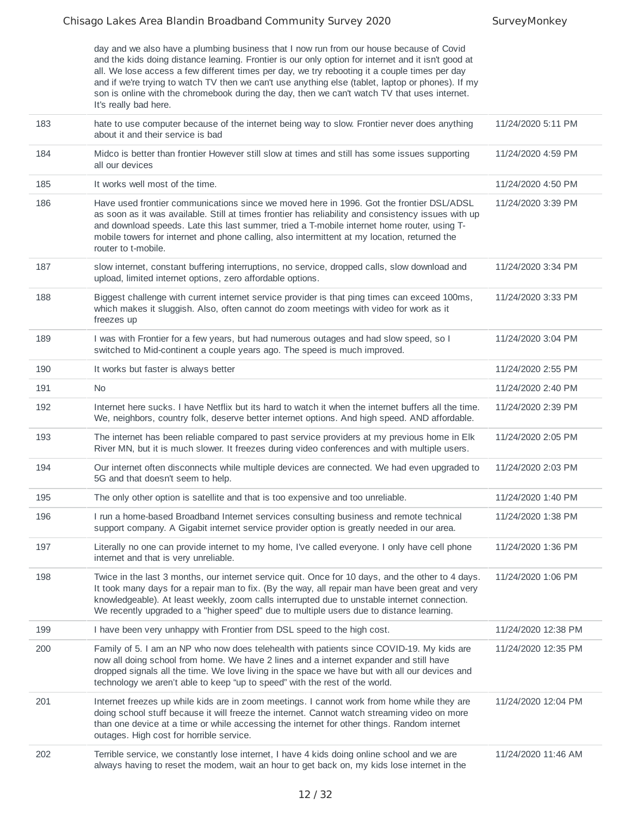day and we also have a plumbing business that I now run from our house because of Covid and the kids doing distance learning. Frontier is our only option for internet and it isn't good at all. We lose access a few different times per day, we try rebooting it a couple times per day and if we're trying to watch TV then we can't use anything else (tablet, laptop or phones). If my son is online with the chromebook during the day, then we can't watch TV that uses internet. It's really bad here.

| 183 | hate to use computer because of the internet being way to slow. Frontier never does anything<br>about it and their service is bad                                                                                                                                                                                                                                                                                     | 11/24/2020 5:11 PM  |
|-----|-----------------------------------------------------------------------------------------------------------------------------------------------------------------------------------------------------------------------------------------------------------------------------------------------------------------------------------------------------------------------------------------------------------------------|---------------------|
| 184 | Midco is better than frontier However still slow at times and still has some issues supporting<br>all our devices                                                                                                                                                                                                                                                                                                     | 11/24/2020 4:59 PM  |
| 185 | It works well most of the time.                                                                                                                                                                                                                                                                                                                                                                                       | 11/24/2020 4:50 PM  |
| 186 | Have used frontier communications since we moved here in 1996. Got the frontier DSL/ADSL<br>as soon as it was available. Still at times frontier has reliability and consistency issues with up<br>and download speeds. Late this last summer, tried a T-mobile internet home router, using T-<br>mobile towers for internet and phone calling, also intermittent at my location, returned the<br>router to t-mobile. | 11/24/2020 3:39 PM  |
| 187 | slow internet, constant buffering interruptions, no service, dropped calls, slow download and<br>upload, limited internet options, zero affordable options.                                                                                                                                                                                                                                                           | 11/24/2020 3:34 PM  |
| 188 | Biggest challenge with current internet service provider is that ping times can exceed 100ms,<br>which makes it sluggish. Also, often cannot do zoom meetings with video for work as it<br>freezes up                                                                                                                                                                                                                 | 11/24/2020 3:33 PM  |
| 189 | I was with Frontier for a few years, but had numerous outages and had slow speed, so I<br>switched to Mid-continent a couple years ago. The speed is much improved.                                                                                                                                                                                                                                                   | 11/24/2020 3:04 PM  |
| 190 | It works but faster is always better                                                                                                                                                                                                                                                                                                                                                                                  | 11/24/2020 2:55 PM  |
| 191 | No                                                                                                                                                                                                                                                                                                                                                                                                                    | 11/24/2020 2:40 PM  |
| 192 | Internet here sucks. I have Netflix but its hard to watch it when the internet buffers all the time.<br>We, neighbors, country folk, deserve better internet options. And high speed. AND affordable.                                                                                                                                                                                                                 | 11/24/2020 2:39 PM  |
| 193 | The internet has been reliable compared to past service providers at my previous home in Elk<br>River MN, but it is much slower. It freezes during video conferences and with multiple users.                                                                                                                                                                                                                         | 11/24/2020 2:05 PM  |
| 194 | Our internet often disconnects while multiple devices are connected. We had even upgraded to<br>5G and that doesn't seem to help.                                                                                                                                                                                                                                                                                     | 11/24/2020 2:03 PM  |
| 195 | The only other option is satellite and that is too expensive and too unreliable.                                                                                                                                                                                                                                                                                                                                      | 11/24/2020 1:40 PM  |
| 196 | I run a home-based Broadband Internet services consulting business and remote technical<br>support company. A Gigabit internet service provider option is greatly needed in our area.                                                                                                                                                                                                                                 | 11/24/2020 1:38 PM  |
| 197 | Literally no one can provide internet to my home, I've called everyone. I only have cell phone<br>internet and that is very unreliable.                                                                                                                                                                                                                                                                               | 11/24/2020 1:36 PM  |
| 198 | Twice in the last 3 months, our internet service quit. Once for 10 days, and the other to 4 days.<br>It took many days for a repair man to fix. (By the way, all repair man have been great and very<br>knowledgeable). At least weekly, zoom calls interrupted due to unstable internet connection.<br>We recently upgraded to a "higher speed" due to multiple users due to distance learning.                      | 11/24/2020 1:06 PM  |
| 199 | I have been very unhappy with Frontier from DSL speed to the high cost.                                                                                                                                                                                                                                                                                                                                               | 11/24/2020 12:38 PM |
| 200 | Family of 5. I am an NP who now does telehealth with patients since COVID-19. My kids are<br>now all doing school from home. We have 2 lines and a internet expander and still have<br>dropped signals all the time. We love living in the space we have but with all our devices and<br>technology we aren't able to keep "up to speed" with the rest of the world.                                                  | 11/24/2020 12:35 PM |
| 201 | Internet freezes up while kids are in zoom meetings. I cannot work from home while they are<br>doing school stuff because it will freeze the internet. Cannot watch streaming video on more<br>than one device at a time or while accessing the internet for other things. Random internet<br>outages. High cost for horrible service.                                                                                | 11/24/2020 12:04 PM |
| 202 | Terrible service, we constantly lose internet, I have 4 kids doing online school and we are<br>always having to reset the modem, wait an hour to get back on, my kids lose internet in the                                                                                                                                                                                                                            | 11/24/2020 11:46 AM |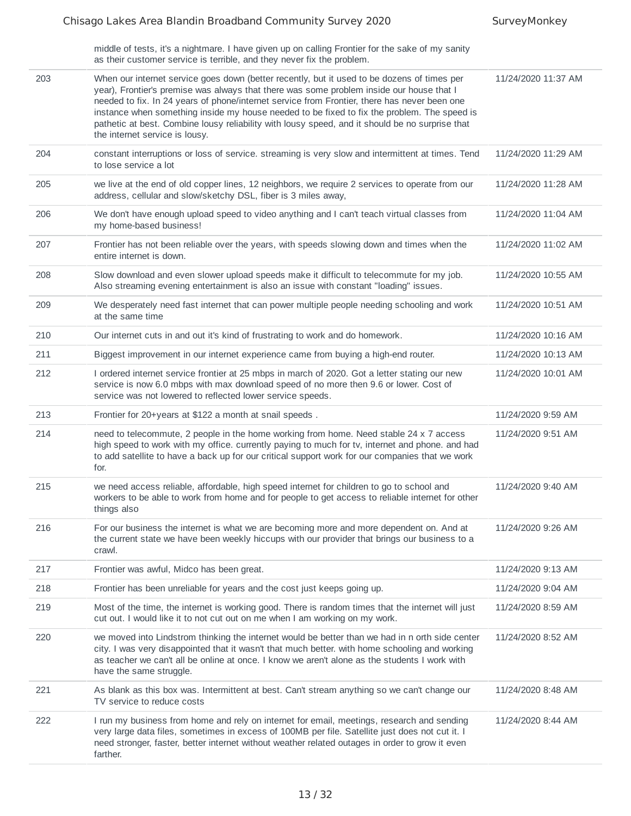middle of tests, it's a nightmare. I have given up on calling Frontier for the sake of my sanity

|     | as their customer service is terrible, and they never fix the problem.                                                                                                                                                                                                                                                                                                                                                                                                                                                      |                     |
|-----|-----------------------------------------------------------------------------------------------------------------------------------------------------------------------------------------------------------------------------------------------------------------------------------------------------------------------------------------------------------------------------------------------------------------------------------------------------------------------------------------------------------------------------|---------------------|
| 203 | When our internet service goes down (better recently, but it used to be dozens of times per<br>year), Frontier's premise was always that there was some problem inside our house that I<br>needed to fix. In 24 years of phone/internet service from Frontier, there has never been one<br>instance when something inside my house needed to be fixed to fix the problem. The speed is<br>pathetic at best. Combine lousy reliability with lousy speed, and it should be no surprise that<br>the internet service is lousy. | 11/24/2020 11:37 AM |
| 204 | constant interruptions or loss of service. streaming is very slow and intermittent at times. Tend<br>to lose service a lot                                                                                                                                                                                                                                                                                                                                                                                                  | 11/24/2020 11:29 AM |
| 205 | we live at the end of old copper lines, 12 neighbors, we require 2 services to operate from our<br>address, cellular and slow/sketchy DSL, fiber is 3 miles away,                                                                                                                                                                                                                                                                                                                                                           | 11/24/2020 11:28 AM |
| 206 | We don't have enough upload speed to video anything and I can't teach virtual classes from<br>my home-based business!                                                                                                                                                                                                                                                                                                                                                                                                       | 11/24/2020 11:04 AM |
| 207 | Frontier has not been reliable over the years, with speeds slowing down and times when the<br>entire internet is down.                                                                                                                                                                                                                                                                                                                                                                                                      | 11/24/2020 11:02 AM |
| 208 | Slow download and even slower upload speeds make it difficult to telecommute for my job.<br>Also streaming evening entertainment is also an issue with constant "loading" issues.                                                                                                                                                                                                                                                                                                                                           | 11/24/2020 10:55 AM |
| 209 | We desperately need fast internet that can power multiple people needing schooling and work<br>at the same time                                                                                                                                                                                                                                                                                                                                                                                                             | 11/24/2020 10:51 AM |
| 210 | Our internet cuts in and out it's kind of frustrating to work and do homework.                                                                                                                                                                                                                                                                                                                                                                                                                                              | 11/24/2020 10:16 AM |
| 211 | Biggest improvement in our internet experience came from buying a high-end router.                                                                                                                                                                                                                                                                                                                                                                                                                                          | 11/24/2020 10:13 AM |
| 212 | I ordered internet service frontier at 25 mbps in march of 2020. Got a letter stating our new<br>service is now 6.0 mbps with max download speed of no more then 9.6 or lower. Cost of<br>service was not lowered to reflected lower service speeds.                                                                                                                                                                                                                                                                        | 11/24/2020 10:01 AM |
|     |                                                                                                                                                                                                                                                                                                                                                                                                                                                                                                                             |                     |
| 213 | Frontier for 20+years at \$122 a month at snail speeds.                                                                                                                                                                                                                                                                                                                                                                                                                                                                     | 11/24/2020 9:59 AM  |
| 214 | need to telecommute, 2 people in the home working from home. Need stable 24 x 7 access<br>high speed to work with my office. currently paying to much for tv, internet and phone. and had<br>to add satellite to have a back up for our critical support work for our companies that we work<br>for.                                                                                                                                                                                                                        | 11/24/2020 9:51 AM  |
| 215 | we need access reliable, affordable, high speed internet for children to go to school and<br>workers to be able to work from home and for people to get access to reliable internet for other<br>things also                                                                                                                                                                                                                                                                                                                | 11/24/2020 9:40 AM  |
| 216 | For our business the internet is what we are becoming more and more dependent on. And at<br>the current state we have been weekly hiccups with our provider that brings our business to a<br>crawl.                                                                                                                                                                                                                                                                                                                         | 11/24/2020 9:26 AM  |
| 217 | Frontier was awful, Midco has been great.                                                                                                                                                                                                                                                                                                                                                                                                                                                                                   | 11/24/2020 9:13 AM  |
| 218 | Frontier has been unreliable for years and the cost just keeps going up.                                                                                                                                                                                                                                                                                                                                                                                                                                                    | 11/24/2020 9:04 AM  |
| 219 | Most of the time, the internet is working good. There is random times that the internet will just<br>cut out. I would like it to not cut out on me when I am working on my work.                                                                                                                                                                                                                                                                                                                                            | 11/24/2020 8:59 AM  |
| 220 | we moved into Lindstrom thinking the internet would be better than we had in n orth side center<br>city. I was very disappointed that it wasn't that much better. with home schooling and working<br>as teacher we can't all be online at once. I know we aren't alone as the students I work with<br>have the same struggle.                                                                                                                                                                                               | 11/24/2020 8:52 AM  |
| 221 | As blank as this box was. Intermittent at best. Can't stream anything so we can't change our<br>TV service to reduce costs                                                                                                                                                                                                                                                                                                                                                                                                  | 11/24/2020 8:48 AM  |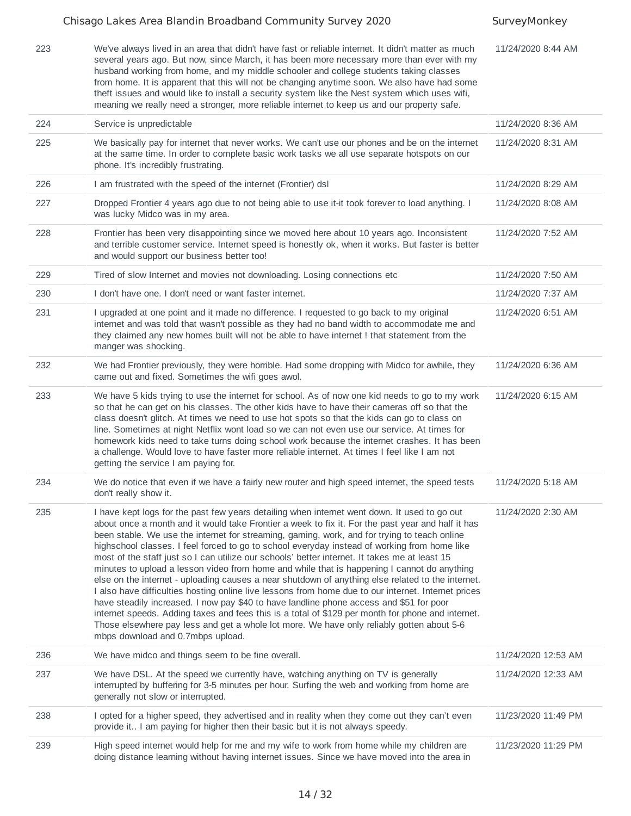|     | Chisago Lakes Area Blandin Broadband Community Survey 2020                                                                                                                                                                                                                                                                                                                                                                                                                                                                                                                                                                                                                                                                                                                                                                                                                                                                                                                                                                                                                                                                                      | SurveyMonkey        |
|-----|-------------------------------------------------------------------------------------------------------------------------------------------------------------------------------------------------------------------------------------------------------------------------------------------------------------------------------------------------------------------------------------------------------------------------------------------------------------------------------------------------------------------------------------------------------------------------------------------------------------------------------------------------------------------------------------------------------------------------------------------------------------------------------------------------------------------------------------------------------------------------------------------------------------------------------------------------------------------------------------------------------------------------------------------------------------------------------------------------------------------------------------------------|---------------------|
| 223 | We've always lived in an area that didn't have fast or reliable internet. It didn't matter as much<br>several years ago. But now, since March, it has been more necessary more than ever with my<br>husband working from home, and my middle schooler and college students taking classes<br>from home. It is apparent that this will not be changing anytime soon. We also have had some<br>theft issues and would like to install a security system like the Nest system which uses wifi,<br>meaning we really need a stronger, more reliable internet to keep us and our property safe.                                                                                                                                                                                                                                                                                                                                                                                                                                                                                                                                                      | 11/24/2020 8:44 AM  |
| 224 | Service is unpredictable                                                                                                                                                                                                                                                                                                                                                                                                                                                                                                                                                                                                                                                                                                                                                                                                                                                                                                                                                                                                                                                                                                                        | 11/24/2020 8:36 AM  |
| 225 | We basically pay for internet that never works. We can't use our phones and be on the internet<br>at the same time. In order to complete basic work tasks we all use separate hotspots on our<br>phone. It's incredibly frustrating.                                                                                                                                                                                                                                                                                                                                                                                                                                                                                                                                                                                                                                                                                                                                                                                                                                                                                                            | 11/24/2020 8:31 AM  |
| 226 | I am frustrated with the speed of the internet (Frontier) dsI                                                                                                                                                                                                                                                                                                                                                                                                                                                                                                                                                                                                                                                                                                                                                                                                                                                                                                                                                                                                                                                                                   | 11/24/2020 8:29 AM  |
| 227 | Dropped Frontier 4 years ago due to not being able to use it-it took forever to load anything. I<br>was lucky Midco was in my area.                                                                                                                                                                                                                                                                                                                                                                                                                                                                                                                                                                                                                                                                                                                                                                                                                                                                                                                                                                                                             | 11/24/2020 8:08 AM  |
| 228 | Frontier has been very disappointing since we moved here about 10 years ago. Inconsistent<br>and terrible customer service. Internet speed is honestly ok, when it works. But faster is better<br>and would support our business better too!                                                                                                                                                                                                                                                                                                                                                                                                                                                                                                                                                                                                                                                                                                                                                                                                                                                                                                    | 11/24/2020 7:52 AM  |
| 229 | Tired of slow Internet and movies not downloading. Losing connections etc.                                                                                                                                                                                                                                                                                                                                                                                                                                                                                                                                                                                                                                                                                                                                                                                                                                                                                                                                                                                                                                                                      | 11/24/2020 7:50 AM  |
| 230 | I don't have one. I don't need or want faster internet.                                                                                                                                                                                                                                                                                                                                                                                                                                                                                                                                                                                                                                                                                                                                                                                                                                                                                                                                                                                                                                                                                         | 11/24/2020 7:37 AM  |
| 231 | I upgraded at one point and it made no difference. I requested to go back to my original<br>internet and was told that wasn't possible as they had no band width to accommodate me and<br>they claimed any new homes built will not be able to have internet ! that statement from the<br>manger was shocking.                                                                                                                                                                                                                                                                                                                                                                                                                                                                                                                                                                                                                                                                                                                                                                                                                                  | 11/24/2020 6:51 AM  |
| 232 | We had Frontier previously, they were horrible. Had some dropping with Midco for awhile, they<br>came out and fixed. Sometimes the wifi goes awol.                                                                                                                                                                                                                                                                                                                                                                                                                                                                                                                                                                                                                                                                                                                                                                                                                                                                                                                                                                                              | 11/24/2020 6:36 AM  |
| 233 | We have 5 kids trying to use the internet for school. As of now one kid needs to go to my work<br>so that he can get on his classes. The other kids have to have their cameras off so that the<br>class doesn't glitch. At times we need to use hot spots so that the kids can go to class on<br>line. Sometimes at night Netflix wont load so we can not even use our service. At times for<br>homework kids need to take turns doing school work because the internet crashes. It has been<br>a challenge. Would love to have faster more reliable internet. At times I feel like I am not<br>getting the service I am paying for.                                                                                                                                                                                                                                                                                                                                                                                                                                                                                                            | 11/24/2020 6:15 AM  |
| 234 | We do notice that even if we have a fairly new router and high speed internet, the speed tests<br>don't really show it.                                                                                                                                                                                                                                                                                                                                                                                                                                                                                                                                                                                                                                                                                                                                                                                                                                                                                                                                                                                                                         | 11/24/2020 5:18 AM  |
| 235 | I have kept logs for the past few years detailing when internet went down. It used to go out<br>about once a month and it would take Frontier a week to fix it. For the past year and half it has<br>been stable. We use the internet for streaming, gaming, work, and for trying to teach online<br>highschool classes. I feel forced to go to school everyday instead of working from home like<br>most of the staff just so I can utilize our schools' better internet. It takes me at least 15<br>minutes to upload a lesson video from home and while that is happening I cannot do anything<br>else on the internet - uploading causes a near shutdown of anything else related to the internet.<br>I also have difficulties hosting online live lessons from home due to our internet. Internet prices<br>have steadily increased. I now pay \$40 to have landline phone access and \$51 for poor<br>internet speeds. Adding taxes and fees this is a total of \$129 per month for phone and internet.<br>Those elsewhere pay less and get a whole lot more. We have only reliably gotten about 5-6<br>mbps download and 0.7mbps upload. | 11/24/2020 2:30 AM  |
| 236 | We have midco and things seem to be fine overall.                                                                                                                                                                                                                                                                                                                                                                                                                                                                                                                                                                                                                                                                                                                                                                                                                                                                                                                                                                                                                                                                                               | 11/24/2020 12:53 AM |
| 237 | We have DSL. At the speed we currently have, watching anything on TV is generally<br>interrupted by buffering for 3-5 minutes per hour. Surfing the web and working from home are<br>generally not slow or interrupted.                                                                                                                                                                                                                                                                                                                                                                                                                                                                                                                                                                                                                                                                                                                                                                                                                                                                                                                         | 11/24/2020 12:33 AM |
| 238 | I opted for a higher speed, they advertised and in reality when they come out they can't even<br>provide it I am paying for higher then their basic but it is not always speedy.                                                                                                                                                                                                                                                                                                                                                                                                                                                                                                                                                                                                                                                                                                                                                                                                                                                                                                                                                                | 11/23/2020 11:49 PM |
| 239 | High speed internet would help for me and my wife to work from home while my children are<br>doing distance learning without having internet issues. Since we have moved into the area in                                                                                                                                                                                                                                                                                                                                                                                                                                                                                                                                                                                                                                                                                                                                                                                                                                                                                                                                                       | 11/23/2020 11:29 PM |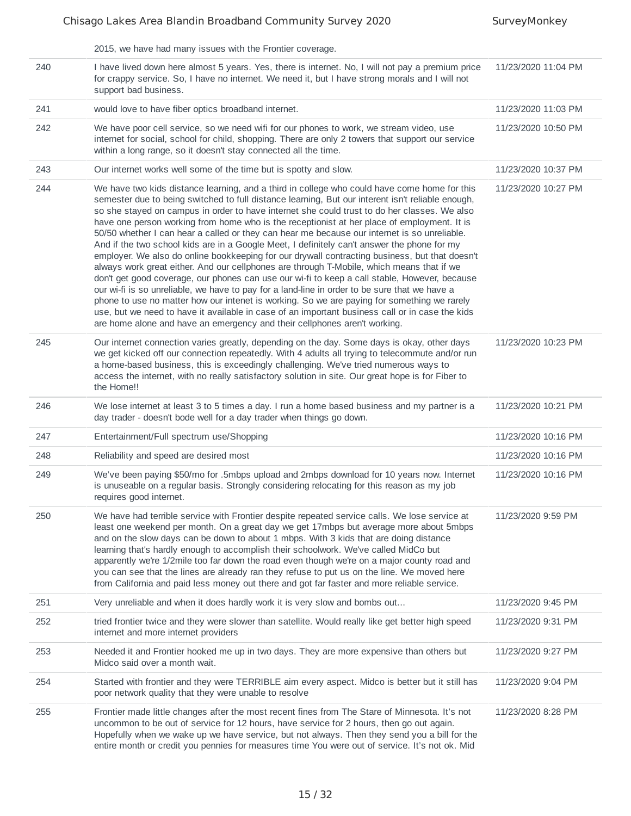|     | 2015, we have had many issues with the Frontier coverage.                                                                                                                                                                                                                                                                                                                                                                                                                                                                                                                                                                                                                                                                                                                                                                                                                                                                                                                                                                                                                                                                                                                                                                                                                       |                     |
|-----|---------------------------------------------------------------------------------------------------------------------------------------------------------------------------------------------------------------------------------------------------------------------------------------------------------------------------------------------------------------------------------------------------------------------------------------------------------------------------------------------------------------------------------------------------------------------------------------------------------------------------------------------------------------------------------------------------------------------------------------------------------------------------------------------------------------------------------------------------------------------------------------------------------------------------------------------------------------------------------------------------------------------------------------------------------------------------------------------------------------------------------------------------------------------------------------------------------------------------------------------------------------------------------|---------------------|
| 240 | I have lived down here almost 5 years. Yes, there is internet. No, I will not pay a premium price<br>for crappy service. So, I have no internet. We need it, but I have strong morals and I will not<br>support bad business.                                                                                                                                                                                                                                                                                                                                                                                                                                                                                                                                                                                                                                                                                                                                                                                                                                                                                                                                                                                                                                                   | 11/23/2020 11:04 PM |
| 241 | would love to have fiber optics broadband internet.                                                                                                                                                                                                                                                                                                                                                                                                                                                                                                                                                                                                                                                                                                                                                                                                                                                                                                                                                                                                                                                                                                                                                                                                                             | 11/23/2020 11:03 PM |
| 242 | We have poor cell service, so we need wifi for our phones to work, we stream video, use<br>internet for social, school for child, shopping. There are only 2 towers that support our service<br>within a long range, so it doesn't stay connected all the time.                                                                                                                                                                                                                                                                                                                                                                                                                                                                                                                                                                                                                                                                                                                                                                                                                                                                                                                                                                                                                 | 11/23/2020 10:50 PM |
| 243 | Our internet works well some of the time but is spotty and slow.                                                                                                                                                                                                                                                                                                                                                                                                                                                                                                                                                                                                                                                                                                                                                                                                                                                                                                                                                                                                                                                                                                                                                                                                                | 11/23/2020 10:37 PM |
| 244 | We have two kids distance learning, and a third in college who could have come home for this<br>semester due to being switched to full distance learning, But our interent isn't reliable enough,<br>so she stayed on campus in order to have internet she could trust to do her classes. We also<br>have one person working from home who is the receptionist at her place of employment. It is<br>50/50 whether I can hear a called or they can hear me because our internet is so unreliable.<br>And if the two school kids are in a Google Meet, I definitely can't answer the phone for my<br>employer. We also do online bookkeeping for our drywall contracting business, but that doesn't<br>always work great either. And our cellphones are through T-Mobile, which means that if we<br>don't get good coverage, our phones can use our wi-fi to keep a call stable, However, because<br>our wi-fi is so unreliable, we have to pay for a land-line in order to be sure that we have a<br>phone to use no matter how our intenet is working. So we are paying for something we rarely<br>use, but we need to have it available in case of an important business call or in case the kids<br>are home alone and have an emergency and their cellphones aren't working. | 11/23/2020 10:27 PM |
| 245 | Our internet connection varies greatly, depending on the day. Some days is okay, other days<br>we get kicked off our connection repeatedly. With 4 adults all trying to telecommute and/or run<br>a home-based business, this is exceedingly challenging. We've tried numerous ways to<br>access the internet, with no really satisfactory solution in site. Our great hope is for Fiber to<br>the Home!!                                                                                                                                                                                                                                                                                                                                                                                                                                                                                                                                                                                                                                                                                                                                                                                                                                                                       | 11/23/2020 10:23 PM |
| 246 | We lose internet at least 3 to 5 times a day. I run a home based business and my partner is a<br>day trader - doesn't bode well for a day trader when things go down.                                                                                                                                                                                                                                                                                                                                                                                                                                                                                                                                                                                                                                                                                                                                                                                                                                                                                                                                                                                                                                                                                                           | 11/23/2020 10:21 PM |
| 247 | Entertainment/Full spectrum use/Shopping                                                                                                                                                                                                                                                                                                                                                                                                                                                                                                                                                                                                                                                                                                                                                                                                                                                                                                                                                                                                                                                                                                                                                                                                                                        | 11/23/2020 10:16 PM |
| 248 | Reliability and speed are desired most                                                                                                                                                                                                                                                                                                                                                                                                                                                                                                                                                                                                                                                                                                                                                                                                                                                                                                                                                                                                                                                                                                                                                                                                                                          | 11/23/2020 10:16 PM |
| 249 | We've been paying \$50/mo for .5mbps upload and 2mbps download for 10 years now. Internet<br>is unuseable on a regular basis. Strongly considering relocating for this reason as my job<br>requires good internet.                                                                                                                                                                                                                                                                                                                                                                                                                                                                                                                                                                                                                                                                                                                                                                                                                                                                                                                                                                                                                                                              | 11/23/2020 10:16 PM |
| 250 | We have had terrible service with Frontier despite repeated service calls. We lose service at<br>least one weekend per month. On a great day we get 17mbps but average more about 5mbps<br>and on the slow days can be down to about 1 mbps. With 3 kids that are doing distance<br>learning that's hardly enough to accomplish their schoolwork. We've called MidCo but<br>apparently we're 1/2mile too far down the road even though we're on a major county road and<br>you can see that the lines are already ran they refuse to put us on the line. We moved here<br>from California and paid less money out there and got far faster and more reliable service.                                                                                                                                                                                                                                                                                                                                                                                                                                                                                                                                                                                                           | 11/23/2020 9:59 PM  |
| 251 | Very unreliable and when it does hardly work it is very slow and bombs out                                                                                                                                                                                                                                                                                                                                                                                                                                                                                                                                                                                                                                                                                                                                                                                                                                                                                                                                                                                                                                                                                                                                                                                                      | 11/23/2020 9:45 PM  |
| 252 | tried frontier twice and they were slower than satellite. Would really like get better high speed<br>internet and more internet providers                                                                                                                                                                                                                                                                                                                                                                                                                                                                                                                                                                                                                                                                                                                                                                                                                                                                                                                                                                                                                                                                                                                                       | 11/23/2020 9:31 PM  |
| 253 | Needed it and Frontier hooked me up in two days. They are more expensive than others but<br>Midco said over a month wait.                                                                                                                                                                                                                                                                                                                                                                                                                                                                                                                                                                                                                                                                                                                                                                                                                                                                                                                                                                                                                                                                                                                                                       | 11/23/2020 9:27 PM  |
| 254 | Started with frontier and they were TERRIBLE aim every aspect. Midco is better but it still has<br>poor network quality that they were unable to resolve                                                                                                                                                                                                                                                                                                                                                                                                                                                                                                                                                                                                                                                                                                                                                                                                                                                                                                                                                                                                                                                                                                                        | 11/23/2020 9:04 PM  |
| 255 | Frontier made little changes after the most recent fines from The Stare of Minnesota. It's not<br>uncommon to be out of service for 12 hours, have service for 2 hours, then go out again.<br>Hopefully when we wake up we have service, but not always. Then they send you a bill for the<br>entire month or credit you pennies for measures time You were out of service. It's not ok. Mid                                                                                                                                                                                                                                                                                                                                                                                                                                                                                                                                                                                                                                                                                                                                                                                                                                                                                    | 11/23/2020 8:28 PM  |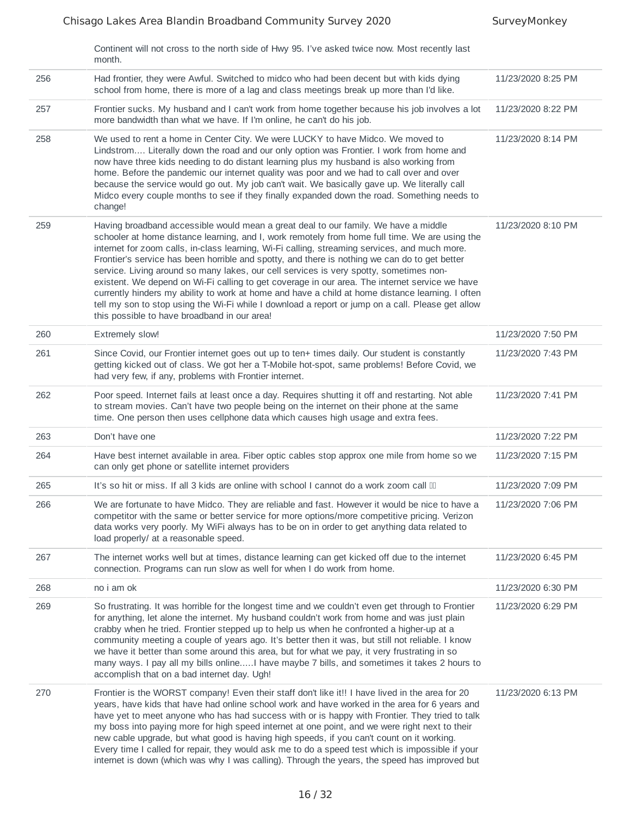|     | Continent will not cross to the north side of Hwy 95. I've asked twice now. Most recently last<br>month.                                                                                                                                                                                                                                                                                                                                                                                                                                                                                                                                                                                                                                                                                                                                     |                    |
|-----|----------------------------------------------------------------------------------------------------------------------------------------------------------------------------------------------------------------------------------------------------------------------------------------------------------------------------------------------------------------------------------------------------------------------------------------------------------------------------------------------------------------------------------------------------------------------------------------------------------------------------------------------------------------------------------------------------------------------------------------------------------------------------------------------------------------------------------------------|--------------------|
| 256 | Had frontier, they were Awful. Switched to midco who had been decent but with kids dying<br>school from home, there is more of a lag and class meetings break up more than I'd like.                                                                                                                                                                                                                                                                                                                                                                                                                                                                                                                                                                                                                                                         | 11/23/2020 8:25 PM |
| 257 | Frontier sucks. My husband and I can't work from home together because his job involves a lot<br>more bandwidth than what we have. If I'm online, he can't do his job.                                                                                                                                                                                                                                                                                                                                                                                                                                                                                                                                                                                                                                                                       | 11/23/2020 8:22 PM |
| 258 | We used to rent a home in Center City. We were LUCKY to have Midco. We moved to<br>Lindstrom Literally down the road and our only option was Frontier. I work from home and<br>now have three kids needing to do distant learning plus my husband is also working from<br>home. Before the pandemic our internet quality was poor and we had to call over and over<br>because the service would go out. My job can't wait. We basically gave up. We literally call<br>Midco every couple months to see if they finally expanded down the road. Something needs to<br>change!                                                                                                                                                                                                                                                                 | 11/23/2020 8:14 PM |
| 259 | Having broadband accessible would mean a great deal to our family. We have a middle<br>schooler at home distance learning, and I, work remotely from home full time. We are using the<br>internet for zoom calls, in-class learning, Wi-Fi calling, streaming services, and much more.<br>Frontier's service has been horrible and spotty, and there is nothing we can do to get better<br>service. Living around so many lakes, our cell services is very spotty, sometimes non-<br>existent. We depend on Wi-Fi calling to get coverage in our area. The internet service we have<br>currently hinders my ability to work at home and have a child at home distance learning. I often<br>tell my son to stop using the Wi-Fi while I download a report or jump on a call. Please get allow<br>this possible to have broadband in our area! | 11/23/2020 8:10 PM |
| 260 | <b>Extremely slow!</b>                                                                                                                                                                                                                                                                                                                                                                                                                                                                                                                                                                                                                                                                                                                                                                                                                       | 11/23/2020 7:50 PM |
| 261 | Since Covid, our Frontier internet goes out up to ten+ times daily. Our student is constantly<br>getting kicked out of class. We got her a T-Mobile hot-spot, same problems! Before Covid, we<br>had very few, if any, problems with Frontier internet.                                                                                                                                                                                                                                                                                                                                                                                                                                                                                                                                                                                      | 11/23/2020 7:43 PM |
| 262 | Poor speed. Internet fails at least once a day. Requires shutting it off and restarting. Not able<br>to stream movies. Can't have two people being on the internet on their phone at the same<br>time. One person then uses cellphone data which causes high usage and extra fees.                                                                                                                                                                                                                                                                                                                                                                                                                                                                                                                                                           | 11/23/2020 7:41 PM |
| 263 | Don't have one                                                                                                                                                                                                                                                                                                                                                                                                                                                                                                                                                                                                                                                                                                                                                                                                                               | 11/23/2020 7:22 PM |
| 264 | Have best internet available in area. Fiber optic cables stop approx one mile from home so we<br>can only get phone or satellite internet providers                                                                                                                                                                                                                                                                                                                                                                                                                                                                                                                                                                                                                                                                                          | 11/23/2020 7:15 PM |
| 265 | It's so hit or miss. If all 3 kids are online with school I cannot do a work zoom call III                                                                                                                                                                                                                                                                                                                                                                                                                                                                                                                                                                                                                                                                                                                                                   | 11/23/2020 7:09 PM |
| 266 | We are fortunate to have Midco. They are reliable and fast. However it would be nice to have a<br>competitor with the same or better service for more options/more competitive pricing. Verizon<br>data works very poorly. My WiFi always has to be on in order to get anything data related to<br>load properly/ at a reasonable speed.                                                                                                                                                                                                                                                                                                                                                                                                                                                                                                     | 11/23/2020 7:06 PM |
| 267 | The internet works well but at times, distance learning can get kicked off due to the internet<br>connection. Programs can run slow as well for when I do work from home.                                                                                                                                                                                                                                                                                                                                                                                                                                                                                                                                                                                                                                                                    | 11/23/2020 6:45 PM |
| 268 | no i am ok                                                                                                                                                                                                                                                                                                                                                                                                                                                                                                                                                                                                                                                                                                                                                                                                                                   | 11/23/2020 6:30 PM |
| 269 | So frustrating. It was horrible for the longest time and we couldn't even get through to Frontier<br>for anything, let alone the internet. My husband couldn't work from home and was just plain<br>crabby when he tried. Frontier stepped up to help us when he confronted a higher-up at a<br>community meeting a couple of years ago. It's better then it was, but still not reliable. I know<br>we have it better than some around this area, but for what we pay, it very frustrating in so<br>many ways. I pay all my bills onlineI have maybe 7 bills, and sometimes it takes 2 hours to<br>accomplish that on a bad internet day. Ugh!                                                                                                                                                                                               | 11/23/2020 6:29 PM |
| 270 | Frontier is the WORST company! Even their staff don't like it!! I have lived in the area for 20<br>years, have kids that have had online school work and have worked in the area for 6 years and<br>have yet to meet anyone who has had success with or is happy with Frontier. They tried to talk<br>my boss into paying more for high speed internet at one point, and we were right next to their<br>new cable upgrade, but what good is having high speeds, if you can't count on it working.<br>Every time I called for repair, they would ask me to do a speed test which is impossible if your<br>internet is down (which was why I was calling). Through the years, the speed has improved but                                                                                                                                       | 11/23/2020 6:13 PM |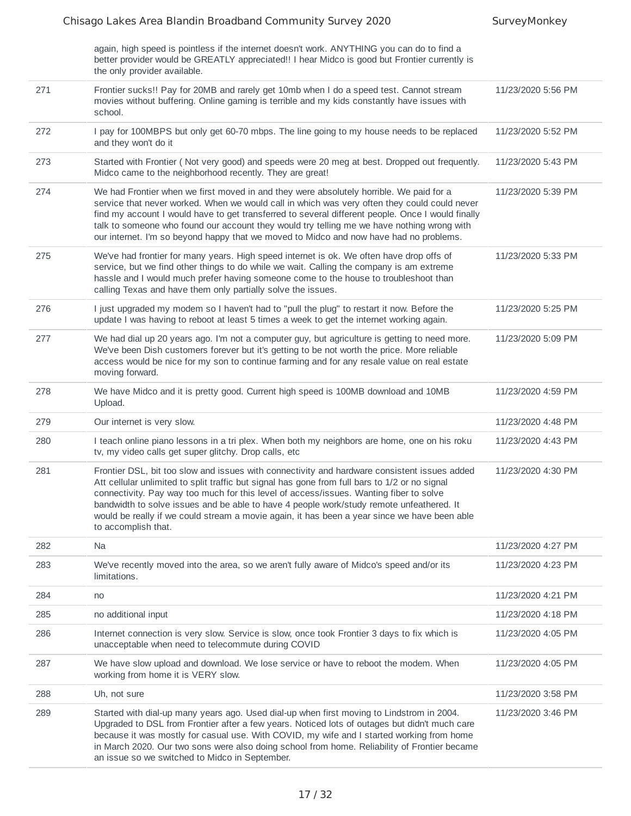again, high speed is pointless if the internet doesn't work. ANYTHING you can do to find a

|     | better provider would be GREATLY appreciated!! I hear Midco is good but Frontier currently is<br>the only provider available.                                                                                                                                                                                                                                                                                                                                                                               |                    |
|-----|-------------------------------------------------------------------------------------------------------------------------------------------------------------------------------------------------------------------------------------------------------------------------------------------------------------------------------------------------------------------------------------------------------------------------------------------------------------------------------------------------------------|--------------------|
| 271 | Frontier sucks!! Pay for 20MB and rarely get 10mb when I do a speed test. Cannot stream<br>movies without buffering. Online gaming is terrible and my kids constantly have issues with<br>school.                                                                                                                                                                                                                                                                                                           | 11/23/2020 5:56 PM |
| 272 | I pay for 100MBPS but only get 60-70 mbps. The line going to my house needs to be replaced<br>and they won't do it                                                                                                                                                                                                                                                                                                                                                                                          | 11/23/2020 5:52 PM |
| 273 | Started with Frontier (Not very good) and speeds were 20 meg at best. Dropped out frequently.<br>Midco came to the neighborhood recently. They are great!                                                                                                                                                                                                                                                                                                                                                   | 11/23/2020 5:43 PM |
| 274 | We had Frontier when we first moved in and they were absolutely horrible. We paid for a<br>service that never worked. When we would call in which was very often they could could never<br>find my account I would have to get transferred to several different people. Once I would finally<br>talk to someone who found our account they would try telling me we have nothing wrong with<br>our internet. I'm so beyond happy that we moved to Midco and now have had no problems.                        | 11/23/2020 5:39 PM |
| 275 | We've had frontier for many years. High speed internet is ok. We often have drop offs of<br>service, but we find other things to do while we wait. Calling the company is am extreme<br>hassle and I would much prefer having someone come to the house to troubleshoot than<br>calling Texas and have them only partially solve the issues.                                                                                                                                                                | 11/23/2020 5:33 PM |
| 276 | I just upgraded my modem so I haven't had to "pull the plug" to restart it now. Before the<br>update I was having to reboot at least 5 times a week to get the internet working again.                                                                                                                                                                                                                                                                                                                      | 11/23/2020 5:25 PM |
| 277 | We had dial up 20 years ago. I'm not a computer guy, but agriculture is getting to need more.<br>We've been Dish customers forever but it's getting to be not worth the price. More reliable<br>access would be nice for my son to continue farming and for any resale value on real estate<br>moving forward.                                                                                                                                                                                              | 11/23/2020 5:09 PM |
| 278 | We have Midco and it is pretty good. Current high speed is 100MB download and 10MB<br>Upload.                                                                                                                                                                                                                                                                                                                                                                                                               | 11/23/2020 4:59 PM |
| 279 | Our internet is very slow.                                                                                                                                                                                                                                                                                                                                                                                                                                                                                  | 11/23/2020 4:48 PM |
| 280 | I teach online piano lessons in a tri plex. When both my neighbors are home, one on his roku<br>tv, my video calls get super glitchy. Drop calls, etc                                                                                                                                                                                                                                                                                                                                                       | 11/23/2020 4:43 PM |
| 281 | Frontier DSL, bit too slow and issues with connectivity and hardware consistent issues added<br>Att cellular unlimited to split traffic but signal has gone from full bars to 1/2 or no signal<br>connectivity. Pay way too much for this level of access/issues. Wanting fiber to solve<br>bandwidth to solve issues and be able to have 4 people work/study remote unfeathered. It<br>would be really if we could stream a movie again, it has been a year since we have been able<br>to accomplish that. | 11/23/2020 4:30 PM |
| 282 | Na                                                                                                                                                                                                                                                                                                                                                                                                                                                                                                          | 11/23/2020 4:27 PM |
| 283 | We've recently moved into the area, so we aren't fully aware of Midco's speed and/or its<br>limitations.                                                                                                                                                                                                                                                                                                                                                                                                    | 11/23/2020 4:23 PM |
| 284 | no                                                                                                                                                                                                                                                                                                                                                                                                                                                                                                          | 11/23/2020 4:21 PM |
| 285 | no additional input                                                                                                                                                                                                                                                                                                                                                                                                                                                                                         | 11/23/2020 4:18 PM |
| 286 | Internet connection is very slow. Service is slow, once took Frontier 3 days to fix which is<br>unacceptable when need to telecommute during COVID                                                                                                                                                                                                                                                                                                                                                          | 11/23/2020 4:05 PM |
| 287 | We have slow upload and download. We lose service or have to reboot the modem. When<br>working from home it is VERY slow.                                                                                                                                                                                                                                                                                                                                                                                   | 11/23/2020 4:05 PM |
| 288 | Uh, not sure                                                                                                                                                                                                                                                                                                                                                                                                                                                                                                | 11/23/2020 3:58 PM |
| 289 | Started with dial-up many years ago. Used dial-up when first moving to Lindstrom in 2004.<br>Upgraded to DSL from Frontier after a few years. Noticed lots of outages but didn't much care<br>because it was mostly for casual use. With COVID, my wife and I started working from home<br>in March 2020. Our two sons were also doing school from home. Reliability of Frontier became<br>an issue so we switched to Midco in September.                                                                   | 11/23/2020 3:46 PM |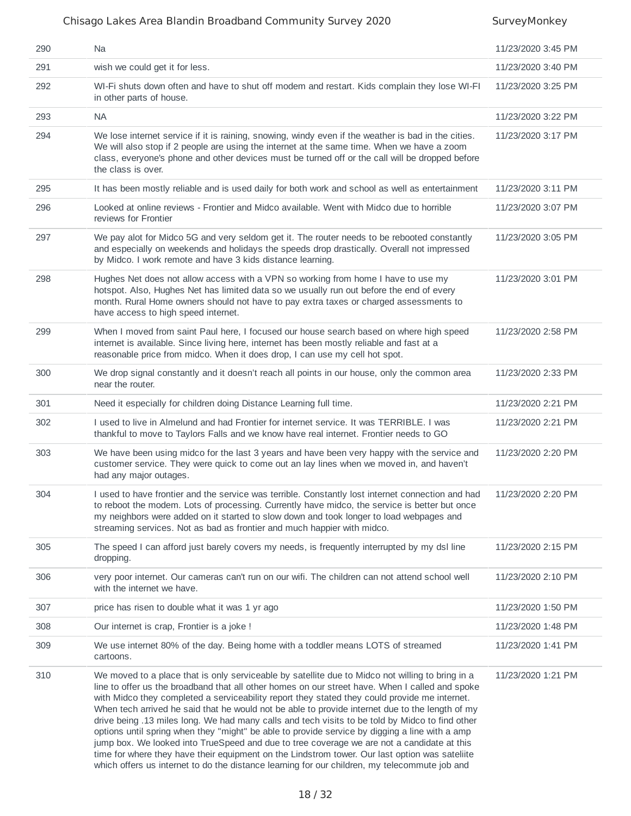| 290 | Na                                                                                                                                                                                                                                                                                                                                                                                                                                                                                                                                                                                                                                                                                                                                                                                                                                                                                                            | 11/23/2020 3:45 PM |
|-----|---------------------------------------------------------------------------------------------------------------------------------------------------------------------------------------------------------------------------------------------------------------------------------------------------------------------------------------------------------------------------------------------------------------------------------------------------------------------------------------------------------------------------------------------------------------------------------------------------------------------------------------------------------------------------------------------------------------------------------------------------------------------------------------------------------------------------------------------------------------------------------------------------------------|--------------------|
| 291 | wish we could get it for less.                                                                                                                                                                                                                                                                                                                                                                                                                                                                                                                                                                                                                                                                                                                                                                                                                                                                                | 11/23/2020 3:40 PM |
| 292 | WI-Fi shuts down often and have to shut off modem and restart. Kids complain they lose WI-FI<br>in other parts of house.                                                                                                                                                                                                                                                                                                                                                                                                                                                                                                                                                                                                                                                                                                                                                                                      | 11/23/2020 3:25 PM |
| 293 | <b>NA</b>                                                                                                                                                                                                                                                                                                                                                                                                                                                                                                                                                                                                                                                                                                                                                                                                                                                                                                     | 11/23/2020 3:22 PM |
| 294 | We lose internet service if it is raining, snowing, windy even if the weather is bad in the cities.<br>We will also stop if 2 people are using the internet at the same time. When we have a zoom<br>class, everyone's phone and other devices must be turned off or the call will be dropped before<br>the class is over.                                                                                                                                                                                                                                                                                                                                                                                                                                                                                                                                                                                    | 11/23/2020 3:17 PM |
| 295 | It has been mostly reliable and is used daily for both work and school as well as entertainment                                                                                                                                                                                                                                                                                                                                                                                                                                                                                                                                                                                                                                                                                                                                                                                                               | 11/23/2020 3:11 PM |
| 296 | Looked at online reviews - Frontier and Midco available. Went with Midco due to horrible<br>reviews for Frontier                                                                                                                                                                                                                                                                                                                                                                                                                                                                                                                                                                                                                                                                                                                                                                                              | 11/23/2020 3:07 PM |
| 297 | We pay alot for Midco 5G and very seldom get it. The router needs to be rebooted constantly<br>and especially on weekends and holidays the speeds drop drastically. Overall not impressed<br>by Midco. I work remote and have 3 kids distance learning.                                                                                                                                                                                                                                                                                                                                                                                                                                                                                                                                                                                                                                                       | 11/23/2020 3:05 PM |
| 298 | Hughes Net does not allow access with a VPN so working from home I have to use my<br>hotspot. Also, Hughes Net has limited data so we usually run out before the end of every<br>month. Rural Home owners should not have to pay extra taxes or charged assessments to<br>have access to high speed internet.                                                                                                                                                                                                                                                                                                                                                                                                                                                                                                                                                                                                 | 11/23/2020 3:01 PM |
| 299 | When I moved from saint Paul here, I focused our house search based on where high speed<br>internet is available. Since living here, internet has been mostly reliable and fast at a<br>reasonable price from midco. When it does drop, I can use my cell hot spot.                                                                                                                                                                                                                                                                                                                                                                                                                                                                                                                                                                                                                                           | 11/23/2020 2:58 PM |
| 300 | We drop signal constantly and it doesn't reach all points in our house, only the common area<br>near the router.                                                                                                                                                                                                                                                                                                                                                                                                                                                                                                                                                                                                                                                                                                                                                                                              | 11/23/2020 2:33 PM |
| 301 | Need it especially for children doing Distance Learning full time.                                                                                                                                                                                                                                                                                                                                                                                                                                                                                                                                                                                                                                                                                                                                                                                                                                            | 11/23/2020 2:21 PM |
| 302 | I used to live in Almelund and had Frontier for internet service. It was TERRIBLE. I was<br>thankful to move to Taylors Falls and we know have real internet. Frontier needs to GO                                                                                                                                                                                                                                                                                                                                                                                                                                                                                                                                                                                                                                                                                                                            | 11/23/2020 2:21 PM |
| 303 | We have been using midco for the last 3 years and have been very happy with the service and<br>customer service. They were quick to come out an lay lines when we moved in, and haven't<br>had any major outages.                                                                                                                                                                                                                                                                                                                                                                                                                                                                                                                                                                                                                                                                                             | 11/23/2020 2:20 PM |
| 304 | I used to have frontier and the service was terrible. Constantly lost internet connection and had<br>to reboot the modem. Lots of processing. Currently have midco, the service is better but once<br>my neighbors were added on it started to slow down and took longer to load webpages and<br>streaming services. Not as bad as frontier and much happier with midco.                                                                                                                                                                                                                                                                                                                                                                                                                                                                                                                                      | 11/23/2020 2:20 PM |
| 305 | The speed I can afford just barely covers my needs, is frequently interrupted by my dsl line<br>dropping.                                                                                                                                                                                                                                                                                                                                                                                                                                                                                                                                                                                                                                                                                                                                                                                                     | 11/23/2020 2:15 PM |
| 306 | very poor internet. Our cameras can't run on our wifi. The children can not attend school well<br>with the internet we have.                                                                                                                                                                                                                                                                                                                                                                                                                                                                                                                                                                                                                                                                                                                                                                                  | 11/23/2020 2:10 PM |
| 307 | price has risen to double what it was 1 yr ago                                                                                                                                                                                                                                                                                                                                                                                                                                                                                                                                                                                                                                                                                                                                                                                                                                                                | 11/23/2020 1:50 PM |
| 308 | Our internet is crap, Frontier is a joke !                                                                                                                                                                                                                                                                                                                                                                                                                                                                                                                                                                                                                                                                                                                                                                                                                                                                    | 11/23/2020 1:48 PM |
| 309 | We use internet 80% of the day. Being home with a toddler means LOTS of streamed<br>cartoons.                                                                                                                                                                                                                                                                                                                                                                                                                                                                                                                                                                                                                                                                                                                                                                                                                 | 11/23/2020 1:41 PM |
| 310 | We moved to a place that is only serviceable by satellite due to Midco not willing to bring in a<br>line to offer us the broadband that all other homes on our street have. When I called and spoke<br>with Midco they completed a serviceability report they stated they could provide me internet.<br>When tech arrived he said that he would not be able to provide internet due to the length of my<br>drive being .13 miles long. We had many calls and tech visits to be told by Midco to find other<br>options until spring when they "might" be able to provide service by digging a line with a amp<br>jump box. We looked into TrueSpeed and due to tree coverage we are not a candidate at this<br>time for where they have their equipment on the Lindstrom tower. Our last option was satellite<br>which offers us internet to do the distance learning for our children, my telecommute job and | 11/23/2020 1:21 PM |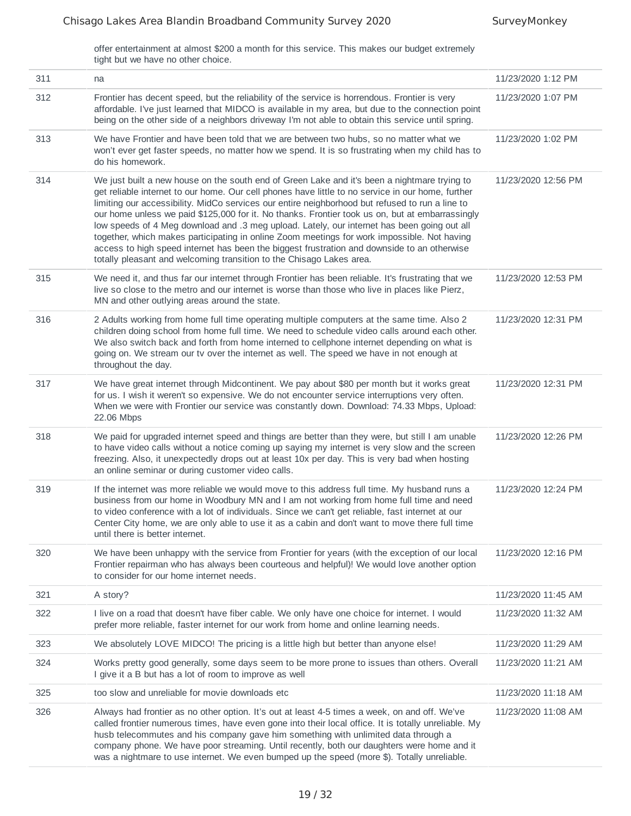offer entertainment at almost \$200 a month for this service. This makes our budget extremely tight but we have no other choice.

| 311 | na                                                                                                                                                                                                                                                                                                                                                                                                                                                                                                                                                                                                                                                                                                                                                                           | 11/23/2020 1:12 PM  |
|-----|------------------------------------------------------------------------------------------------------------------------------------------------------------------------------------------------------------------------------------------------------------------------------------------------------------------------------------------------------------------------------------------------------------------------------------------------------------------------------------------------------------------------------------------------------------------------------------------------------------------------------------------------------------------------------------------------------------------------------------------------------------------------------|---------------------|
| 312 | Frontier has decent speed, but the reliability of the service is horrendous. Frontier is very<br>affordable. I've just learned that MIDCO is available in my area, but due to the connection point<br>being on the other side of a neighbors driveway I'm not able to obtain this service until spring.                                                                                                                                                                                                                                                                                                                                                                                                                                                                      | 11/23/2020 1:07 PM  |
| 313 | We have Frontier and have been told that we are between two hubs, so no matter what we<br>won't ever get faster speeds, no matter how we spend. It is so frustrating when my child has to<br>do his homework.                                                                                                                                                                                                                                                                                                                                                                                                                                                                                                                                                                | 11/23/2020 1:02 PM  |
| 314 | We just built a new house on the south end of Green Lake and it's been a nightmare trying to<br>get reliable internet to our home. Our cell phones have little to no service in our home, further<br>limiting our accessibility. MidCo services our entire neighborhood but refused to run a line to<br>our home unless we paid \$125,000 for it. No thanks. Frontier took us on, but at embarrassingly<br>low speeds of 4 Meg download and .3 meg upload. Lately, our internet has been going out all<br>together, which makes participating in online Zoom meetings for work impossible. Not having<br>access to high speed internet has been the biggest frustration and downside to an otherwise<br>totally pleasant and welcoming transition to the Chisago Lakes area. | 11/23/2020 12:56 PM |
| 315 | We need it, and thus far our internet through Frontier has been reliable. It's frustrating that we<br>live so close to the metro and our internet is worse than those who live in places like Pierz,<br>MN and other outlying areas around the state.                                                                                                                                                                                                                                                                                                                                                                                                                                                                                                                        | 11/23/2020 12:53 PM |
| 316 | 2 Adults working from home full time operating multiple computers at the same time. Also 2<br>children doing school from home full time. We need to schedule video calls around each other.<br>We also switch back and forth from home interned to cellphone internet depending on what is<br>going on. We stream our tv over the internet as well. The speed we have in not enough at<br>throughout the day.                                                                                                                                                                                                                                                                                                                                                                | 11/23/2020 12:31 PM |
| 317 | We have great internet through Midcontinent. We pay about \$80 per month but it works great<br>for us. I wish it weren't so expensive. We do not encounter service interruptions very often.<br>When we were with Frontier our service was constantly down. Download: 74.33 Mbps, Upload:<br>22.06 Mbps                                                                                                                                                                                                                                                                                                                                                                                                                                                                      | 11/23/2020 12:31 PM |
| 318 | We paid for upgraded internet speed and things are better than they were, but still I am unable<br>to have video calls without a notice coming up saying my internet is very slow and the screen<br>freezing. Also, it unexpectedly drops out at least 10x per day. This is very bad when hosting<br>an online seminar or during customer video calls.                                                                                                                                                                                                                                                                                                                                                                                                                       | 11/23/2020 12:26 PM |
| 319 | If the internet was more reliable we would move to this address full time. My husband runs a<br>business from our home in Woodbury MN and I am not working from home full time and need<br>to video conference with a lot of individuals. Since we can't get reliable, fast internet at our<br>Center City home, we are only able to use it as a cabin and don't want to move there full time<br>until there is better internet.                                                                                                                                                                                                                                                                                                                                             | 11/23/2020 12:24 PM |
| 320 | We have been unhappy with the service from Frontier for years (with the exception of our local<br>Frontier repairman who has always been courteous and helpful)! We would love another option<br>to consider for our home internet needs.                                                                                                                                                                                                                                                                                                                                                                                                                                                                                                                                    | 11/23/2020 12:16 PM |
| 321 | A story?                                                                                                                                                                                                                                                                                                                                                                                                                                                                                                                                                                                                                                                                                                                                                                     | 11/23/2020 11:45 AM |
| 322 | I live on a road that doesn't have fiber cable. We only have one choice for internet. I would<br>prefer more reliable, faster internet for our work from home and online learning needs.                                                                                                                                                                                                                                                                                                                                                                                                                                                                                                                                                                                     | 11/23/2020 11:32 AM |
| 323 | We absolutely LOVE MIDCO! The pricing is a little high but better than anyone else!                                                                                                                                                                                                                                                                                                                                                                                                                                                                                                                                                                                                                                                                                          | 11/23/2020 11:29 AM |
| 324 | Works pretty good generally, some days seem to be more prone to issues than others. Overall<br>I give it a B but has a lot of room to improve as well                                                                                                                                                                                                                                                                                                                                                                                                                                                                                                                                                                                                                        | 11/23/2020 11:21 AM |
| 325 | too slow and unreliable for movie downloads etc                                                                                                                                                                                                                                                                                                                                                                                                                                                                                                                                                                                                                                                                                                                              | 11/23/2020 11:18 AM |
| 326 | Always had frontier as no other option. It's out at least 4-5 times a week, on and off. We've<br>called frontier numerous times, have even gone into their local office. It is totally unreliable. My<br>husb telecommutes and his company gave him something with unlimited data through a<br>company phone. We have poor streaming. Until recently, both our daughters were home and it<br>was a nightmare to use internet. We even bumped up the speed (more \$). Totally unreliable.                                                                                                                                                                                                                                                                                     | 11/23/2020 11:08 AM |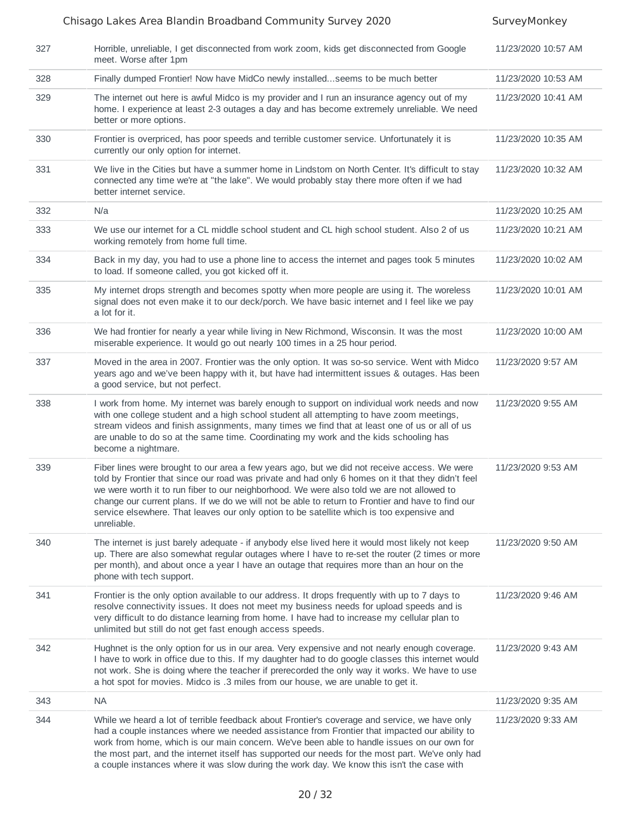#### Chisago Lakes Area Blandin Broadband Community Survey 2020 SurveyMonkey 327 Horrible, unreliable, I get disconnected from work zoom, kids get disconnected from Google meet. Worse after 1pm 11/23/2020 10:57 AM 328 Finally dumped Frontier! Now have MidCo newly installed...seems to be much better 11/23/2020 10:53 AM 329 The internet out here is awful Midco is my provider and I run an insurance agency out of my home. I experience at least 2-3 outages a day and has become extremely unreliable. We need better or more options. 11/23/2020 10:41 AM 330 Frontier is overpriced, has poor speeds and terrible customer service. Unfortunately it is currently our only option for internet. 11/23/2020 10:35 AM 331 We live in the Cities but have a summer home in Lindstom on North Center. It's difficult to stay connected any time we're at "the lake". We would probably stay there more often if we had better internet service. 11/23/2020 10:32 AM 332 N/a 11/23/2020 10:25 AM 333 We use our internet for a CL middle school student and CL high school student. Also 2 of us working remotely from home full time. 11/23/2020 10:21 AM 334 Back in my day, you had to use a phone line to access the internet and pages took 5 minutes to load. If someone called, you got kicked off it. 11/23/2020 10:02 AM 335 My internet drops strength and becomes spotty when more people are using it. The woreless signal does not even make it to our deck/porch. We have basic internet and I feel like we pay a lot for it. 11/23/2020 10:01 AM 336 We had frontier for nearly a year while living in New Richmond, Wisconsin. It was the most miserable experience. It would go out nearly 100 times in a 25 hour period. 11/23/2020 10:00 AM 337 Moved in the area in 2007. Frontier was the only option. It was so-so service. Went with Midco years ago and we've been happy with it, but have had intermittent issues & outages. Has been a good service, but not perfect. 11/23/2020 9:57 AM 338 I work from home. My internet was barely enough to support on individual work needs and now with one college student and a high school student all attempting to have zoom meetings, stream videos and finish assignments, many times we find that at least one of us or all of us are unable to do so at the same time. Coordinating my work and the kids schooling has become a nightmare. 11/23/2020 9:55 AM 339 Fiber lines were brought to our area a few years ago, but we did not receive access. We were told by Frontier that since our road was private and had only 6 homes on it that they didn't feel we were worth it to run fiber to our neighborhood. We were also told we are not allowed to change our current plans. If we do we will not be able to return to Frontier and have to find our service elsewhere. That leaves our only option to be satellite which is too expensive and unreliable. 11/23/2020 9:53 AM 340 The internet is just barely adequate - if anybody else lived here it would most likely not keep up. There are also somewhat regular outages where I have to re-set the router (2 times or more per month), and about once a year I have an outage that requires more than an hour on the phone with tech support. 11/23/2020 9:50 AM 341 Frontier is the only option available to our address. It drops frequently with up to 7 days to resolve connectivity issues. It does not meet my business needs for upload speeds and is very difficult to do distance learning from home. I have had to increase my cellular plan to unlimited but still do not get fast enough access speeds. 11/23/2020 9:46 AM 342 Hughnet is the only option for us in our area. Very expensive and not nearly enough coverage. I have to work in office due to this. If my daughter had to do google classes this internet would not work. She is doing where the teacher if prerecorded the only way it works. We have to use a hot spot for movies. Midco is .3 miles from our house, we are unable to get it. 11/23/2020 9:43 AM 343 NA 11/23/2020 9:35 AM 344 While we heard a lot of terrible feedback about Frontier's coverage and service, we have only had a couple instances where we needed assistance from Frontier that impacted our ability to work from home, which is our main concern. We've been able to handle issues on our own for the most part, and the internet itself has supported our needs for the most part. We've only had a couple instances where it was slow during the work day. We know this isn't the case with 11/23/2020 9:33 AM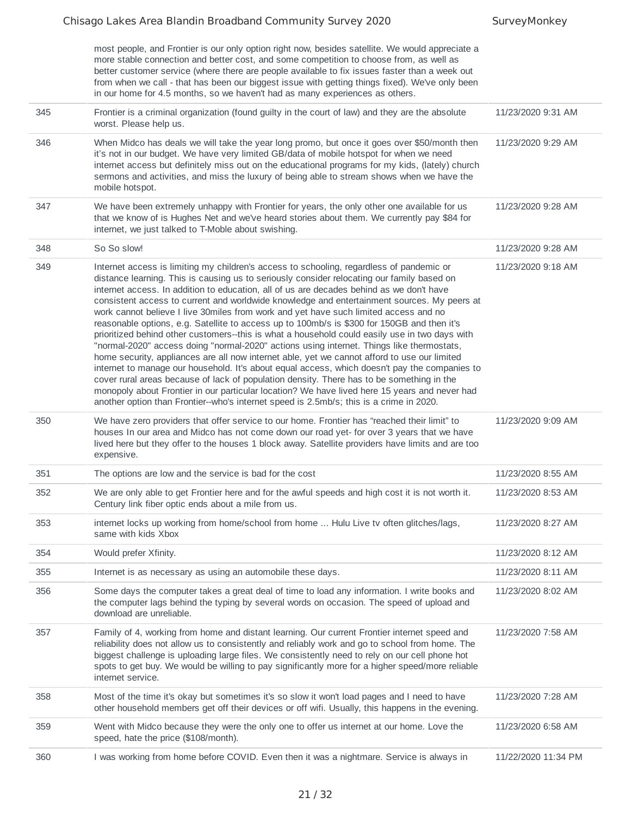|     | most people, and Frontier is our only option right now, besides satellite. We would appreciate a<br>more stable connection and better cost, and some competition to choose from, as well as<br>better customer service (where there are people available to fix issues faster than a week out<br>from when we call - that has been our biggest issue with getting things fixed). We've only been<br>in our home for 4.5 months, so we haven't had as many experiences as others.                                                                                                                                                                                                                                                                                                                                                                                                                                                                                                                                                                                                                                                                                                                                                                                  |                     |
|-----|-------------------------------------------------------------------------------------------------------------------------------------------------------------------------------------------------------------------------------------------------------------------------------------------------------------------------------------------------------------------------------------------------------------------------------------------------------------------------------------------------------------------------------------------------------------------------------------------------------------------------------------------------------------------------------------------------------------------------------------------------------------------------------------------------------------------------------------------------------------------------------------------------------------------------------------------------------------------------------------------------------------------------------------------------------------------------------------------------------------------------------------------------------------------------------------------------------------------------------------------------------------------|---------------------|
| 345 | Frontier is a criminal organization (found guilty in the court of law) and they are the absolute<br>worst. Please help us.                                                                                                                                                                                                                                                                                                                                                                                                                                                                                                                                                                                                                                                                                                                                                                                                                                                                                                                                                                                                                                                                                                                                        | 11/23/2020 9:31 AM  |
| 346 | When Midco has deals we will take the year long promo, but once it goes over \$50/month then<br>it's not in our budget. We have very limited GB/data of mobile hotspot for when we need<br>internet access but definitely miss out on the educational programs for my kids, (lately) church<br>sermons and activities, and miss the luxury of being able to stream shows when we have the<br>mobile hotspot.                                                                                                                                                                                                                                                                                                                                                                                                                                                                                                                                                                                                                                                                                                                                                                                                                                                      | 11/23/2020 9:29 AM  |
| 347 | We have been extremely unhappy with Frontier for years, the only other one available for us<br>that we know of is Hughes Net and we've heard stories about them. We currently pay \$84 for<br>internet, we just talked to T-Moble about swishing.                                                                                                                                                                                                                                                                                                                                                                                                                                                                                                                                                                                                                                                                                                                                                                                                                                                                                                                                                                                                                 | 11/23/2020 9:28 AM  |
| 348 | So So slow!                                                                                                                                                                                                                                                                                                                                                                                                                                                                                                                                                                                                                                                                                                                                                                                                                                                                                                                                                                                                                                                                                                                                                                                                                                                       | 11/23/2020 9:28 AM  |
| 349 | Internet access is limiting my children's access to schooling, regardless of pandemic or<br>distance learning. This is causing us to seriously consider relocating our family based on<br>internet access. In addition to education, all of us are decades behind as we don't have<br>consistent access to current and worldwide knowledge and entertainment sources. My peers at<br>work cannot believe I live 30miles from work and yet have such limited access and no<br>reasonable options, e.g. Satellite to access up to 100mb/s is \$300 for 150GB and then it's<br>prioritized behind other customers--this is what a household could easily use in two days with<br>"normal-2020" access doing "normal-2020" actions using internet. Things like thermostats,<br>home security, appliances are all now internet able, yet we cannot afford to use our limited<br>internet to manage our household. It's about equal access, which doesn't pay the companies to<br>cover rural areas because of lack of population density. There has to be something in the<br>monopoly about Frontier in our particular location? We have lived here 15 years and never had<br>another option than Frontier--who's internet speed is 2.5mb/s; this is a crime in 2020. | 11/23/2020 9:18 AM  |
| 350 | We have zero providers that offer service to our home. Frontier has "reached their limit" to<br>houses In our area and Midco has not come down our road yet- for over 3 years that we have<br>lived here but they offer to the houses 1 block away. Satellite providers have limits and are too<br>expensive.                                                                                                                                                                                                                                                                                                                                                                                                                                                                                                                                                                                                                                                                                                                                                                                                                                                                                                                                                     | 11/23/2020 9:09 AM  |
| 351 | The options are low and the service is bad for the cost                                                                                                                                                                                                                                                                                                                                                                                                                                                                                                                                                                                                                                                                                                                                                                                                                                                                                                                                                                                                                                                                                                                                                                                                           | 11/23/2020 8:55 AM  |
| 352 | We are only able to get Frontier here and for the awful speeds and high cost it is not worth it.<br>Century link fiber optic ends about a mile from us.                                                                                                                                                                                                                                                                                                                                                                                                                                                                                                                                                                                                                                                                                                                                                                                                                                                                                                                                                                                                                                                                                                           | 11/23/2020 8:53 AM  |
| 353 | internet locks up working from home/school from home  Hulu Live tv often glitches/lags,<br>same with kids Xbox                                                                                                                                                                                                                                                                                                                                                                                                                                                                                                                                                                                                                                                                                                                                                                                                                                                                                                                                                                                                                                                                                                                                                    | 11/23/2020 8:27 AM  |
| 354 | Would prefer Xfinity.                                                                                                                                                                                                                                                                                                                                                                                                                                                                                                                                                                                                                                                                                                                                                                                                                                                                                                                                                                                                                                                                                                                                                                                                                                             | 11/23/2020 8:12 AM  |
| 355 | Internet is as necessary as using an automobile these days.                                                                                                                                                                                                                                                                                                                                                                                                                                                                                                                                                                                                                                                                                                                                                                                                                                                                                                                                                                                                                                                                                                                                                                                                       | 11/23/2020 8:11 AM  |
| 356 | Some days the computer takes a great deal of time to load any information. I write books and<br>the computer lags behind the typing by several words on occasion. The speed of upload and<br>download are unreliable.                                                                                                                                                                                                                                                                                                                                                                                                                                                                                                                                                                                                                                                                                                                                                                                                                                                                                                                                                                                                                                             | 11/23/2020 8:02 AM  |
| 357 | Family of 4, working from home and distant learning. Our current Frontier internet speed and<br>reliability does not allow us to consistently and reliably work and go to school from home. The<br>biggest challenge is uploading large files. We consistently need to rely on our cell phone hot<br>spots to get buy. We would be willing to pay significantly more for a higher speed/more reliable<br>internet service.                                                                                                                                                                                                                                                                                                                                                                                                                                                                                                                                                                                                                                                                                                                                                                                                                                        | 11/23/2020 7:58 AM  |
| 358 | Most of the time it's okay but sometimes it's so slow it won't load pages and I need to have<br>other household members get off their devices or off wifi. Usually, this happens in the evening.                                                                                                                                                                                                                                                                                                                                                                                                                                                                                                                                                                                                                                                                                                                                                                                                                                                                                                                                                                                                                                                                  | 11/23/2020 7:28 AM  |
| 359 | Went with Midco because they were the only one to offer us internet at our home. Love the<br>speed, hate the price (\$108/month).                                                                                                                                                                                                                                                                                                                                                                                                                                                                                                                                                                                                                                                                                                                                                                                                                                                                                                                                                                                                                                                                                                                                 | 11/23/2020 6:58 AM  |
| 360 | I was working from home before COVID. Even then it was a nightmare. Service is always in                                                                                                                                                                                                                                                                                                                                                                                                                                                                                                                                                                                                                                                                                                                                                                                                                                                                                                                                                                                                                                                                                                                                                                          | 11/22/2020 11:34 PM |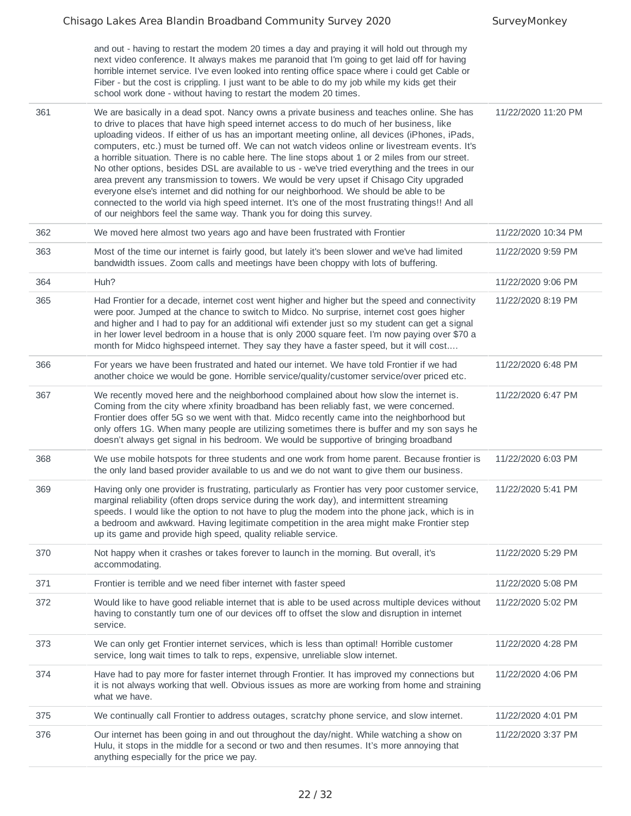and out - having to restart the modem 20 times a day and praying it will hold out through my next video conference. It always makes me paranoid that I'm going to get laid off for having horrible internet service. I've even looked into renting office space where i could get Cable or Fiber - but the cost is crippling. I just want to be able to do my job while my kids get their school work done - without having to restart the modem 20 times. 361 We are basically in a dead spot. Nancy owns a private business and teaches online. She has to drive to places that have high speed internet access to do much of her business, like 11/22/2020 11:20 PM

|     | to drive to places that have high speed internet access to do much of her business, like<br>uploading videos. If either of us has an important meeting online, all devices (iPhones, iPads,<br>computers, etc.) must be turned off. We can not watch videos online or livestream events. It's<br>a horrible situation. There is no cable here. The line stops about 1 or 2 miles from our street.<br>No other options, besides DSL are available to us - we've tried everything and the trees in our<br>area prevent any transmission to towers. We would be very upset if Chisago City upgraded<br>everyone else's internet and did nothing for our neighborhood. We should be able to be<br>connected to the world via high speed internet. It's one of the most frustrating things!! And all<br>of our neighbors feel the same way. Thank you for doing this survey. |                     |
|-----|-------------------------------------------------------------------------------------------------------------------------------------------------------------------------------------------------------------------------------------------------------------------------------------------------------------------------------------------------------------------------------------------------------------------------------------------------------------------------------------------------------------------------------------------------------------------------------------------------------------------------------------------------------------------------------------------------------------------------------------------------------------------------------------------------------------------------------------------------------------------------|---------------------|
| 362 | We moved here almost two years ago and have been frustrated with Frontier                                                                                                                                                                                                                                                                                                                                                                                                                                                                                                                                                                                                                                                                                                                                                                                               | 11/22/2020 10:34 PM |
| 363 | Most of the time our internet is fairly good, but lately it's been slower and we've had limited<br>bandwidth issues. Zoom calls and meetings have been choppy with lots of buffering.                                                                                                                                                                                                                                                                                                                                                                                                                                                                                                                                                                                                                                                                                   | 11/22/2020 9:59 PM  |
| 364 | Huh?                                                                                                                                                                                                                                                                                                                                                                                                                                                                                                                                                                                                                                                                                                                                                                                                                                                                    | 11/22/2020 9:06 PM  |
| 365 | Had Frontier for a decade, internet cost went higher and higher but the speed and connectivity<br>were poor. Jumped at the chance to switch to Midco. No surprise, internet cost goes higher<br>and higher and I had to pay for an additional wifi extender just so my student can get a signal<br>in her lower level bedroom in a house that is only 2000 square feet. I'm now paying over \$70 a<br>month for Midco highspeed internet. They say they have a faster speed, but it will cost                                                                                                                                                                                                                                                                                                                                                                           | 11/22/2020 8:19 PM  |
| 366 | For years we have been frustrated and hated our internet. We have told Frontier if we had<br>another choice we would be gone. Horrible service/quality/customer service/over priced etc.                                                                                                                                                                                                                                                                                                                                                                                                                                                                                                                                                                                                                                                                                | 11/22/2020 6:48 PM  |
| 367 | We recently moved here and the neighborhood complained about how slow the internet is.<br>Coming from the city where xfinity broadband has been reliably fast, we were concerned.<br>Frontier does offer 5G so we went with that. Midco recently came into the neighborhood but<br>only offers 1G. When many people are utilizing sometimes there is buffer and my son says he<br>doesn't always get signal in his bedroom. We would be supportive of bringing broadband                                                                                                                                                                                                                                                                                                                                                                                                | 11/22/2020 6:47 PM  |
| 368 | We use mobile hotspots for three students and one work from home parent. Because frontier is<br>the only land based provider available to us and we do not want to give them our business.                                                                                                                                                                                                                                                                                                                                                                                                                                                                                                                                                                                                                                                                              | 11/22/2020 6:03 PM  |
| 369 | Having only one provider is frustrating, particularly as Frontier has very poor customer service,<br>marginal reliability (often drops service during the work day), and intermittent streaming<br>speeds. I would like the option to not have to plug the modem into the phone jack, which is in<br>a bedroom and awkward. Having legitimate competition in the area might make Frontier step<br>up its game and provide high speed, quality reliable service.                                                                                                                                                                                                                                                                                                                                                                                                         | 11/22/2020 5:41 PM  |
| 370 | Not happy when it crashes or takes forever to launch in the morning. But overall, it's<br>accommodating.                                                                                                                                                                                                                                                                                                                                                                                                                                                                                                                                                                                                                                                                                                                                                                | 11/22/2020 5:29 PM  |
| 371 | Frontier is terrible and we need fiber internet with faster speed                                                                                                                                                                                                                                                                                                                                                                                                                                                                                                                                                                                                                                                                                                                                                                                                       | 11/22/2020 5:08 PM  |
| 372 | Would like to have good reliable internet that is able to be used across multiple devices without<br>having to constantly turn one of our devices off to offset the slow and disruption in internet<br>service.                                                                                                                                                                                                                                                                                                                                                                                                                                                                                                                                                                                                                                                         | 11/22/2020 5:02 PM  |
| 373 | We can only get Frontier internet services, which is less than optimal! Horrible customer<br>service, long wait times to talk to reps, expensive, unreliable slow internet.                                                                                                                                                                                                                                                                                                                                                                                                                                                                                                                                                                                                                                                                                             | 11/22/2020 4:28 PM  |
| 374 | Have had to pay more for faster internet through Frontier. It has improved my connections but<br>it is not always working that well. Obvious issues as more are working from home and straining<br>what we have.                                                                                                                                                                                                                                                                                                                                                                                                                                                                                                                                                                                                                                                        | 11/22/2020 4:06 PM  |
| 375 | We continually call Frontier to address outages, scratchy phone service, and slow internet.                                                                                                                                                                                                                                                                                                                                                                                                                                                                                                                                                                                                                                                                                                                                                                             | 11/22/2020 4:01 PM  |
| 376 | Our internet has been going in and out throughout the day/night. While watching a show on<br>Hulu, it stops in the middle for a second or two and then resumes. It's more annoying that<br>anything especially for the price we pay.                                                                                                                                                                                                                                                                                                                                                                                                                                                                                                                                                                                                                                    | 11/22/2020 3:37 PM  |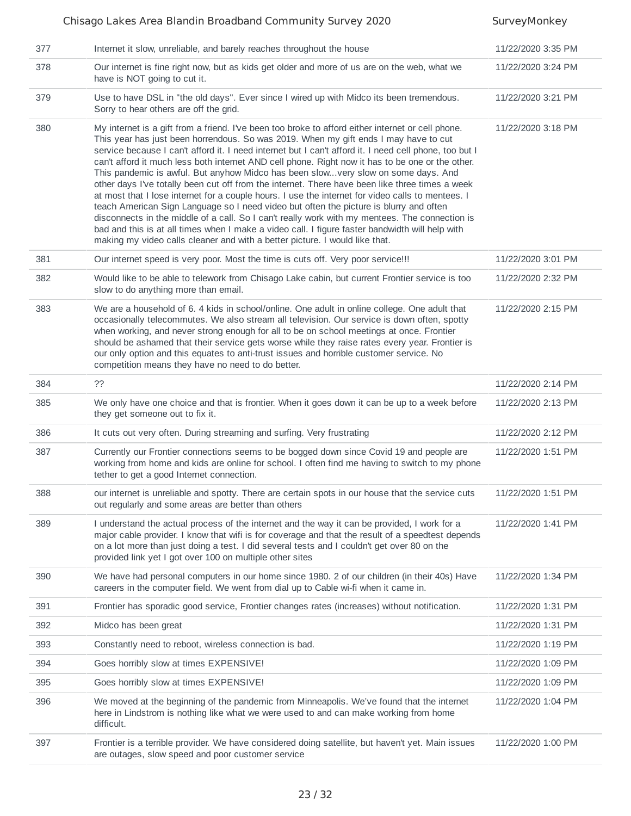|     | Chisago Lakes Area Blandin Broadband Community Survey 2020                                                                                                                                                                                                                                                                                                                                                                                                                                                                                                                                                                                                                                                                                                                                                                                                                                                                                                                                                                                                                         | SurveyMonkey       |
|-----|------------------------------------------------------------------------------------------------------------------------------------------------------------------------------------------------------------------------------------------------------------------------------------------------------------------------------------------------------------------------------------------------------------------------------------------------------------------------------------------------------------------------------------------------------------------------------------------------------------------------------------------------------------------------------------------------------------------------------------------------------------------------------------------------------------------------------------------------------------------------------------------------------------------------------------------------------------------------------------------------------------------------------------------------------------------------------------|--------------------|
| 377 | Internet it slow, unreliable, and barely reaches throughout the house                                                                                                                                                                                                                                                                                                                                                                                                                                                                                                                                                                                                                                                                                                                                                                                                                                                                                                                                                                                                              | 11/22/2020 3:35 PM |
| 378 | Our internet is fine right now, but as kids get older and more of us are on the web, what we<br>have is NOT going to cut it.                                                                                                                                                                                                                                                                                                                                                                                                                                                                                                                                                                                                                                                                                                                                                                                                                                                                                                                                                       | 11/22/2020 3:24 PM |
| 379 | Use to have DSL in "the old days". Ever since I wired up with Midco its been tremendous.<br>Sorry to hear others are off the grid.                                                                                                                                                                                                                                                                                                                                                                                                                                                                                                                                                                                                                                                                                                                                                                                                                                                                                                                                                 | 11/22/2020 3:21 PM |
| 380 | My internet is a gift from a friend. I've been too broke to afford either internet or cell phone.<br>This year has just been horrendous. So was 2019. When my gift ends I may have to cut<br>service because I can't afford it. I need internet but I can't afford it. I need cell phone, too but I<br>can't afford it much less both internet AND cell phone. Right now it has to be one or the other.<br>This pandemic is awful. But anyhow Midco has been slowvery slow on some days. And<br>other days I've totally been cut off from the internet. There have been like three times a week<br>at most that I lose internet for a couple hours. I use the internet for video calls to mentees. I<br>teach American Sign Language so I need video but often the picture is blurry and often<br>disconnects in the middle of a call. So I can't really work with my mentees. The connection is<br>bad and this is at all times when I make a video call. I figure faster bandwidth will help with<br>making my video calls cleaner and with a better picture. I would like that. | 11/22/2020 3:18 PM |
| 381 | Our internet speed is very poor. Most the time is cuts off. Very poor service!!!                                                                                                                                                                                                                                                                                                                                                                                                                                                                                                                                                                                                                                                                                                                                                                                                                                                                                                                                                                                                   | 11/22/2020 3:01 PM |
| 382 | Would like to be able to telework from Chisago Lake cabin, but current Frontier service is too<br>slow to do anything more than email.                                                                                                                                                                                                                                                                                                                                                                                                                                                                                                                                                                                                                                                                                                                                                                                                                                                                                                                                             | 11/22/2020 2:32 PM |
| 383 | We are a household of 6. 4 kids in school/online. One adult in online college. One adult that<br>occasionally telecommutes. We also stream all television. Our service is down often, spotty<br>when working, and never strong enough for all to be on school meetings at once. Frontier<br>should be ashamed that their service gets worse while they raise rates every year. Frontier is<br>our only option and this equates to anti-trust issues and horrible customer service. No<br>competition means they have no need to do better.                                                                                                                                                                                                                                                                                                                                                                                                                                                                                                                                         | 11/22/2020 2:15 PM |
| 384 | ??                                                                                                                                                                                                                                                                                                                                                                                                                                                                                                                                                                                                                                                                                                                                                                                                                                                                                                                                                                                                                                                                                 | 11/22/2020 2:14 PM |
| 385 | We only have one choice and that is frontier. When it goes down it can be up to a week before<br>they get someone out to fix it.                                                                                                                                                                                                                                                                                                                                                                                                                                                                                                                                                                                                                                                                                                                                                                                                                                                                                                                                                   | 11/22/2020 2:13 PM |
| 386 | It cuts out very often. During streaming and surfing. Very frustrating                                                                                                                                                                                                                                                                                                                                                                                                                                                                                                                                                                                                                                                                                                                                                                                                                                                                                                                                                                                                             | 11/22/2020 2:12 PM |
| 387 | Currently our Frontier connections seems to be bogged down since Covid 19 and people are<br>working from home and kids are online for school. I often find me having to switch to my phone<br>tether to get a good Internet connection.                                                                                                                                                                                                                                                                                                                                                                                                                                                                                                                                                                                                                                                                                                                                                                                                                                            | 11/22/2020 1:51 PM |
| 388 | our internet is unreliable and spotty. There are certain spots in our house that the service cuts<br>out regularly and some areas are better than others                                                                                                                                                                                                                                                                                                                                                                                                                                                                                                                                                                                                                                                                                                                                                                                                                                                                                                                           | 11/22/2020 1:51 PM |
| 389 | I understand the actual process of the internet and the way it can be provided, I work for a<br>major cable provider. I know that wifi is for coverage and that the result of a speedtest depends<br>on a lot more than just doing a test. I did several tests and I couldn't get over 80 on the<br>provided link yet I got over 100 on multiple other sites                                                                                                                                                                                                                                                                                                                                                                                                                                                                                                                                                                                                                                                                                                                       | 11/22/2020 1:41 PM |
| 390 | We have had personal computers in our home since 1980. 2 of our children (in their 40s) Have<br>careers in the computer field. We went from dial up to Cable wi-fi when it came in.                                                                                                                                                                                                                                                                                                                                                                                                                                                                                                                                                                                                                                                                                                                                                                                                                                                                                                | 11/22/2020 1:34 PM |
| 391 | Frontier has sporadic good service, Frontier changes rates (increases) without notification.                                                                                                                                                                                                                                                                                                                                                                                                                                                                                                                                                                                                                                                                                                                                                                                                                                                                                                                                                                                       | 11/22/2020 1:31 PM |
| 392 | Midco has been great                                                                                                                                                                                                                                                                                                                                                                                                                                                                                                                                                                                                                                                                                                                                                                                                                                                                                                                                                                                                                                                               | 11/22/2020 1:31 PM |
| 393 | Constantly need to reboot, wireless connection is bad.                                                                                                                                                                                                                                                                                                                                                                                                                                                                                                                                                                                                                                                                                                                                                                                                                                                                                                                                                                                                                             | 11/22/2020 1:19 PM |
| 394 | Goes horribly slow at times EXPENSIVE!                                                                                                                                                                                                                                                                                                                                                                                                                                                                                                                                                                                                                                                                                                                                                                                                                                                                                                                                                                                                                                             | 11/22/2020 1:09 PM |
| 395 | Goes horribly slow at times EXPENSIVE!                                                                                                                                                                                                                                                                                                                                                                                                                                                                                                                                                                                                                                                                                                                                                                                                                                                                                                                                                                                                                                             | 11/22/2020 1:09 PM |
| 396 | We moved at the beginning of the pandemic from Minneapolis. We've found that the internet<br>here in Lindstrom is nothing like what we were used to and can make working from home<br>difficult.                                                                                                                                                                                                                                                                                                                                                                                                                                                                                                                                                                                                                                                                                                                                                                                                                                                                                   | 11/22/2020 1:04 PM |
| 397 | Frontier is a terrible provider. We have considered doing satellite, but haven't yet. Main issues<br>are outages, slow speed and poor customer service                                                                                                                                                                                                                                                                                                                                                                                                                                                                                                                                                                                                                                                                                                                                                                                                                                                                                                                             | 11/22/2020 1:00 PM |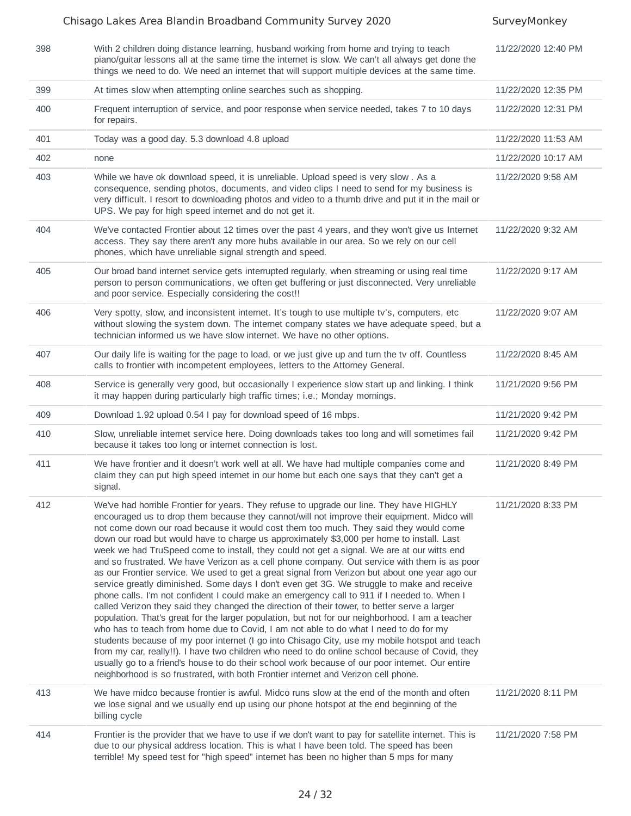|     | Chisago Lakes Area Blandin Broadband Community Survey 2020                                                                                                                                                                                                                                                                                                                                                                                                                                                                                                                                                                                                                                                                                                                                                                                                                                                                                                                                                                                                                                                                                                                                                                                                                                                                                                                                                                                                                                                                                                           | SurveyMonkey        |
|-----|----------------------------------------------------------------------------------------------------------------------------------------------------------------------------------------------------------------------------------------------------------------------------------------------------------------------------------------------------------------------------------------------------------------------------------------------------------------------------------------------------------------------------------------------------------------------------------------------------------------------------------------------------------------------------------------------------------------------------------------------------------------------------------------------------------------------------------------------------------------------------------------------------------------------------------------------------------------------------------------------------------------------------------------------------------------------------------------------------------------------------------------------------------------------------------------------------------------------------------------------------------------------------------------------------------------------------------------------------------------------------------------------------------------------------------------------------------------------------------------------------------------------------------------------------------------------|---------------------|
| 398 | With 2 children doing distance learning, husband working from home and trying to teach<br>piano/guitar lessons all at the same time the internet is slow. We can't all always get done the<br>things we need to do. We need an internet that will support multiple devices at the same time.                                                                                                                                                                                                                                                                                                                                                                                                                                                                                                                                                                                                                                                                                                                                                                                                                                                                                                                                                                                                                                                                                                                                                                                                                                                                         | 11/22/2020 12:40 PM |
| 399 | At times slow when attempting online searches such as shopping.                                                                                                                                                                                                                                                                                                                                                                                                                                                                                                                                                                                                                                                                                                                                                                                                                                                                                                                                                                                                                                                                                                                                                                                                                                                                                                                                                                                                                                                                                                      | 11/22/2020 12:35 PM |
| 400 | Frequent interruption of service, and poor response when service needed, takes 7 to 10 days<br>for repairs.                                                                                                                                                                                                                                                                                                                                                                                                                                                                                                                                                                                                                                                                                                                                                                                                                                                                                                                                                                                                                                                                                                                                                                                                                                                                                                                                                                                                                                                          | 11/22/2020 12:31 PM |
| 401 | Today was a good day. 5.3 download 4.8 upload                                                                                                                                                                                                                                                                                                                                                                                                                                                                                                                                                                                                                                                                                                                                                                                                                                                                                                                                                                                                                                                                                                                                                                                                                                                                                                                                                                                                                                                                                                                        | 11/22/2020 11:53 AM |
| 402 | none                                                                                                                                                                                                                                                                                                                                                                                                                                                                                                                                                                                                                                                                                                                                                                                                                                                                                                                                                                                                                                                                                                                                                                                                                                                                                                                                                                                                                                                                                                                                                                 | 11/22/2020 10:17 AM |
| 403 | While we have ok download speed, it is unreliable. Upload speed is very slow . As a<br>consequence, sending photos, documents, and video clips I need to send for my business is<br>very difficult. I resort to downloading photos and video to a thumb drive and put it in the mail or<br>UPS. We pay for high speed internet and do not get it.                                                                                                                                                                                                                                                                                                                                                                                                                                                                                                                                                                                                                                                                                                                                                                                                                                                                                                                                                                                                                                                                                                                                                                                                                    | 11/22/2020 9:58 AM  |
| 404 | We've contacted Frontier about 12 times over the past 4 years, and they won't give us Internet<br>access. They say there aren't any more hubs available in our area. So we rely on our cell<br>phones, which have unreliable signal strength and speed.                                                                                                                                                                                                                                                                                                                                                                                                                                                                                                                                                                                                                                                                                                                                                                                                                                                                                                                                                                                                                                                                                                                                                                                                                                                                                                              | 11/22/2020 9:32 AM  |
| 405 | Our broad band internet service gets interrupted regularly, when streaming or using real time<br>person to person communications, we often get buffering or just disconnected. Very unreliable<br>and poor service. Especially considering the cost!!                                                                                                                                                                                                                                                                                                                                                                                                                                                                                                                                                                                                                                                                                                                                                                                                                                                                                                                                                                                                                                                                                                                                                                                                                                                                                                                | 11/22/2020 9:17 AM  |
| 406 | Very spotty, slow, and inconsistent internet. It's tough to use multiple tv's, computers, etc<br>without slowing the system down. The internet company states we have adequate speed, but a<br>technician informed us we have slow internet. We have no other options.                                                                                                                                                                                                                                                                                                                                                                                                                                                                                                                                                                                                                                                                                                                                                                                                                                                                                                                                                                                                                                                                                                                                                                                                                                                                                               | 11/22/2020 9:07 AM  |
| 407 | Our daily life is waiting for the page to load, or we just give up and turn the tv off. Countless<br>calls to frontier with incompetent employees, letters to the Attorney General.                                                                                                                                                                                                                                                                                                                                                                                                                                                                                                                                                                                                                                                                                                                                                                                                                                                                                                                                                                                                                                                                                                                                                                                                                                                                                                                                                                                  | 11/22/2020 8:45 AM  |
| 408 | Service is generally very good, but occasionally I experience slow start up and linking. I think<br>it may happen during particularly high traffic times; i.e.; Monday mornings.                                                                                                                                                                                                                                                                                                                                                                                                                                                                                                                                                                                                                                                                                                                                                                                                                                                                                                                                                                                                                                                                                                                                                                                                                                                                                                                                                                                     | 11/21/2020 9:56 PM  |
| 409 | Download 1.92 upload 0.54 I pay for download speed of 16 mbps.                                                                                                                                                                                                                                                                                                                                                                                                                                                                                                                                                                                                                                                                                                                                                                                                                                                                                                                                                                                                                                                                                                                                                                                                                                                                                                                                                                                                                                                                                                       | 11/21/2020 9:42 PM  |
| 410 | Slow, unreliable internet service here. Doing downloads takes too long and will sometimes fail<br>because it takes too long or internet connection is lost.                                                                                                                                                                                                                                                                                                                                                                                                                                                                                                                                                                                                                                                                                                                                                                                                                                                                                                                                                                                                                                                                                                                                                                                                                                                                                                                                                                                                          | 11/21/2020 9:42 PM  |
| 411 | We have frontier and it doesn't work well at all. We have had multiple companies come and<br>claim they can put high speed internet in our home but each one says that they can't get a<br>signal.                                                                                                                                                                                                                                                                                                                                                                                                                                                                                                                                                                                                                                                                                                                                                                                                                                                                                                                                                                                                                                                                                                                                                                                                                                                                                                                                                                   | 11/21/2020 8:49 PM  |
| 412 | We've had horrible Frontier for years. They refuse to upgrade our line. They have HIGHLY<br>encouraged us to drop them because they cannot/will not improve their equipment. Midco will<br>not come down our road because it would cost them too much. They said they would come<br>down our road but would have to charge us approximately \$3,000 per home to install. Last<br>week we had TruSpeed come to install, they could not get a signal. We are at our witts end<br>and so frustrated. We have Verizon as a cell phone company. Out service with them is as poor<br>as our Frontier service. We used to get a great signal from Verizon but about one year ago our<br>service greatly diminished. Some days I don't even get 3G. We struggle to make and receive<br>phone calls. I'm not confident I could make an emergency call to 911 if I needed to. When I<br>called Verizon they said they changed the direction of their tower, to better serve a larger<br>population. That's great for the larger population, but not for our neighborhood. I am a teacher<br>who has to teach from home due to Covid, I am not able to do what I need to do for my<br>students because of my poor internet (I go into Chisago City, use my mobile hotspot and teach<br>from my car, really!!). I have two children who need to do online school because of Covid, they<br>usually go to a friend's house to do their school work because of our poor internet. Our entire<br>neighborhood is so frustrated, with both Frontier internet and Verizon cell phone. | 11/21/2020 8:33 PM  |
| 413 | We have midco because frontier is awful. Midco runs slow at the end of the month and often<br>we lose signal and we usually end up using our phone hotspot at the end beginning of the<br>billing cycle                                                                                                                                                                                                                                                                                                                                                                                                                                                                                                                                                                                                                                                                                                                                                                                                                                                                                                                                                                                                                                                                                                                                                                                                                                                                                                                                                              | 11/21/2020 8:11 PM  |
| 414 | Frontier is the provider that we have to use if we don't want to pay for satellite internet. This is<br>due to our physical address location. This is what I have been told. The speed has been<br>terrible! My speed test for "high speed" internet has been no higher than 5 mps for many                                                                                                                                                                                                                                                                                                                                                                                                                                                                                                                                                                                                                                                                                                                                                                                                                                                                                                                                                                                                                                                                                                                                                                                                                                                                          | 11/21/2020 7:58 PM  |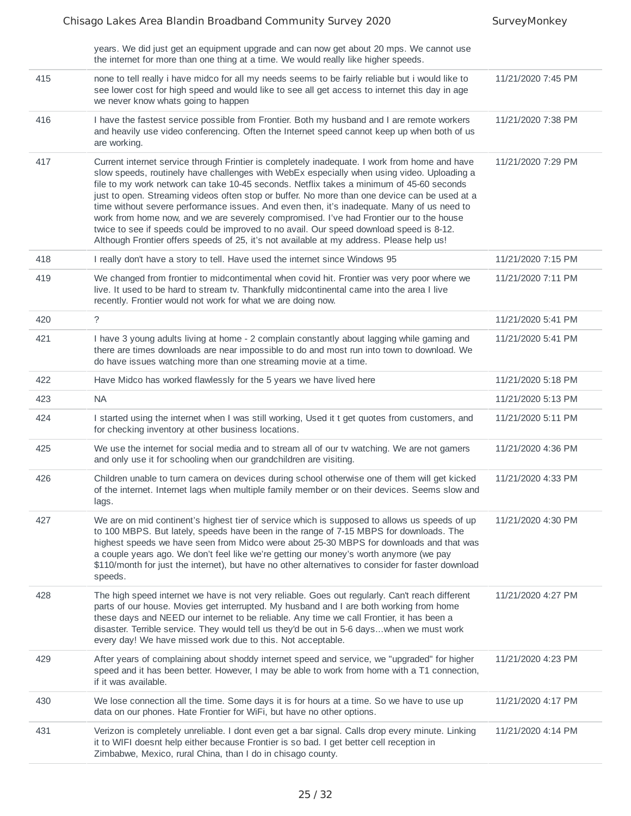|     | years. We did just get an equipment upgrade and can now get about 20 mps. We cannot use<br>the internet for more than one thing at a time. We would really like higher speeds.                                                                                                                                                                                                                                                                                                                                                                                                                                                                                                                                                                                           |                    |
|-----|--------------------------------------------------------------------------------------------------------------------------------------------------------------------------------------------------------------------------------------------------------------------------------------------------------------------------------------------------------------------------------------------------------------------------------------------------------------------------------------------------------------------------------------------------------------------------------------------------------------------------------------------------------------------------------------------------------------------------------------------------------------------------|--------------------|
| 415 | none to tell really i have midco for all my needs seems to be fairly reliable but i would like to<br>see lower cost for high speed and would like to see all get access to internet this day in age<br>we never know whats going to happen                                                                                                                                                                                                                                                                                                                                                                                                                                                                                                                               | 11/21/2020 7:45 PM |
| 416 | I have the fastest service possible from Frontier. Both my husband and I are remote workers<br>and heavily use video conferencing. Often the Internet speed cannot keep up when both of us<br>are working.                                                                                                                                                                                                                                                                                                                                                                                                                                                                                                                                                               | 11/21/2020 7:38 PM |
| 417 | Current internet service through Frintier is completely inadequate. I work from home and have<br>slow speeds, routinely have challenges with WebEx especially when using video. Uploading a<br>file to my work network can take 10-45 seconds. Netflix takes a minimum of 45-60 seconds<br>just to open. Streaming videos often stop or buffer. No more than one device can be used at a<br>time without severe performance issues. And even then, it's inadequate. Many of us need to<br>work from home now, and we are severely compromised. I've had Frontier our to the house<br>twice to see if speeds could be improved to no avail. Our speed download speed is 8-12.<br>Although Frontier offers speeds of 25, it's not available at my address. Please help us! | 11/21/2020 7:29 PM |
| 418 | I really don't have a story to tell. Have used the internet since Windows 95                                                                                                                                                                                                                                                                                                                                                                                                                                                                                                                                                                                                                                                                                             | 11/21/2020 7:15 PM |
| 419 | We changed from frontier to midcontimental when covid hit. Frontier was very poor where we<br>live. It used to be hard to stream tv. Thankfully midcontinental came into the area I live<br>recently. Frontier would not work for what we are doing now.                                                                                                                                                                                                                                                                                                                                                                                                                                                                                                                 | 11/21/2020 7:11 PM |
| 420 | $\tilde{?}$                                                                                                                                                                                                                                                                                                                                                                                                                                                                                                                                                                                                                                                                                                                                                              | 11/21/2020 5:41 PM |
| 421 | I have 3 young adults living at home - 2 complain constantly about lagging while gaming and<br>there are times downloads are near impossible to do and most run into town to download. We<br>do have issues watching more than one streaming movie at a time.                                                                                                                                                                                                                                                                                                                                                                                                                                                                                                            | 11/21/2020 5:41 PM |
| 422 | Have Midco has worked flawlessly for the 5 years we have lived here                                                                                                                                                                                                                                                                                                                                                                                                                                                                                                                                                                                                                                                                                                      | 11/21/2020 5:18 PM |
| 423 | <b>NA</b>                                                                                                                                                                                                                                                                                                                                                                                                                                                                                                                                                                                                                                                                                                                                                                | 11/21/2020 5:13 PM |
| 424 | I started using the internet when I was still working, Used it t get quotes from customers, and<br>for checking inventory at other business locations.                                                                                                                                                                                                                                                                                                                                                                                                                                                                                                                                                                                                                   | 11/21/2020 5:11 PM |
| 425 | We use the internet for social media and to stream all of our tv watching. We are not gamers<br>and only use it for schooling when our grandchildren are visiting.                                                                                                                                                                                                                                                                                                                                                                                                                                                                                                                                                                                                       | 11/21/2020 4:36 PM |
| 426 | Children unable to turn camera on devices during school otherwise one of them will get kicked<br>of the internet. Internet lags when multiple family member or on their devices. Seems slow and<br>lags.                                                                                                                                                                                                                                                                                                                                                                                                                                                                                                                                                                 | 11/21/2020 4:33 PM |
| 427 | We are on mid continent's highest tier of service which is supposed to allows us speeds of up<br>to 100 MBPS. But lately, speeds have been in the range of 7-15 MBPS for downloads. The<br>highest speeds we have seen from Midco were about 25-30 MBPS for downloads and that was<br>a couple years ago. We don't feel like we're getting our money's worth anymore (we pay<br>\$110/month for just the internet), but have no other alternatives to consider for faster download<br>speeds.                                                                                                                                                                                                                                                                            | 11/21/2020 4:30 PM |
| 428 | The high speed internet we have is not very reliable. Goes out regularly. Can't reach different<br>parts of our house. Movies get interrupted. My husband and I are both working from home<br>these days and NEED our internet to be reliable. Any time we call Frontier, it has been a<br>disaster. Terrible service. They would tell us they'd be out in 5-6 dayswhen we must work<br>every day! We have missed work due to this. Not acceptable.                                                                                                                                                                                                                                                                                                                      | 11/21/2020 4:27 PM |
| 429 | After years of complaining about shoddy internet speed and service, we "upgraded" for higher<br>speed and it has been better. However, I may be able to work from home with a T1 connection,<br>if it was available.                                                                                                                                                                                                                                                                                                                                                                                                                                                                                                                                                     | 11/21/2020 4:23 PM |
| 430 | We lose connection all the time. Some days it is for hours at a time. So we have to use up<br>data on our phones. Hate Frontier for WiFi, but have no other options.                                                                                                                                                                                                                                                                                                                                                                                                                                                                                                                                                                                                     | 11/21/2020 4:17 PM |
| 431 | Verizon is completely unreliable. I dont even get a bar signal. Calls drop every minute. Linking<br>it to WIFI doesnt help either because Frontier is so bad. I get better cell reception in<br>Zimbabwe, Mexico, rural China, than I do in chisago county.                                                                                                                                                                                                                                                                                                                                                                                                                                                                                                              | 11/21/2020 4:14 PM |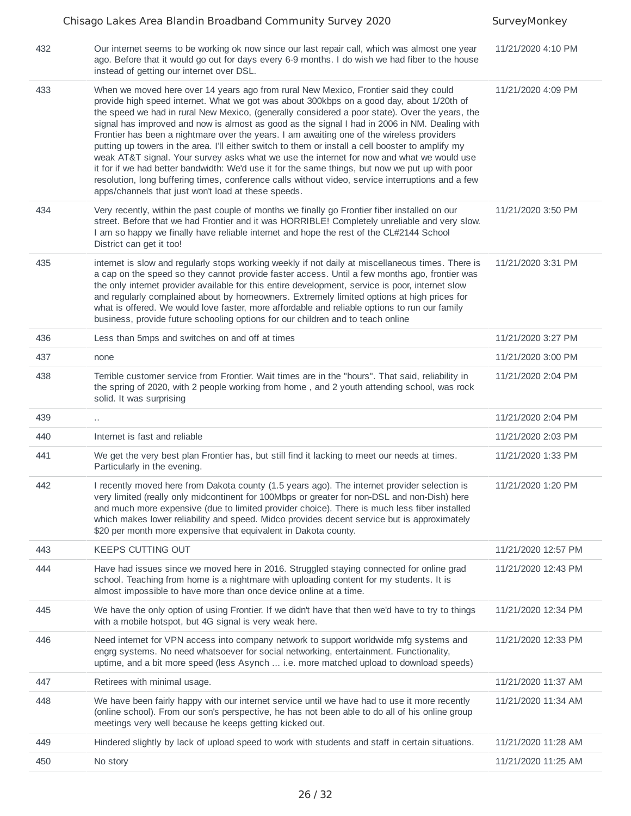|     | Chisago Lakes Area Blandin Broadband Community Survey 2020                                                                                                                                                                                                                                                                                                                                                                                                                                                                                                                                                                                                                                                                                                                                                                                                                                                                                         | SurveyMonkey        |
|-----|----------------------------------------------------------------------------------------------------------------------------------------------------------------------------------------------------------------------------------------------------------------------------------------------------------------------------------------------------------------------------------------------------------------------------------------------------------------------------------------------------------------------------------------------------------------------------------------------------------------------------------------------------------------------------------------------------------------------------------------------------------------------------------------------------------------------------------------------------------------------------------------------------------------------------------------------------|---------------------|
| 432 | Our internet seems to be working ok now since our last repair call, which was almost one year<br>ago. Before that it would go out for days every 6-9 months. I do wish we had fiber to the house<br>instead of getting our internet over DSL.                                                                                                                                                                                                                                                                                                                                                                                                                                                                                                                                                                                                                                                                                                      | 11/21/2020 4:10 PM  |
| 433 | When we moved here over 14 years ago from rural New Mexico, Frontier said they could<br>provide high speed internet. What we got was about 300kbps on a good day, about 1/20th of<br>the speed we had in rural New Mexico, (generally considered a poor state). Over the years, the<br>signal has improved and now is almost as good as the signal I had in 2006 in NM. Dealing with<br>Frontier has been a nightmare over the years. I am awaiting one of the wireless providers<br>putting up towers in the area. I'll either switch to them or install a cell booster to amplify my<br>weak AT&T signal. Your survey asks what we use the internet for now and what we would use<br>it for if we had better bandwidth: We'd use it for the same things, but now we put up with poor<br>resolution, long buffering times, conference calls without video, service interruptions and a few<br>apps/channels that just won't load at these speeds. | 11/21/2020 4:09 PM  |
| 434 | Very recently, within the past couple of months we finally go Frontier fiber installed on our<br>street. Before that we had Frontier and it was HORRIBLE! Completely unreliable and very slow.<br>I am so happy we finally have reliable internet and hope the rest of the CL#2144 School<br>District can get it too!                                                                                                                                                                                                                                                                                                                                                                                                                                                                                                                                                                                                                              | 11/21/2020 3:50 PM  |
| 435 | internet is slow and regularly stops working weekly if not daily at miscellaneous times. There is<br>a cap on the speed so they cannot provide faster access. Until a few months ago, frontier was<br>the only internet provider available for this entire development, service is poor, internet slow<br>and regularly complained about by homeowners. Extremely limited options at high prices for<br>what is offered. We would love faster, more affordable and reliable options to run our family<br>business, provide future schooling options for our children and to teach online                                                                                                                                                                                                                                                                                                                                                           | 11/21/2020 3:31 PM  |
| 436 | Less than 5mps and switches on and off at times                                                                                                                                                                                                                                                                                                                                                                                                                                                                                                                                                                                                                                                                                                                                                                                                                                                                                                    | 11/21/2020 3:27 PM  |
| 437 | none                                                                                                                                                                                                                                                                                                                                                                                                                                                                                                                                                                                                                                                                                                                                                                                                                                                                                                                                               | 11/21/2020 3:00 PM  |
| 438 | Terrible customer service from Frontier. Wait times are in the "hours". That said, reliability in<br>the spring of 2020, with 2 people working from home, and 2 youth attending school, was rock<br>solid. It was surprising                                                                                                                                                                                                                                                                                                                                                                                                                                                                                                                                                                                                                                                                                                                       | 11/21/2020 2:04 PM  |
| 439 | $\ddot{\phantom{0}}$                                                                                                                                                                                                                                                                                                                                                                                                                                                                                                                                                                                                                                                                                                                                                                                                                                                                                                                               | 11/21/2020 2:04 PM  |
| 440 | Internet is fast and reliable                                                                                                                                                                                                                                                                                                                                                                                                                                                                                                                                                                                                                                                                                                                                                                                                                                                                                                                      | 11/21/2020 2:03 PM  |
| 441 | We get the very best plan Frontier has, but still find it lacking to meet our needs at times.<br>Particularly in the evening.                                                                                                                                                                                                                                                                                                                                                                                                                                                                                                                                                                                                                                                                                                                                                                                                                      | 11/21/2020 1:33 PM  |
| 442 | I recently moved here from Dakota county (1.5 years ago). The internet provider selection is<br>very limited (really only midcontinent for 100Mbps or greater for non-DSL and non-Dish) here<br>and much more expensive (due to limited provider choice). There is much less fiber installed<br>which makes lower reliability and speed. Midco provides decent service but is approximately<br>\$20 per month more expensive that equivalent in Dakota county.                                                                                                                                                                                                                                                                                                                                                                                                                                                                                     | 11/21/2020 1:20 PM  |
| 443 | KEEPS CUTTING OUT                                                                                                                                                                                                                                                                                                                                                                                                                                                                                                                                                                                                                                                                                                                                                                                                                                                                                                                                  | 11/21/2020 12:57 PM |
| 444 | Have had issues since we moved here in 2016. Struggled staying connected for online grad<br>school. Teaching from home is a nightmare with uploading content for my students. It is<br>almost impossible to have more than once device online at a time.                                                                                                                                                                                                                                                                                                                                                                                                                                                                                                                                                                                                                                                                                           | 11/21/2020 12:43 PM |
| 445 | We have the only option of using Frontier. If we didn't have that then we'd have to try to things<br>with a mobile hotspot, but 4G signal is very weak here.                                                                                                                                                                                                                                                                                                                                                                                                                                                                                                                                                                                                                                                                                                                                                                                       | 11/21/2020 12:34 PM |
| 446 | Need internet for VPN access into company network to support worldwide mfg systems and<br>engrg systems. No need whatsoever for social networking, entertainment. Functionality,<br>uptime, and a bit more speed (less Asynch  i.e. more matched upload to download speeds)                                                                                                                                                                                                                                                                                                                                                                                                                                                                                                                                                                                                                                                                        | 11/21/2020 12:33 PM |
| 447 | Retirees with minimal usage.                                                                                                                                                                                                                                                                                                                                                                                                                                                                                                                                                                                                                                                                                                                                                                                                                                                                                                                       | 11/21/2020 11:37 AM |
| 448 | We have been fairly happy with our internet service until we have had to use it more recently<br>(online school). From our son's perspective, he has not been able to do all of his online group<br>meetings very well because he keeps getting kicked out.                                                                                                                                                                                                                                                                                                                                                                                                                                                                                                                                                                                                                                                                                        | 11/21/2020 11:34 AM |
| 449 | Hindered slightly by lack of upload speed to work with students and staff in certain situations.                                                                                                                                                                                                                                                                                                                                                                                                                                                                                                                                                                                                                                                                                                                                                                                                                                                   | 11/21/2020 11:28 AM |
| 450 | No story                                                                                                                                                                                                                                                                                                                                                                                                                                                                                                                                                                                                                                                                                                                                                                                                                                                                                                                                           | 11/21/2020 11:25 AM |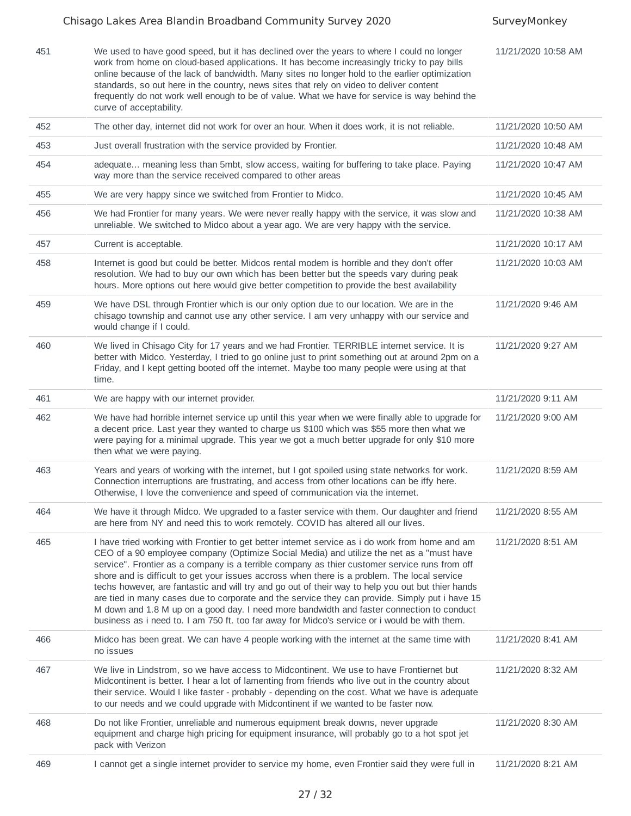#### Chisago Lakes Area Blandin Broadband Community Survey 2020 SurveyMonkey 451 We used to have good speed, but it has declined over the years to where I could no longer work from home on cloud-based applications. It has become increasingly tricky to pay bills online because of the lack of bandwidth. Many sites no longer hold to the earlier optimization standards, so out here in the country, news sites that rely on video to deliver content frequently do not work well enough to be of value. What we have for service is way behind the curve of acceptability. 11/21/2020 10:58 AM 452 The other day, internet did not work for over an hour. When it does work, it is not reliable. 11/21/2020 10:50 AM 453 Just overall frustration with the service provided by Frontier. 11/21/2020 10:48 AM 454 adequate... meaning less than 5mbt, slow access, waiting for buffering to take place. Paying way more than the service received compared to other areas 11/21/2020 10:47 AM 455 We are very happy since we switched from Frontier to Midco. 111/21/2020 10:45 AM 456 We had Frontier for many years. We were never really happy with the service, it was slow and unreliable. We switched to Midco about a year ago. We are very happy with the service. 11/21/2020 10:38 AM 457 Current is acceptable. 11/21/2020 10:17 AM 458 Internet is good but could be better. Midcos rental modem is horrible and they don't offer resolution. We had to buy our own which has been better but the speeds vary during peak hours. More options out here would give better competition to provide the best availability 11/21/2020 10:03 AM 459 We have DSL through Frontier which is our only option due to our location. We are in the chisago township and cannot use any other service. I am very unhappy with our service and would change if I could. 11/21/2020 9:46 AM 460 We lived in Chisago City for 17 years and we had Frontier. TERRIBLE internet service. It is better with Midco. Yesterday, I tried to go online just to print something out at around 2pm on a Friday, and I kept getting booted off the internet. Maybe too many people were using at that time. 11/21/2020 9:27 AM 461 We are happy with our internet provider. 11/21/2020 9:11 AM 462 We have had horrible internet service up until this year when we were finally able to upgrade for a decent price. Last year they wanted to charge us \$100 which was \$55 more then what we were paying for a minimal upgrade. This year we got a much better upgrade for only \$10 more then what we were paying. 11/21/2020 9:00 AM 463 Years and years of working with the internet, but I got spoiled using state networks for work. Connection interruptions are frustrating, and access from other locations can be iffy here. Otherwise, I love the convenience and speed of communication via the internet. 11/21/2020 8:59 AM 464 We have it through Midco. We upgraded to a faster service with them. Our daughter and friend are here from NY and need this to work remotely. COVID has altered all our lives. 11/21/2020 8:55 AM 465 I have tried working with Frontier to get better internet service as i do work from home and am CEO of a 90 employee company (Optimize Social Media) and utilize the net as a "must have service". Frontier as a company is a terrible company as thier customer service runs from off shore and is difficult to get your issues accross when there is a problem. The local service techs however, are fantastic and will try and go out of their way to help you out but thier hands are tied in many cases due to corporate and the service they can provide. Simply put i have 15 M down and 1.8 M up on a good day. I need more bandwidth and faster connection to conduct business as i need to. I am 750 ft. too far away for Midco's service or i would be with them. 11/21/2020 8:51 AM 466 Midco has been great. We can have 4 people working with the internet at the same time with no issues 11/21/2020 8:41 AM 467 We live in Lindstrom, so we have access to Midcontinent. We use to have Frontiernet but Midcontinent is better. I hear a lot of lamenting from friends who live out in the country about their service. Would I like faster - probably - depending on the cost. What we have is adequate to our needs and we could upgrade with Midcontinent if we wanted to be faster now. 11/21/2020 8:32 AM 468 Do not like Frontier, unreliable and numerous equipment break downs, never upgrade equipment and charge high pricing for equipment insurance, will probably go to a hot spot jet pack with Verizon 11/21/2020 8:30 AM 469 I cannot get a single internet provider to service my home, even Frontier said they were full in 11/21/2020 8:21 AM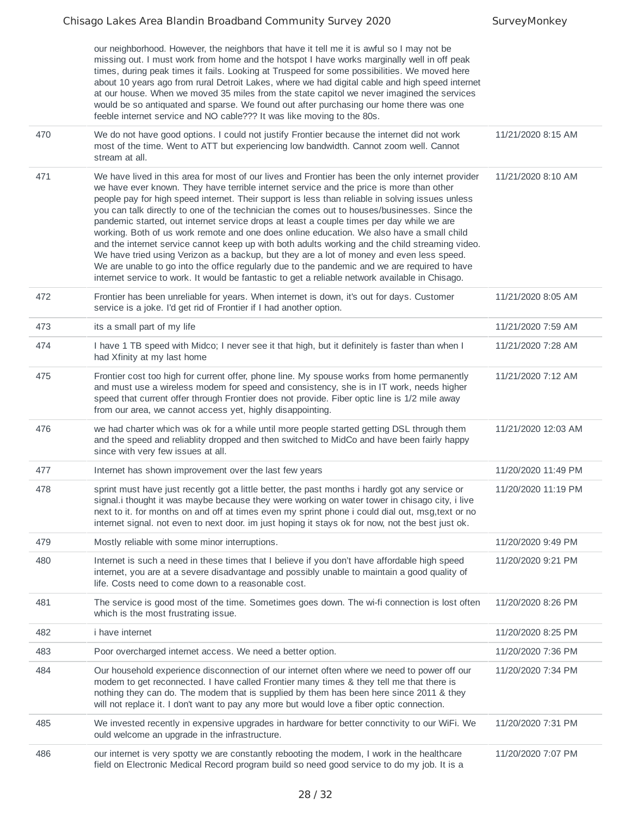|     | our neighborhood. However, the neighbors that have it tell me it is awful so I may not be<br>missing out. I must work from home and the hotspot I have works marginally well in off peak<br>times, during peak times it fails. Looking at Truspeed for some possibilities. We moved here<br>about 10 years ago from rural Detroit Lakes, where we had digital cable and high speed internet<br>at our house. When we moved 35 miles from the state capitol we never imagined the services<br>would be so antiquated and sparse. We found out after purchasing our home there was one<br>feeble internet service and NO cable??? It was like moving to the 80s.                                                                                                                                                                                                                                                                                                                                  |                     |
|-----|-------------------------------------------------------------------------------------------------------------------------------------------------------------------------------------------------------------------------------------------------------------------------------------------------------------------------------------------------------------------------------------------------------------------------------------------------------------------------------------------------------------------------------------------------------------------------------------------------------------------------------------------------------------------------------------------------------------------------------------------------------------------------------------------------------------------------------------------------------------------------------------------------------------------------------------------------------------------------------------------------|---------------------|
| 470 | We do not have good options. I could not justify Frontier because the internet did not work<br>most of the time. Went to ATT but experiencing low bandwidth. Cannot zoom well. Cannot<br>stream at all.                                                                                                                                                                                                                                                                                                                                                                                                                                                                                                                                                                                                                                                                                                                                                                                         | 11/21/2020 8:15 AM  |
| 471 | We have lived in this area for most of our lives and Frontier has been the only internet provider<br>we have ever known. They have terrible internet service and the price is more than other<br>people pay for high speed internet. Their support is less than reliable in solving issues unless<br>you can talk directly to one of the technician the comes out to houses/businesses. Since the<br>pandemic started, out internet service drops at least a couple times per day while we are<br>working. Both of us work remote and one does online education. We also have a small child<br>and the internet service cannot keep up with both adults working and the child streaming video.<br>We have tried using Verizon as a backup, but they are a lot of money and even less speed.<br>We are unable to go into the office regularly due to the pandemic and we are required to have<br>internet service to work. It would be fantastic to get a reliable network available in Chisago. | 11/21/2020 8:10 AM  |
| 472 | Frontier has been unreliable for years. When internet is down, it's out for days. Customer<br>service is a joke. I'd get rid of Frontier if I had another option.                                                                                                                                                                                                                                                                                                                                                                                                                                                                                                                                                                                                                                                                                                                                                                                                                               | 11/21/2020 8:05 AM  |
| 473 | its a small part of my life                                                                                                                                                                                                                                                                                                                                                                                                                                                                                                                                                                                                                                                                                                                                                                                                                                                                                                                                                                     | 11/21/2020 7:59 AM  |
| 474 | I have 1 TB speed with Midco; I never see it that high, but it definitely is faster than when I<br>had Xfinity at my last home                                                                                                                                                                                                                                                                                                                                                                                                                                                                                                                                                                                                                                                                                                                                                                                                                                                                  | 11/21/2020 7:28 AM  |
| 475 | Frontier cost too high for current offer, phone line. My spouse works from home permanently<br>and must use a wireless modem for speed and consistency, she is in IT work, needs higher<br>speed that current offer through Frontier does not provide. Fiber optic line is 1/2 mile away<br>from our area, we cannot access yet, highly disappointing.                                                                                                                                                                                                                                                                                                                                                                                                                                                                                                                                                                                                                                          | 11/21/2020 7:12 AM  |
| 476 | we had charter which was ok for a while until more people started getting DSL through them<br>and the speed and reliablity dropped and then switched to MidCo and have been fairly happy<br>since with very few issues at all.                                                                                                                                                                                                                                                                                                                                                                                                                                                                                                                                                                                                                                                                                                                                                                  | 11/21/2020 12:03 AM |
| 477 | Internet has shown improvement over the last few years                                                                                                                                                                                                                                                                                                                                                                                                                                                                                                                                                                                                                                                                                                                                                                                                                                                                                                                                          | 11/20/2020 11:49 PM |
| 478 | sprint must have just recently got a little better, the past months i hardly got any service or<br>signal i thought it was maybe because they were working on water tower in chisago city, i live<br>next to it. for months on and off at times even my sprint phone i could dial out, msg, text or no<br>internet signal. not even to next door. im just hoping it stays ok for now, not the best just ok.                                                                                                                                                                                                                                                                                                                                                                                                                                                                                                                                                                                     | 11/20/2020 11:19 PM |
| 479 | Mostly reliable with some minor interruptions.                                                                                                                                                                                                                                                                                                                                                                                                                                                                                                                                                                                                                                                                                                                                                                                                                                                                                                                                                  | 11/20/2020 9:49 PM  |
| 480 | Internet is such a need in these times that I believe if you don't have affordable high speed<br>internet, you are at a severe disadvantage and possibly unable to maintain a good quality of<br>life. Costs need to come down to a reasonable cost.                                                                                                                                                                                                                                                                                                                                                                                                                                                                                                                                                                                                                                                                                                                                            | 11/20/2020 9:21 PM  |
| 481 | The service is good most of the time. Sometimes goes down. The wi-fi connection is lost often<br>which is the most frustrating issue.                                                                                                                                                                                                                                                                                                                                                                                                                                                                                                                                                                                                                                                                                                                                                                                                                                                           | 11/20/2020 8:26 PM  |
| 482 | <i>i</i> have internet                                                                                                                                                                                                                                                                                                                                                                                                                                                                                                                                                                                                                                                                                                                                                                                                                                                                                                                                                                          | 11/20/2020 8:25 PM  |
| 483 | Poor overcharged internet access. We need a better option.                                                                                                                                                                                                                                                                                                                                                                                                                                                                                                                                                                                                                                                                                                                                                                                                                                                                                                                                      | 11/20/2020 7:36 PM  |
| 484 | Our household experience disconnection of our internet often where we need to power off our<br>modem to get reconnected. I have called Frontier many times & they tell me that there is<br>nothing they can do. The modem that is supplied by them has been here since 2011 & they<br>will not replace it. I don't want to pay any more but would love a fiber optic connection.                                                                                                                                                                                                                                                                                                                                                                                                                                                                                                                                                                                                                | 11/20/2020 7:34 PM  |
| 485 | We invested recently in expensive upgrades in hardware for better connctivity to our WiFi. We<br>ould welcome an upgrade in the infrastructure.                                                                                                                                                                                                                                                                                                                                                                                                                                                                                                                                                                                                                                                                                                                                                                                                                                                 | 11/20/2020 7:31 PM  |
| 486 | our internet is very spotty we are constantly rebooting the modem, I work in the healthcare<br>field on Electronic Medical Record program build so need good service to do my job. It is a                                                                                                                                                                                                                                                                                                                                                                                                                                                                                                                                                                                                                                                                                                                                                                                                      | 11/20/2020 7:07 PM  |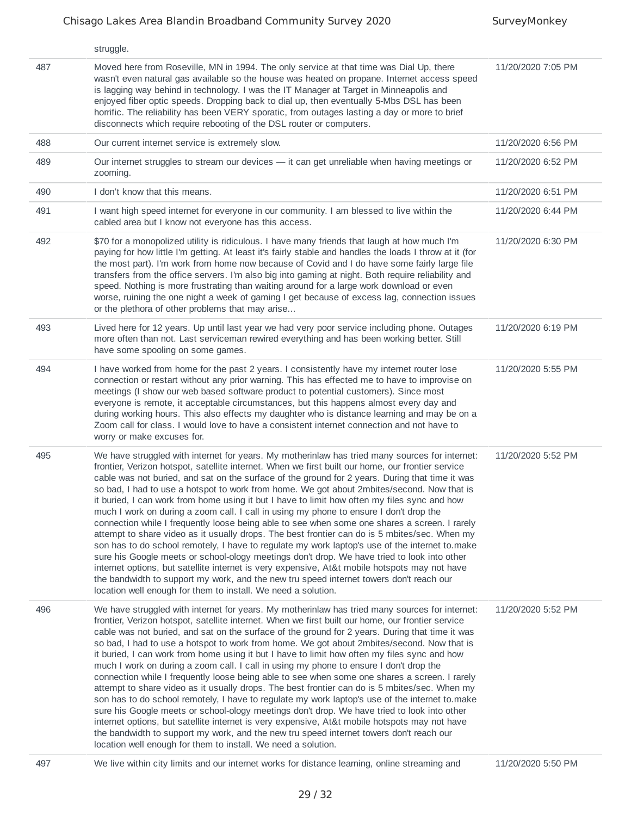|     | struggle.                                                                                                                                                                                                                                                                                                                                                                                                                                                                                                                                                                                                                                                                                                                                                                                                                                                                                                                                                                                                                                                                                                                                                                                                                                                      |                    |
|-----|----------------------------------------------------------------------------------------------------------------------------------------------------------------------------------------------------------------------------------------------------------------------------------------------------------------------------------------------------------------------------------------------------------------------------------------------------------------------------------------------------------------------------------------------------------------------------------------------------------------------------------------------------------------------------------------------------------------------------------------------------------------------------------------------------------------------------------------------------------------------------------------------------------------------------------------------------------------------------------------------------------------------------------------------------------------------------------------------------------------------------------------------------------------------------------------------------------------------------------------------------------------|--------------------|
| 487 | Moved here from Roseville, MN in 1994. The only service at that time was Dial Up, there<br>wasn't even natural gas available so the house was heated on propane. Internet access speed<br>is lagging way behind in technology. I was the IT Manager at Target in Minneapolis and<br>enjoyed fiber optic speeds. Dropping back to dial up, then eventually 5-Mbs DSL has been<br>horrific. The reliability has been VERY sporatic, from outages lasting a day or more to brief<br>disconnects which require rebooting of the DSL router or computers.                                                                                                                                                                                                                                                                                                                                                                                                                                                                                                                                                                                                                                                                                                           | 11/20/2020 7:05 PM |
| 488 | Our current internet service is extremely slow.                                                                                                                                                                                                                                                                                                                                                                                                                                                                                                                                                                                                                                                                                                                                                                                                                                                                                                                                                                                                                                                                                                                                                                                                                | 11/20/2020 6:56 PM |
| 489 | Our internet struggles to stream our devices - it can get unreliable when having meetings or<br>zooming.                                                                                                                                                                                                                                                                                                                                                                                                                                                                                                                                                                                                                                                                                                                                                                                                                                                                                                                                                                                                                                                                                                                                                       | 11/20/2020 6:52 PM |
| 490 | I don't know that this means.                                                                                                                                                                                                                                                                                                                                                                                                                                                                                                                                                                                                                                                                                                                                                                                                                                                                                                                                                                                                                                                                                                                                                                                                                                  | 11/20/2020 6:51 PM |
| 491 | I want high speed internet for everyone in our community. I am blessed to live within the<br>cabled area but I know not everyone has this access.                                                                                                                                                                                                                                                                                                                                                                                                                                                                                                                                                                                                                                                                                                                                                                                                                                                                                                                                                                                                                                                                                                              | 11/20/2020 6:44 PM |
| 492 | \$70 for a monopolized utility is ridiculous. I have many friends that laugh at how much I'm<br>paying for how little I'm getting. At least it's fairly stable and handles the loads I throw at it (for<br>the most part). I'm work from home now because of Covid and I do have some fairly large file<br>transfers from the office servers. I'm also big into gaming at night. Both require reliability and<br>speed. Nothing is more frustrating than waiting around for a large work download or even<br>worse, ruining the one night a week of gaming I get because of excess lag, connection issues<br>or the plethora of other problems that may arise                                                                                                                                                                                                                                                                                                                                                                                                                                                                                                                                                                                                  | 11/20/2020 6:30 PM |
| 493 | Lived here for 12 years. Up until last year we had very poor service including phone. Outages<br>more often than not. Last serviceman rewired everything and has been working better. Still<br>have some spooling on some games.                                                                                                                                                                                                                                                                                                                                                                                                                                                                                                                                                                                                                                                                                                                                                                                                                                                                                                                                                                                                                               | 11/20/2020 6:19 PM |
| 494 | I have worked from home for the past 2 years. I consistently have my internet router lose<br>connection or restart without any prior warning. This has effected me to have to improvise on<br>meetings (I show our web based software product to potential customers). Since most<br>everyone is remote, it acceptable circumstances, but this happens almost every day and<br>during working hours. This also effects my daughter who is distance learning and may be on a<br>Zoom call for class. I would love to have a consistent internet connection and not have to<br>worry or make excuses for.                                                                                                                                                                                                                                                                                                                                                                                                                                                                                                                                                                                                                                                        | 11/20/2020 5:55 PM |
| 495 | We have struggled with internet for years. My motherinlaw has tried many sources for internet:<br>frontier, Verizon hotspot, satellite internet. When we first built our home, our frontier service<br>cable was not buried, and sat on the surface of the ground for 2 years. During that time it was<br>so bad, I had to use a hotspot to work from home. We got about 2mbites/second. Now that is<br>it buried, I can work from home using it but I have to limit how often my files sync and how<br>much I work on during a zoom call. I call in using my phone to ensure I don't drop the<br>connection while I frequently loose being able to see when some one shares a screen. I rarely<br>attempt to share video as it usually drops. The best frontier can do is 5 mbites/sec. When my<br>son has to do school remotely, I have to regulate my work laptop's use of the internet to make<br>sure his Google meets or school-ology meetings don't drop. We have tried to look into other<br>internet options, but satellite internet is very expensive, At&t mobile hotspots may not have<br>the bandwidth to support my work, and the new tru speed internet towers don't reach our<br>location well enough for them to install. We need a solution. | 11/20/2020 5:52 PM |
| 496 | We have struggled with internet for years. My motherinlaw has tried many sources for internet:<br>frontier, Verizon hotspot, satellite internet. When we first built our home, our frontier service<br>cable was not buried, and sat on the surface of the ground for 2 years. During that time it was<br>so bad, I had to use a hotspot to work from home. We got about 2mbites/second. Now that is<br>it buried, I can work from home using it but I have to limit how often my files sync and how<br>much I work on during a zoom call. I call in using my phone to ensure I don't drop the<br>connection while I frequently loose being able to see when some one shares a screen. I rarely<br>attempt to share video as it usually drops. The best frontier can do is 5 mbites/sec. When my<br>son has to do school remotely, I have to regulate my work laptop's use of the internet to make<br>sure his Google meets or school-ology meetings don't drop. We have tried to look into other<br>internet options, but satellite internet is very expensive, At&t mobile hotspots may not have<br>the bandwidth to support my work, and the new tru speed internet towers don't reach our<br>location well enough for them to install. We need a solution. | 11/20/2020 5:52 PM |
| 497 | We live within city limits and our internet works for distance learning, online streaming and                                                                                                                                                                                                                                                                                                                                                                                                                                                                                                                                                                                                                                                                                                                                                                                                                                                                                                                                                                                                                                                                                                                                                                  | 11/20/2020 5:50 PM |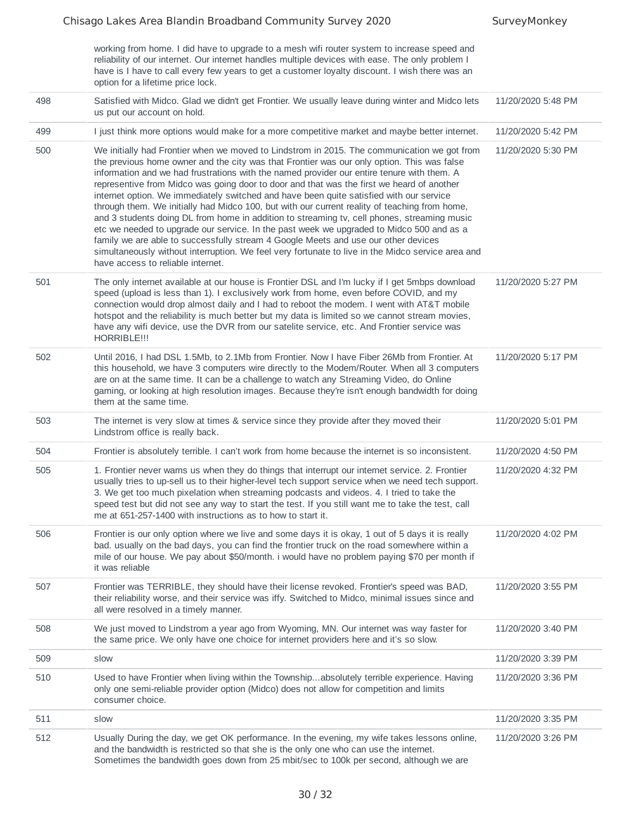| working from home. I did have to upgrade to a mesh wifi router system to increase speed and                                                                                                        |
|----------------------------------------------------------------------------------------------------------------------------------------------------------------------------------------------------|
| reliability of our internet. Our internet handles multiple devices with ease. The only problem I<br>have is I have to call every few years to get a customer loyalty discount. I wish there was an |
| option for a lifetime price lock.                                                                                                                                                                  |

| 498 | Satisfied with Midco. Glad we didn't get Frontier. We usually leave during winter and Midco lets<br>us put our account on hold.                                                                                                                                                                                                                                                                                                                                                                                                                                                                                                                                                                                                                                                                                                                                                                                                                                                                             | 11/20/2020 5:48 PM |
|-----|-------------------------------------------------------------------------------------------------------------------------------------------------------------------------------------------------------------------------------------------------------------------------------------------------------------------------------------------------------------------------------------------------------------------------------------------------------------------------------------------------------------------------------------------------------------------------------------------------------------------------------------------------------------------------------------------------------------------------------------------------------------------------------------------------------------------------------------------------------------------------------------------------------------------------------------------------------------------------------------------------------------|--------------------|
| 499 | I just think more options would make for a more competitive market and maybe better internet.                                                                                                                                                                                                                                                                                                                                                                                                                                                                                                                                                                                                                                                                                                                                                                                                                                                                                                               | 11/20/2020 5:42 PM |
| 500 | We initially had Frontier when we moved to Lindstrom in 2015. The communication we got from<br>the previous home owner and the city was that Frontier was our only option. This was false<br>information and we had frustrations with the named provider our entire tenure with them. A<br>representive from Midco was going door to door and that was the first we heard of another<br>internet option. We immediately switched and have been quite satisfied with our service<br>through them. We initially had Midco 100, but with our current reality of teaching from home,<br>and 3 students doing DL from home in addition to streaming tv, cell phones, streaming music<br>etc we needed to upgrade our service. In the past week we upgraded to Midco 500 and as a<br>family we are able to successfully stream 4 Google Meets and use our other devices<br>simultaneously without interruption. We feel very fortunate to live in the Midco service area and<br>have access to reliable internet. | 11/20/2020 5:30 PM |
| 501 | The only internet available at our house is Frontier DSL and I'm lucky if I get 5mbps download<br>speed (upload is less than 1). I exclusively work from home, even before COVID, and my<br>connection would drop almost daily and I had to reboot the modem. I went with AT&T mobile<br>hotspot and the reliability is much better but my data is limited so we cannot stream movies,<br>have any wifi device, use the DVR from our satelite service, etc. And Frontier service was<br>HORRIBLE!!!                                                                                                                                                                                                                                                                                                                                                                                                                                                                                                         | 11/20/2020 5:27 PM |
| 502 | Until 2016, I had DSL 1.5Mb, to 2.1Mb from Frontier. Now I have Fiber 26Mb from Frontier. At<br>this household, we have 3 computers wire directly to the Modem/Router. When all 3 computers<br>are on at the same time. It can be a challenge to watch any Streaming Video, do Online<br>gaming, or looking at high resolution images. Because they're isn't enough bandwidth for doing<br>them at the same time.                                                                                                                                                                                                                                                                                                                                                                                                                                                                                                                                                                                           | 11/20/2020 5:17 PM |
| 503 | The internet is very slow at times & service since they provide after they moved their<br>Lindstrom office is really back.                                                                                                                                                                                                                                                                                                                                                                                                                                                                                                                                                                                                                                                                                                                                                                                                                                                                                  | 11/20/2020 5:01 PM |
| 504 | Frontier is absolutely terrible. I can't work from home because the internet is so inconsistent.                                                                                                                                                                                                                                                                                                                                                                                                                                                                                                                                                                                                                                                                                                                                                                                                                                                                                                            | 11/20/2020 4:50 PM |
| 505 | 1. Frontier never warns us when they do things that interrupt our internet service. 2. Frontier<br>usually tries to up-sell us to their higher-level tech support service when we need tech support.<br>3. We get too much pixelation when streaming podcasts and videos. 4. I tried to take the<br>speed test but did not see any way to start the test. If you still want me to take the test, call<br>me at 651-257-1400 with instructions as to how to start it.                                                                                                                                                                                                                                                                                                                                                                                                                                                                                                                                        | 11/20/2020 4:32 PM |
| 506 | Frontier is our only option where we live and some days it is okay, 1 out of 5 days it is really<br>bad. usually on the bad days, you can find the frontier truck on the road somewhere within a<br>mile of our house. We pay about \$50/month. i would have no problem paying \$70 per month if<br>it was reliable                                                                                                                                                                                                                                                                                                                                                                                                                                                                                                                                                                                                                                                                                         | 11/20/2020 4:02 PM |
| 507 | Frontier was TERRIBLE, they should have their license revoked. Frontier's speed was BAD,<br>their reliability worse, and their service was iffy. Switched to Midco, minimal issues since and<br>all were resolved in a timely manner.                                                                                                                                                                                                                                                                                                                                                                                                                                                                                                                                                                                                                                                                                                                                                                       | 11/20/2020 3:55 PM |
| 508 | We just moved to Lindstrom a year ago from Wyoming, MN. Our internet was way faster for<br>the same price. We only have one choice for internet providers here and it's so slow.                                                                                                                                                                                                                                                                                                                                                                                                                                                                                                                                                                                                                                                                                                                                                                                                                            | 11/20/2020 3:40 PM |
| 509 | slow                                                                                                                                                                                                                                                                                                                                                                                                                                                                                                                                                                                                                                                                                                                                                                                                                                                                                                                                                                                                        | 11/20/2020 3:39 PM |
| 510 | Used to have Frontier when living within the Townshipabsolutely terrible experience. Having<br>only one semi-reliable provider option (Midco) does not allow for competition and limits<br>consumer choice.                                                                                                                                                                                                                                                                                                                                                                                                                                                                                                                                                                                                                                                                                                                                                                                                 | 11/20/2020 3:36 PM |
| 511 | slow                                                                                                                                                                                                                                                                                                                                                                                                                                                                                                                                                                                                                                                                                                                                                                                                                                                                                                                                                                                                        | 11/20/2020 3:35 PM |
| 512 | Usually During the day, we get OK performance. In the evening, my wife takes lessons online,<br>and the bandwidth is restricted so that she is the only one who can use the internet.<br>Sometimes the bandwidth goes down from 25 mbit/sec to 100k per second, although we are                                                                                                                                                                                                                                                                                                                                                                                                                                                                                                                                                                                                                                                                                                                             | 11/20/2020 3:26 PM |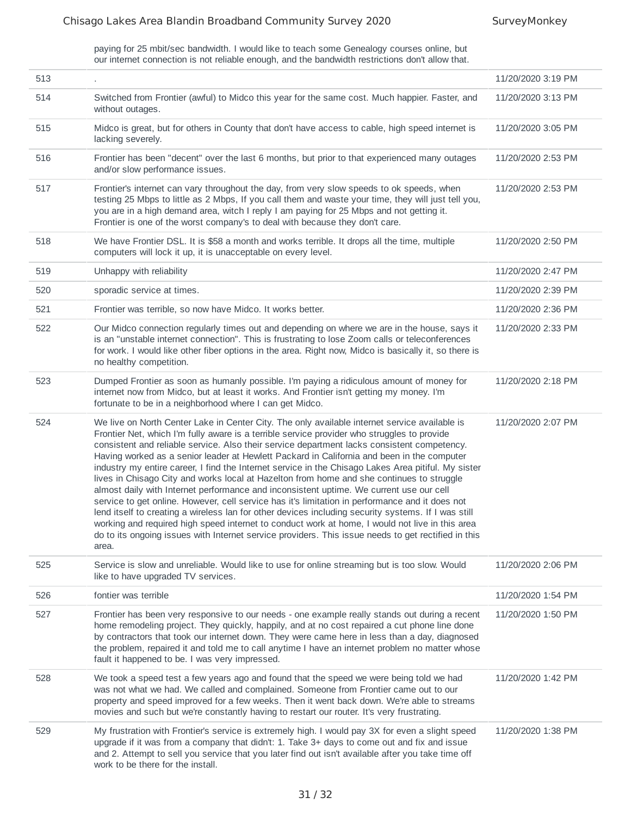paying for 25 mbit/sec bandwidth. I would like to teach some Genealogy courses online, but our internet connection is not reliable enough, and the bandwidth restrictions don't allow that.

| 513 |                                                                                                                                                                                                                                                                                                                                                                                                                                                                                                                                                                                                                                                                                                                                                                                                                                                                                                                                                                                                                                                                                                                       | 11/20/2020 3:19 PM |
|-----|-----------------------------------------------------------------------------------------------------------------------------------------------------------------------------------------------------------------------------------------------------------------------------------------------------------------------------------------------------------------------------------------------------------------------------------------------------------------------------------------------------------------------------------------------------------------------------------------------------------------------------------------------------------------------------------------------------------------------------------------------------------------------------------------------------------------------------------------------------------------------------------------------------------------------------------------------------------------------------------------------------------------------------------------------------------------------------------------------------------------------|--------------------|
| 514 | Switched from Frontier (awful) to Midco this year for the same cost. Much happier. Faster, and<br>without outages.                                                                                                                                                                                                                                                                                                                                                                                                                                                                                                                                                                                                                                                                                                                                                                                                                                                                                                                                                                                                    | 11/20/2020 3:13 PM |
| 515 | Midco is great, but for others in County that don't have access to cable, high speed internet is<br>lacking severely.                                                                                                                                                                                                                                                                                                                                                                                                                                                                                                                                                                                                                                                                                                                                                                                                                                                                                                                                                                                                 | 11/20/2020 3:05 PM |
| 516 | Frontier has been "decent" over the last 6 months, but prior to that experienced many outages<br>and/or slow performance issues.                                                                                                                                                                                                                                                                                                                                                                                                                                                                                                                                                                                                                                                                                                                                                                                                                                                                                                                                                                                      | 11/20/2020 2:53 PM |
| 517 | Frontier's internet can vary throughout the day, from very slow speeds to ok speeds, when<br>testing 25 Mbps to little as 2 Mbps, If you call them and waste your time, they will just tell you,<br>you are in a high demand area, witch I reply I am paying for 25 Mbps and not getting it.<br>Frontier is one of the worst company's to deal with because they don't care.                                                                                                                                                                                                                                                                                                                                                                                                                                                                                                                                                                                                                                                                                                                                          | 11/20/2020 2:53 PM |
| 518 | We have Frontier DSL. It is \$58 a month and works terrible. It drops all the time, multiple<br>computers will lock it up, it is unacceptable on every level.                                                                                                                                                                                                                                                                                                                                                                                                                                                                                                                                                                                                                                                                                                                                                                                                                                                                                                                                                         | 11/20/2020 2:50 PM |
| 519 | Unhappy with reliability                                                                                                                                                                                                                                                                                                                                                                                                                                                                                                                                                                                                                                                                                                                                                                                                                                                                                                                                                                                                                                                                                              | 11/20/2020 2:47 PM |
| 520 | sporadic service at times.                                                                                                                                                                                                                                                                                                                                                                                                                                                                                                                                                                                                                                                                                                                                                                                                                                                                                                                                                                                                                                                                                            | 11/20/2020 2:39 PM |
| 521 | Frontier was terrible, so now have Midco. It works better.                                                                                                                                                                                                                                                                                                                                                                                                                                                                                                                                                                                                                                                                                                                                                                                                                                                                                                                                                                                                                                                            | 11/20/2020 2:36 PM |
| 522 | Our Midco connection regularly times out and depending on where we are in the house, says it<br>is an "unstable internet connection". This is frustrating to lose Zoom calls or teleconferences<br>for work. I would like other fiber options in the area. Right now, Midco is basically it, so there is<br>no healthy competition.                                                                                                                                                                                                                                                                                                                                                                                                                                                                                                                                                                                                                                                                                                                                                                                   | 11/20/2020 2:33 PM |
| 523 | Dumped Frontier as soon as humanly possible. I'm paying a ridiculous amount of money for<br>internet now from Midco, but at least it works. And Frontier isn't getting my money. I'm<br>fortunate to be in a neighborhood where I can get Midco.                                                                                                                                                                                                                                                                                                                                                                                                                                                                                                                                                                                                                                                                                                                                                                                                                                                                      | 11/20/2020 2:18 PM |
| 524 | We live on North Center Lake in Center City. The only available internet service available is<br>Frontier Net, which I'm fully aware is a terrible service provider who struggles to provide<br>consistent and reliable service. Also their service department lacks consistent competency.<br>Having worked as a senior leader at Hewlett Packard in California and been in the computer<br>industry my entire career, I find the Internet service in the Chisago Lakes Area pitiful. My sister<br>lives in Chisago City and works local at Hazelton from home and she continues to struggle<br>almost daily with Internet performance and inconsistent uptime. We current use our cell<br>service to get online. However, cell service has it's limitation in performance and it does not<br>lend itself to creating a wireless lan for other devices including security systems. If I was still<br>working and required high speed internet to conduct work at home, I would not live in this area<br>do to its ongoing issues with Internet service providers. This issue needs to get rectified in this<br>area. | 11/20/2020 2:07 PM |
| 525 | Service is slow and unreliable. Would like to use for online streaming but is too slow. Would<br>like to have upgraded TV services.                                                                                                                                                                                                                                                                                                                                                                                                                                                                                                                                                                                                                                                                                                                                                                                                                                                                                                                                                                                   | 11/20/2020 2:06 PM |
| 526 | fontier was terrible                                                                                                                                                                                                                                                                                                                                                                                                                                                                                                                                                                                                                                                                                                                                                                                                                                                                                                                                                                                                                                                                                                  | 11/20/2020 1:54 PM |
| 527 | Frontier has been very responsive to our needs - one example really stands out during a recent<br>home remodeling project. They quickly, happily, and at no cost repaired a cut phone line done<br>by contractors that took our internet down. They were came here in less than a day, diagnosed<br>the problem, repaired it and told me to call anytime I have an internet problem no matter whose<br>fault it happened to be. I was very impressed.                                                                                                                                                                                                                                                                                                                                                                                                                                                                                                                                                                                                                                                                 | 11/20/2020 1:50 PM |
| 528 | We took a speed test a few years ago and found that the speed we were being told we had<br>was not what we had. We called and complained. Someone from Frontier came out to our<br>property and speed improved for a few weeks. Then it went back down. We're able to streams<br>movies and such but we're constantly having to restart our router. It's very frustrating.                                                                                                                                                                                                                                                                                                                                                                                                                                                                                                                                                                                                                                                                                                                                            | 11/20/2020 1:42 PM |
| 529 | My frustration with Frontier's service is extremely high. I would pay 3X for even a slight speed<br>upgrade if it was from a company that didn't: 1. Take 3+ days to come out and fix and issue<br>and 2. Attempt to sell you service that you later find out isn't available after you take time off<br>work to be there for the install.                                                                                                                                                                                                                                                                                                                                                                                                                                                                                                                                                                                                                                                                                                                                                                            | 11/20/2020 1:38 PM |